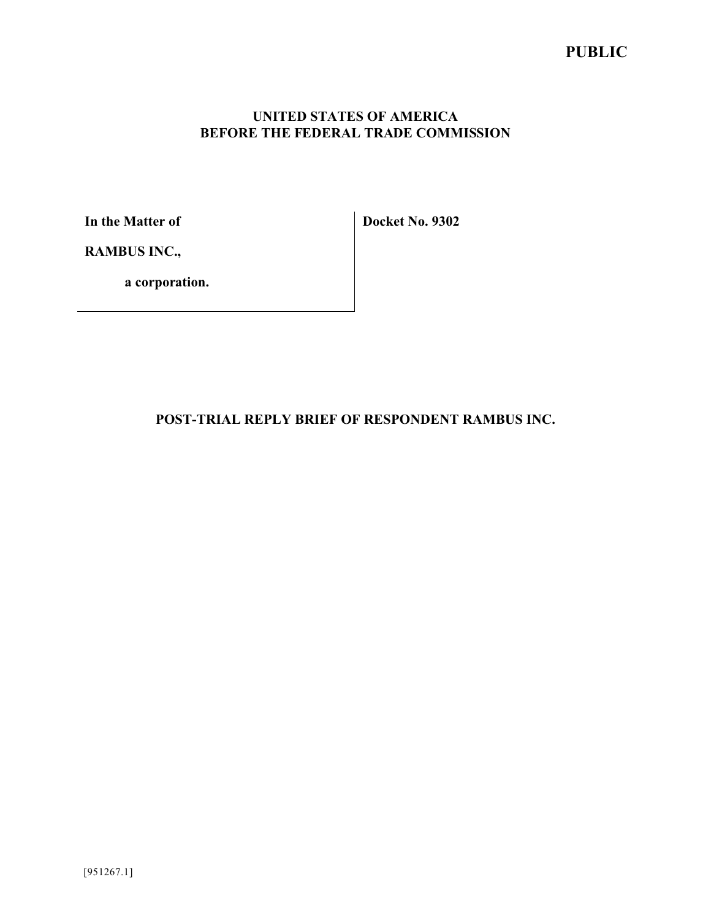## **PUBLIC**

### **UNITED STATES OF AMERICA BEFORE THE FEDERAL TRADE COMMISSION**

**In the Matter of**

**Docket No. 9302**

**RAMBUS INC.,**

**a corporation.**

**POST-TRIAL REPLY BRIEF OF RESPONDENT RAMBUS INC.**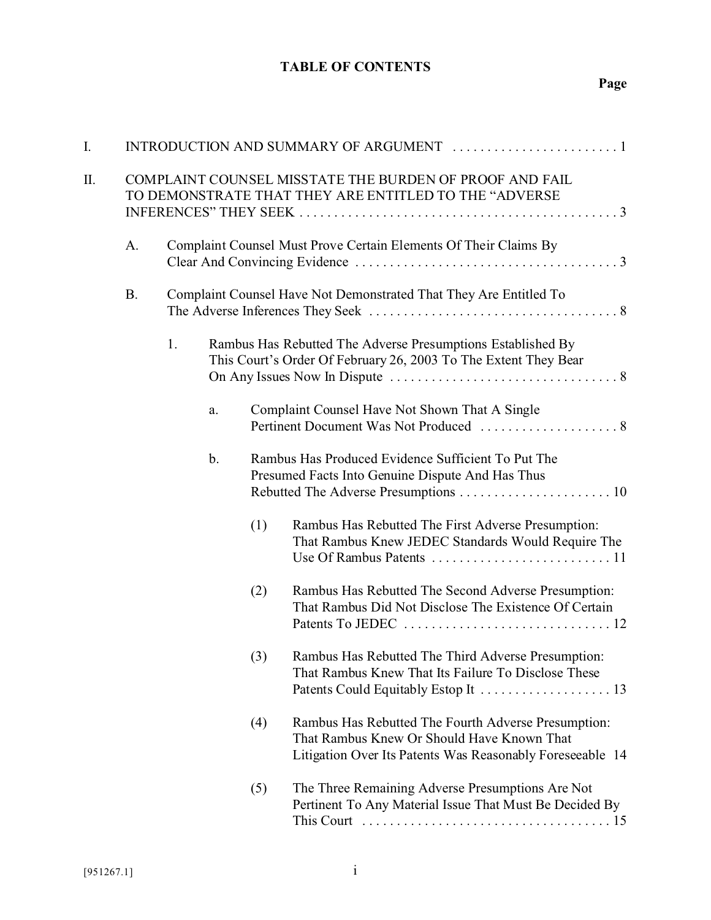# **Page**

| I. |                                                                                                                  |    |                                                                   |     |                                                                                                                                                                |  |
|----|------------------------------------------------------------------------------------------------------------------|----|-------------------------------------------------------------------|-----|----------------------------------------------------------------------------------------------------------------------------------------------------------------|--|
| Π. | COMPLAINT COUNSEL MISSTATE THE BURDEN OF PROOF AND FAIL<br>TO DEMONSTRATE THAT THEY ARE ENTITLED TO THE "ADVERSE |    |                                                                   |     |                                                                                                                                                                |  |
|    | A.                                                                                                               |    | Complaint Counsel Must Prove Certain Elements Of Their Claims By  |     |                                                                                                                                                                |  |
|    | <b>B.</b>                                                                                                        |    | Complaint Counsel Have Not Demonstrated That They Are Entitled To |     |                                                                                                                                                                |  |
|    |                                                                                                                  | 1. |                                                                   |     | Rambus Has Rebutted The Adverse Presumptions Established By<br>This Court's Order Of February 26, 2003 To The Extent They Bear                                 |  |
|    |                                                                                                                  |    | a.                                                                |     | Complaint Counsel Have Not Shown That A Single                                                                                                                 |  |
|    |                                                                                                                  |    | b.                                                                |     | Rambus Has Produced Evidence Sufficient To Put The<br>Presumed Facts Into Genuine Dispute And Has Thus                                                         |  |
|    |                                                                                                                  |    |                                                                   | (1) | Rambus Has Rebutted The First Adverse Presumption:<br>That Rambus Knew JEDEC Standards Would Require The                                                       |  |
|    |                                                                                                                  |    |                                                                   | (2) | Rambus Has Rebutted The Second Adverse Presumption:<br>That Rambus Did Not Disclose The Existence Of Certain                                                   |  |
|    |                                                                                                                  |    |                                                                   | (3) | Rambus Has Rebutted The Third Adverse Presumption:<br>That Rambus Knew That Its Failure To Disclose These                                                      |  |
|    |                                                                                                                  |    |                                                                   | (4) | Rambus Has Rebutted The Fourth Adverse Presumption:<br>That Rambus Knew Or Should Have Known That<br>Litigation Over Its Patents Was Reasonably Foreseeable 14 |  |
|    |                                                                                                                  |    |                                                                   | (5) | The Three Remaining Adverse Presumptions Are Not<br>Pertinent To Any Material Issue That Must Be Decided By                                                    |  |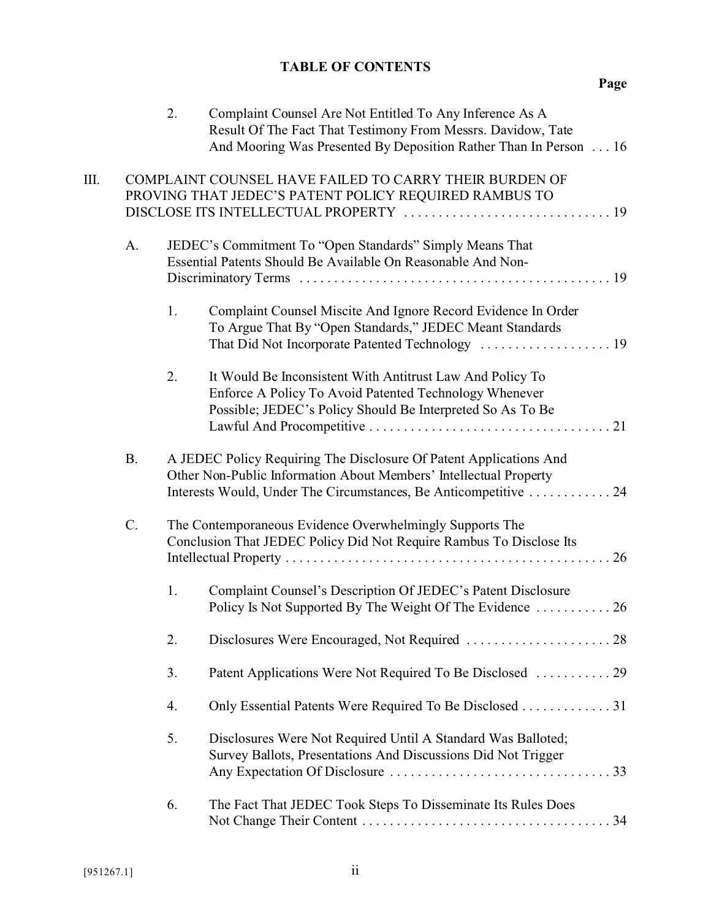|    |           | 2. | Complaint Counsel Are Not Entitled To Any Inference As A<br>Result Of The Fact That Testimony From Messrs. Davidow, Tate<br>And Mooring Was Presented By Deposition Rather Than In Person 16                |
|----|-----------|----|-------------------------------------------------------------------------------------------------------------------------------------------------------------------------------------------------------------|
| Ш. |           |    | COMPLAINT COUNSEL HAVE FAILED TO CARRY THEIR BURDEN OF<br>PROVING THAT JEDEC'S PATENT POLICY REQUIRED RAMBUS TO                                                                                             |
|    | A.        |    | JEDEC's Commitment To "Open Standards" Simply Means That<br>Essential Patents Should Be Available On Reasonable And Non-                                                                                    |
|    |           | 1. | Complaint Counsel Miscite And Ignore Record Evidence In Order<br>To Argue That By "Open Standards," JEDEC Meant Standards                                                                                   |
|    |           | 2. | It Would Be Inconsistent With Antitrust Law And Policy To<br>Enforce A Policy To Avoid Patented Technology Whenever<br>Possible; JEDEC's Policy Should Be Interpreted So As To Be                           |
|    | <b>B.</b> |    | A JEDEC Policy Requiring The Disclosure Of Patent Applications And<br>Other Non-Public Information About Members' Intellectual Property<br>Interests Would, Under The Circumstances, Be Anticompetitive  24 |
|    | $C$ .     |    | The Contemporaneous Evidence Overwhelmingly Supports The<br>Conclusion That JEDEC Policy Did Not Require Rambus To Disclose Its                                                                             |
|    |           | 1. | Complaint Counsel's Description Of JEDEC's Patent Disclosure<br>Policy Is Not Supported By The Weight Of The Evidence  26                                                                                   |
|    |           | 2. |                                                                                                                                                                                                             |
|    |           | 3. | Patent Applications Were Not Required To Be Disclosed  29                                                                                                                                                   |
|    |           | 4. | Only Essential Patents Were Required To Be Disclosed 31                                                                                                                                                     |
|    |           | 5. | Disclosures Were Not Required Until A Standard Was Balloted;<br>Survey Ballots, Presentations And Discussions Did Not Trigger                                                                               |
|    |           | 6. | The Fact That JEDEC Took Steps To Disseminate Its Rules Does                                                                                                                                                |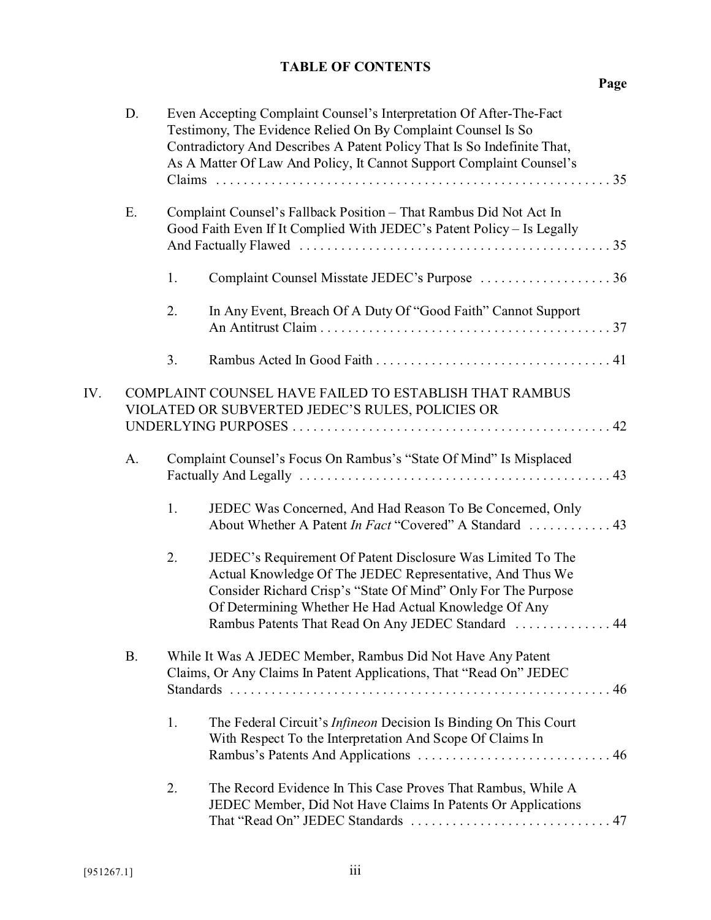|     | D.        |    | Even Accepting Complaint Counsel's Interpretation Of After-The-Fact<br>Testimony, The Evidence Relied On By Complaint Counsel Is So<br>Contradictory And Describes A Patent Policy That Is So Indefinite That,<br>As A Matter Of Law And Policy, It Cannot Support Complaint Counsel's                   |
|-----|-----------|----|----------------------------------------------------------------------------------------------------------------------------------------------------------------------------------------------------------------------------------------------------------------------------------------------------------|
|     | Ε.        |    | Complaint Counsel's Fallback Position - That Rambus Did Not Act In<br>Good Faith Even If It Complied With JEDEC's Patent Policy - Is Legally                                                                                                                                                             |
|     |           | 1. | Complaint Counsel Misstate JEDEC's Purpose  36                                                                                                                                                                                                                                                           |
|     |           | 2. | In Any Event, Breach Of A Duty Of "Good Faith" Cannot Support                                                                                                                                                                                                                                            |
|     |           | 3. |                                                                                                                                                                                                                                                                                                          |
| IV. |           |    | COMPLAINT COUNSEL HAVE FAILED TO ESTABLISH THAT RAMBUS<br>VIOLATED OR SUBVERTED JEDEC'S RULES, POLICIES OR                                                                                                                                                                                               |
|     | A.        |    | Complaint Counsel's Focus On Rambus's "State Of Mind" Is Misplaced                                                                                                                                                                                                                                       |
|     |           | 1. | JEDEC Was Concerned, And Had Reason To Be Concerned, Only<br>About Whether A Patent In Fact "Covered" A Standard  43                                                                                                                                                                                     |
|     |           | 2. | JEDEC's Requirement Of Patent Disclosure Was Limited To The<br>Actual Knowledge Of The JEDEC Representative, And Thus We<br>Consider Richard Crisp's "State Of Mind" Only For The Purpose<br>Of Determining Whether He Had Actual Knowledge Of Any<br>Rambus Patents That Read On Any JEDEC Standard  44 |
|     | <b>B.</b> |    | While It Was A JEDEC Member, Rambus Did Not Have Any Patent<br>Claims, Or Any Claims In Patent Applications, That "Read On" JEDEC                                                                                                                                                                        |
|     |           | 1. | The Federal Circuit's <i>Infineon</i> Decision Is Binding On This Court<br>With Respect To the Interpretation And Scope Of Claims In                                                                                                                                                                     |
|     |           | 2. | The Record Evidence In This Case Proves That Rambus, While A<br>JEDEC Member, Did Not Have Claims In Patents Or Applications                                                                                                                                                                             |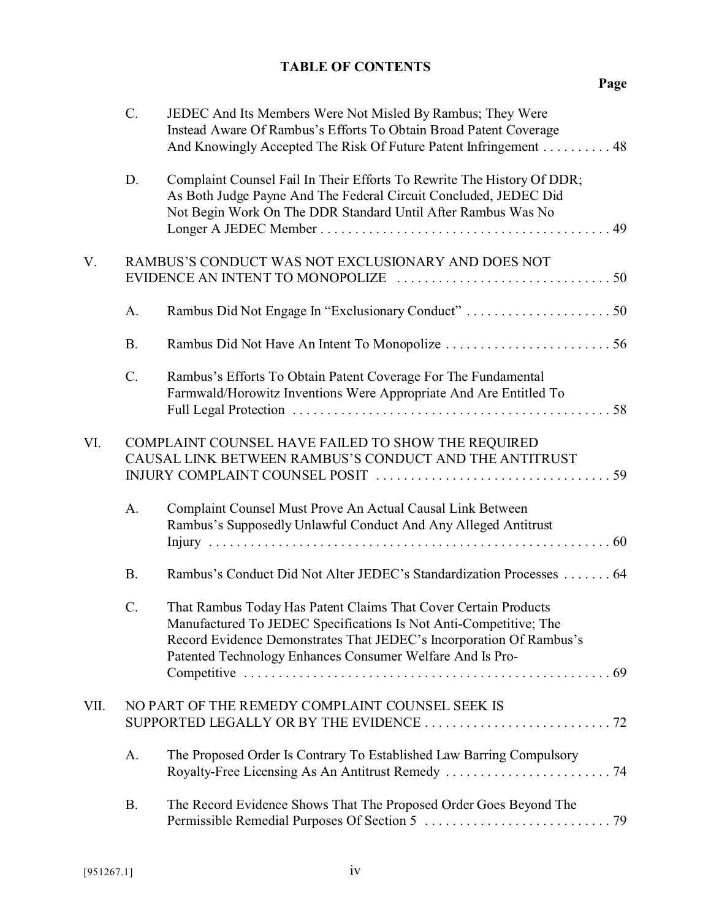|      | $C$ .     | JEDEC And Its Members Were Not Misled By Rambus; They Were<br>Instead Aware Of Rambus's Efforts To Obtain Broad Patent Coverage<br>And Knowingly Accepted The Risk Of Future Patent Infringement 48                                                                      |
|------|-----------|--------------------------------------------------------------------------------------------------------------------------------------------------------------------------------------------------------------------------------------------------------------------------|
|      | D.        | Complaint Counsel Fail In Their Efforts To Rewrite The History Of DDR;<br>As Both Judge Payne And The Federal Circuit Concluded, JEDEC Did<br>Not Begin Work On The DDR Standard Until After Rambus Was No                                                               |
| V.   |           | RAMBUS'S CONDUCT WAS NOT EXCLUSIONARY AND DOES NOT                                                                                                                                                                                                                       |
|      | A.        |                                                                                                                                                                                                                                                                          |
|      | <b>B.</b> |                                                                                                                                                                                                                                                                          |
|      | C.        | Rambus's Efforts To Obtain Patent Coverage For The Fundamental<br>Farmwald/Horowitz Inventions Were Appropriate And Are Entitled To                                                                                                                                      |
| VI.  |           | COMPLAINT COUNSEL HAVE FAILED TO SHOW THE REQUIRED<br>CAUSAL LINK BETWEEN RAMBUS'S CONDUCT AND THE ANTITRUST                                                                                                                                                             |
|      | A.        | Complaint Counsel Must Prove An Actual Causal Link Between<br>Rambus's Supposedly Unlawful Conduct And Any Alleged Antitrust                                                                                                                                             |
|      | <b>B.</b> | Rambus's Conduct Did Not Alter JEDEC's Standardization Processes  64                                                                                                                                                                                                     |
|      | C.        | That Rambus Today Has Patent Claims That Cover Certain Products<br>Manufactured To JEDEC Specifications Is Not Anti-Competitive; The<br>Record Evidence Demonstrates That JEDEC's Incorporation Of Rambus's<br>Patented Technology Enhances Consumer Welfare And Is Pro- |
| VII. |           | NO PART OF THE REMEDY COMPLAINT COUNSEL SEEK IS                                                                                                                                                                                                                          |
|      | A.        | The Proposed Order Is Contrary To Established Law Barring Compulsory                                                                                                                                                                                                     |
|      | <b>B.</b> | The Record Evidence Shows That The Proposed Order Goes Beyond The                                                                                                                                                                                                        |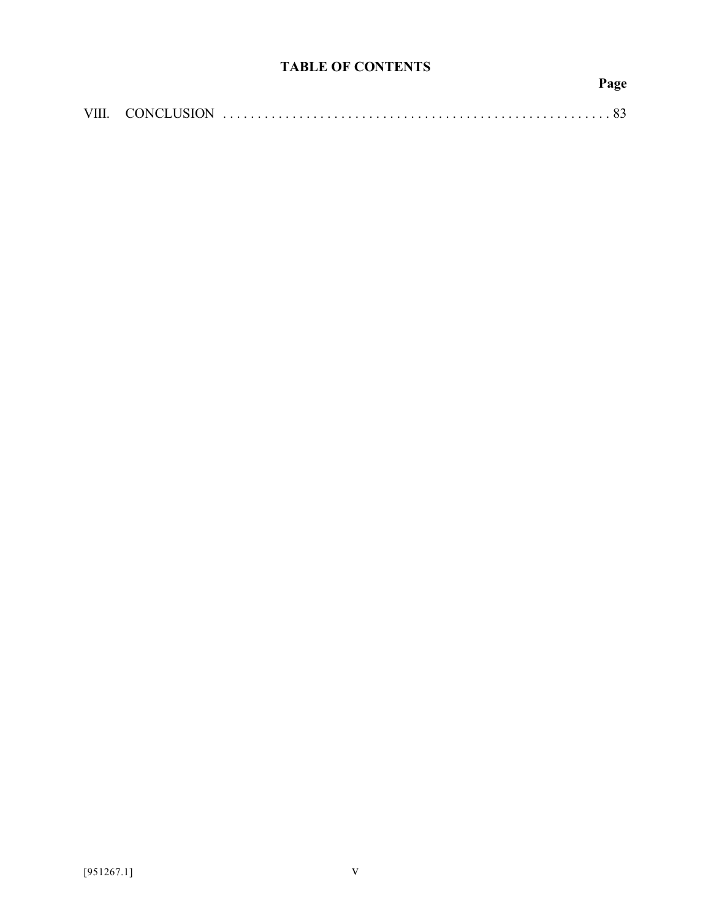**Page**

|--|--|--|--|--|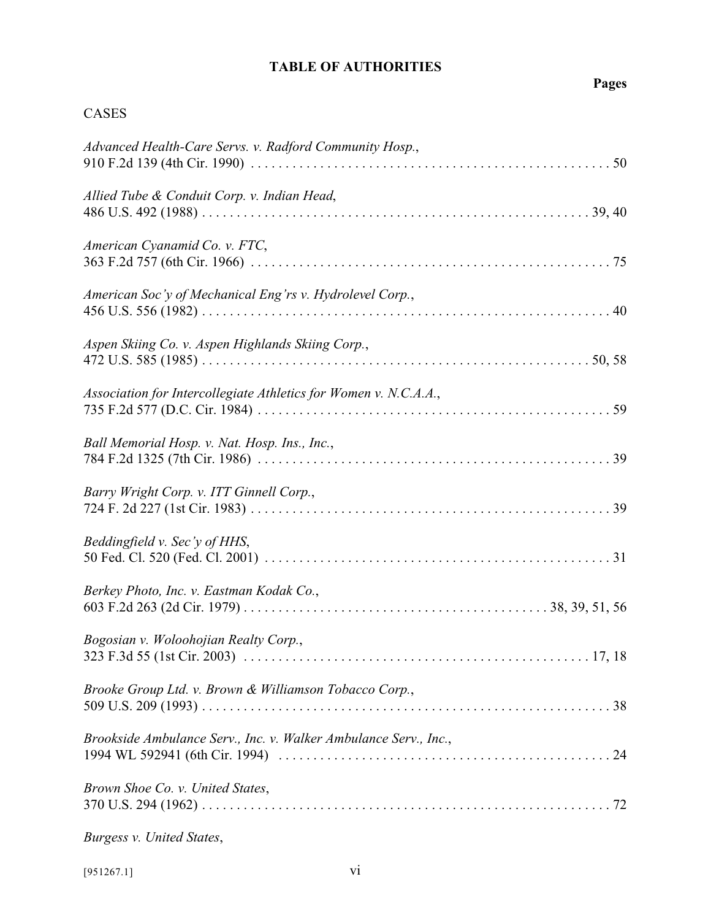# **Pages**

### CASES

| Advanced Health-Care Servs. v. Radford Community Hosp.,          |
|------------------------------------------------------------------|
| Allied Tube & Conduit Corp. v. Indian Head,                      |
| American Cyanamid Co. v. FTC,                                    |
| American Soc'y of Mechanical Eng'rs v. Hydrolevel Corp.,         |
| Aspen Skiing Co. v. Aspen Highlands Skiing Corp.,                |
| Association for Intercollegiate Athletics for Women v. N.C.A.A., |
| Ball Memorial Hosp. v. Nat. Hosp. Ins., Inc.,                    |
| Barry Wright Corp. v. ITT Ginnell Corp.,                         |
| Beddingfield v. Sec'y of HHS,                                    |
| Berkey Photo, Inc. v. Eastman Kodak Co.,                         |
| Bogosian v. Woloohojian Realty Corp.,                            |
| Brooke Group Ltd. v. Brown & Williamson Tobacco Corp.,           |
| Brookside Ambulance Serv., Inc. v. Walker Ambulance Serv., Inc., |
| Brown Shoe Co. v. United States,                                 |

*Burgess v. United States*,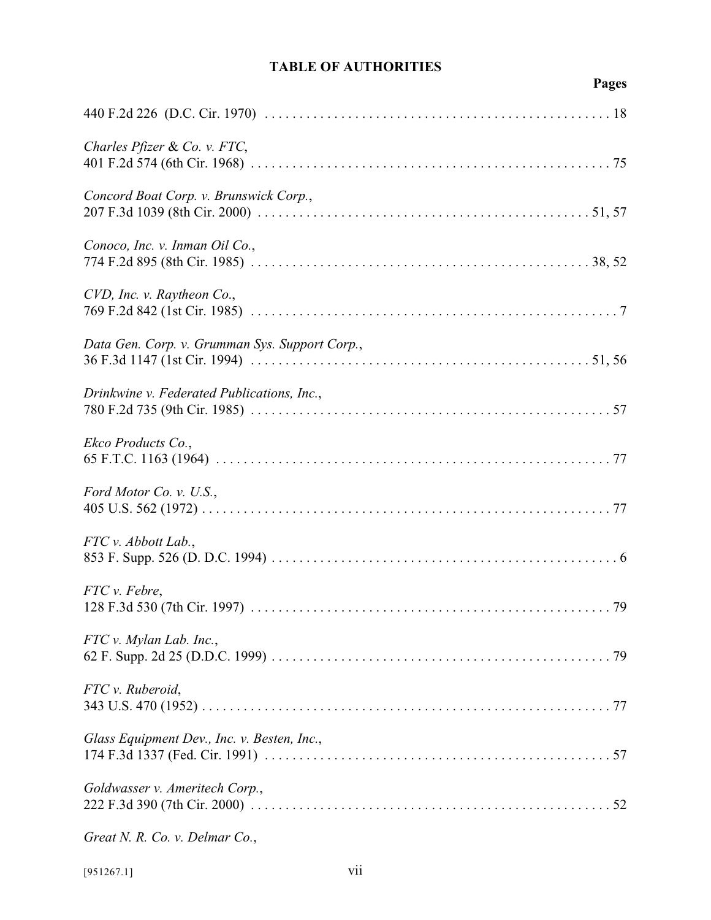# **Pages**

| Charles Pfizer & Co. v. FTC,                   |
|------------------------------------------------|
| Concord Boat Corp. v. Brunswick Corp.,         |
| Conoco, Inc. v. Inman Oil Co.,                 |
| CVD, Inc. v. Raytheon Co.,                     |
| Data Gen. Corp. v. Grumman Sys. Support Corp., |
| Drinkwine v. Federated Publications, Inc.,     |
| Ekco Products Co.,                             |
| Ford Motor Co. v. U.S.,                        |
| FTC v. Abbott Lab.,                            |
| FTC v. Febre,                                  |
| FTC v. Mylan Lab. Inc.,                        |
| FTC v. Ruberoid,                               |
| Glass Equipment Dev., Inc. v. Besten, Inc.,    |
| Goldwasser v. Ameritech Corp.,                 |
| Great N. R. Co. v. Delmar Co.,                 |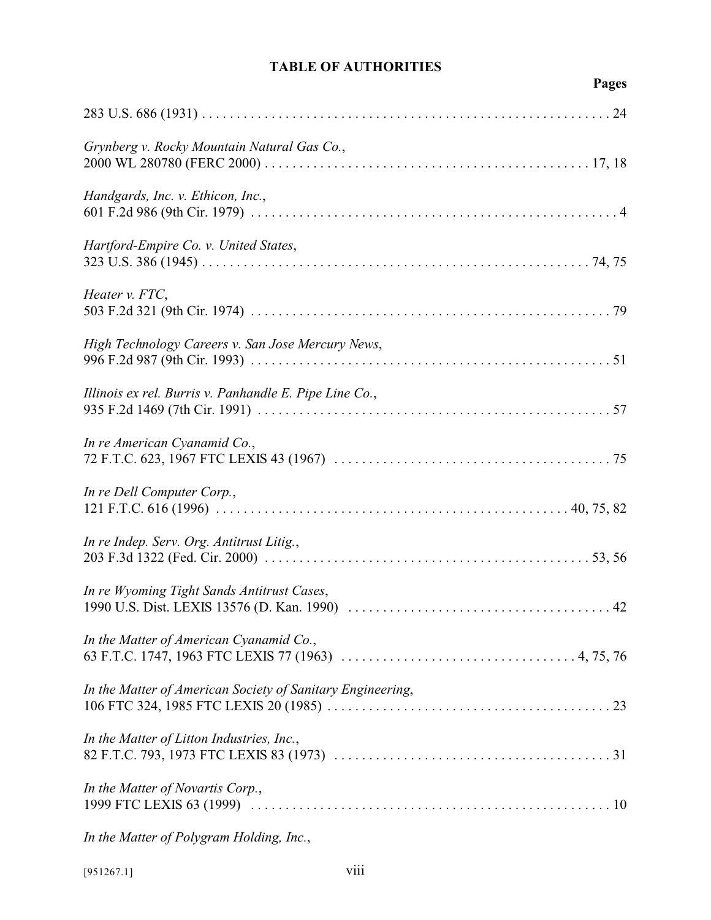# **Pages**

| Grynberg v. Rocky Mountain Natural Gas Co.,                |
|------------------------------------------------------------|
| Handgards, Inc. v. Ethicon, Inc.,                          |
| Hartford-Empire Co. v. United States,                      |
| Heater v. FTC,                                             |
| High Technology Careers v. San Jose Mercury News,          |
| Illinois ex rel. Burris v. Panhandle E. Pipe Line Co.,     |
| In re American Cyanamid Co.,                               |
| In re Dell Computer Corp.,                                 |
| In re Indep. Serv. Org. Antitrust Litig.,                  |
| In re Wyoming Tight Sands Antitrust Cases,                 |
| In the Matter of American Cyanamid Co.,                    |
| In the Matter of American Society of Sanitary Engineering, |
| In the Matter of Litton Industries, Inc.,                  |
| In the Matter of Novartis Corp.,                           |
|                                                            |

*In the Matter of Polygram Holding, Inc.*,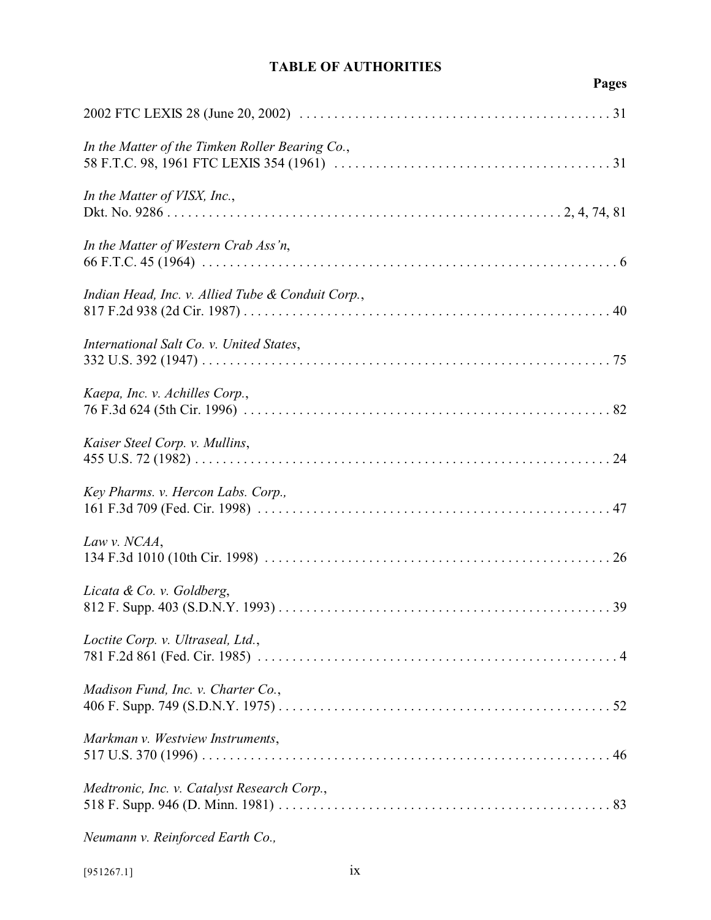| э<br>Œ<br>ı |
|-------------|
|-------------|

| In the Matter of the Timken Roller Bearing Co.,   |
|---------------------------------------------------|
| In the Matter of VISX, Inc.,                      |
| In the Matter of Western Crab Ass'n,              |
| Indian Head, Inc. v. Allied Tube & Conduit Corp., |
| International Salt Co. v. United States,          |
| Kaepa, Inc. v. Achilles Corp.,                    |
| Kaiser Steel Corp. v. Mullins,                    |
| Key Pharms. v. Hercon Labs. Corp.,                |
| Law v. NCAA,                                      |
| Licata & Co. v. Goldberg,                         |
| Loctite Corp. v. Ultraseal, Ltd.,                 |
| Madison Fund, Inc. v. Charter Co.,                |
| Markman v. Westview Instruments,                  |
| Medtronic, Inc. v. Catalyst Research Corp.,       |
| Neumann v. Reinforced Earth Co.,                  |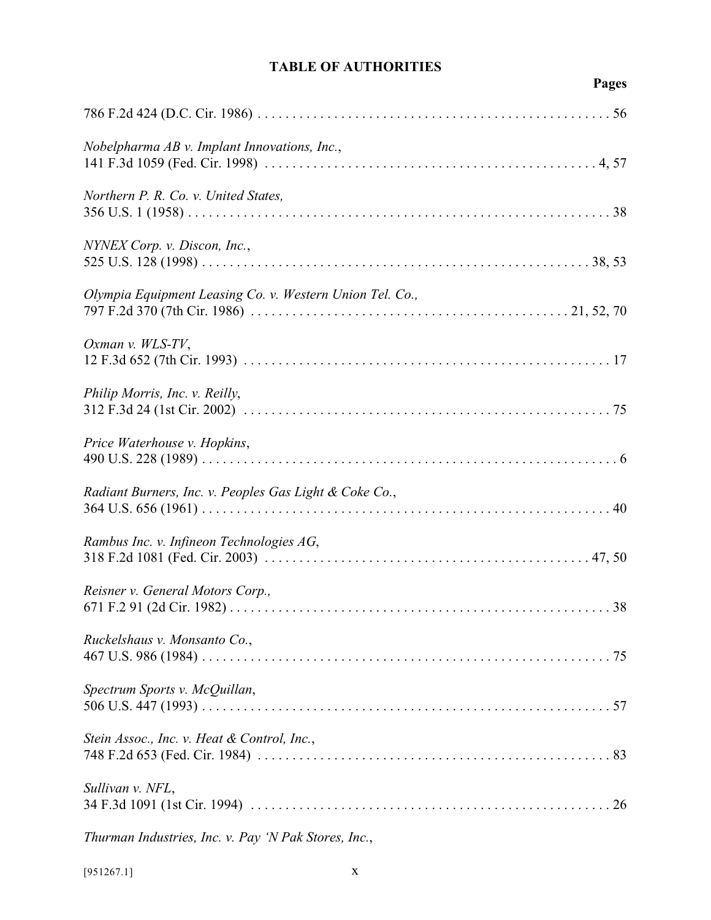# **Pages**

| Nobelpharma AB v. Implant Innovations, Inc.,             |
|----------------------------------------------------------|
| Northern P. R. Co. v. United States,                     |
| NYNEX Corp. v. Discon, Inc.,                             |
| Olympia Equipment Leasing Co. v. Western Union Tel. Co., |
| Oxman v. WLS-TV,                                         |
| Philip Morris, Inc. v. Reilly,                           |
| Price Waterhouse v. Hopkins,                             |
| Radiant Burners, Inc. v. Peoples Gas Light & Coke Co.,   |
| Rambus Inc. v. Infineon Technologies AG,                 |
| Reisner v. General Motors Corp.,                         |
| Ruckelshaus v. Monsanto Co.,                             |
| Spectrum Sports v. McQuillan,                            |
| Stein Assoc., Inc. v. Heat & Control, Inc.,              |
| Sullivan v. NFL,                                         |
|                                                          |

*Thurman Industries, Inc. v. Pay 'N Pak Stores, Inc.*,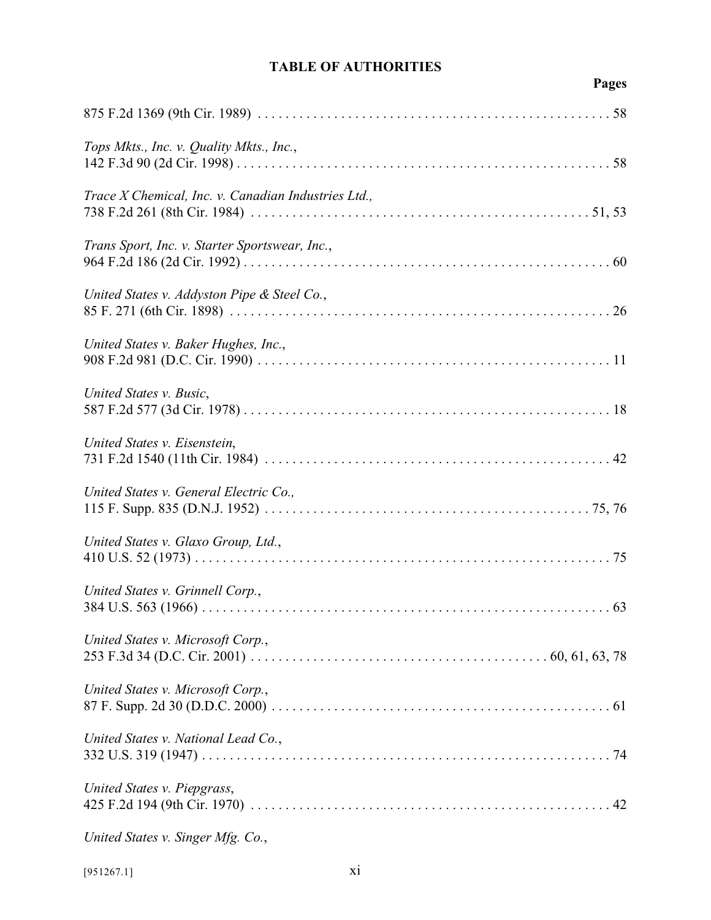# **Pages**

| Tops Mkts., Inc. v. Quality Mkts., Inc.,            |
|-----------------------------------------------------|
| Trace X Chemical, Inc. v. Canadian Industries Ltd., |
| Trans Sport, Inc. v. Starter Sportswear, Inc.,      |
| United States v. Addyston Pipe & Steel Co.,         |
| United States v. Baker Hughes, Inc.,                |
| United States v. Busic,                             |
| United States v. Eisenstein,                        |
| United States v. General Electric Co.,              |
| United States v. Glaxo Group, Ltd.,                 |
| United States v. Grinnell Corp.,                    |
| United States v. Microsoft Corp.,                   |
| United States v. Microsoft Corp.,                   |
| United States v. National Lead Co.,                 |
| United States v. Piepgrass,                         |
| United States v. Singer Mfg. Co.,                   |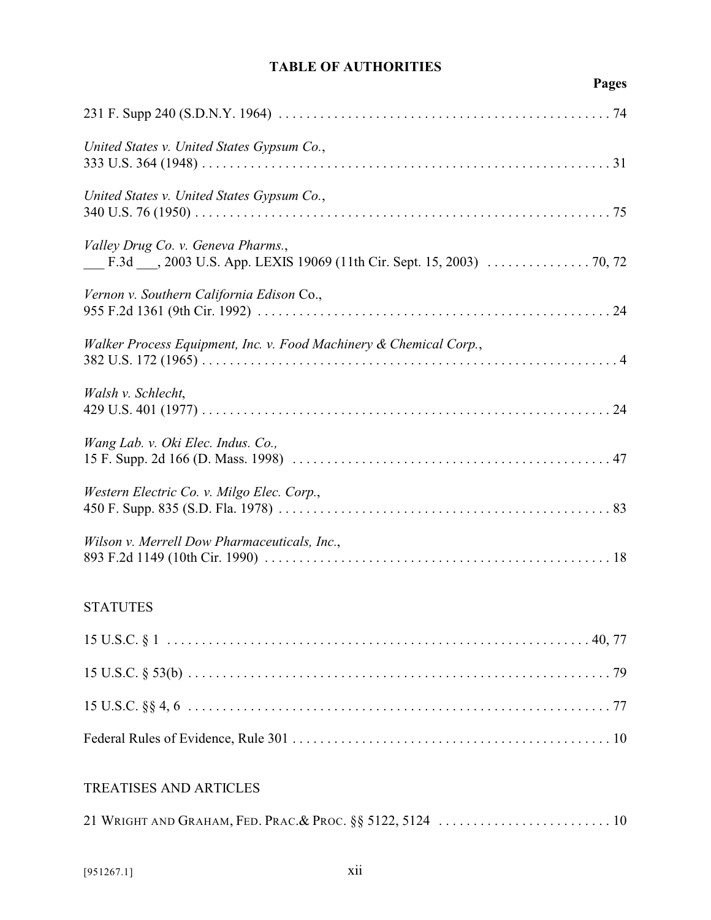# **Pages**

| United States v. United States Gypsum Co.,                         |
|--------------------------------------------------------------------|
| United States v. United States Gypsum Co.,                         |
| Valley Drug Co. v. Geneva Pharms.,                                 |
| Vernon v. Southern California Edison Co.,                          |
| Walker Process Equipment, Inc. v. Food Machinery & Chemical Corp., |
| Walsh v. Schlecht,                                                 |
| Wang Lab. v. Oki Elec. Indus. Co.,                                 |
| Western Electric Co. v. Milgo Elec. Corp.,                         |
| Wilson v. Merrell Dow Pharmaceuticals, Inc.,                       |
|                                                                    |

## **STATUTES**

# TREATISES AND ARTICLES

|--|--|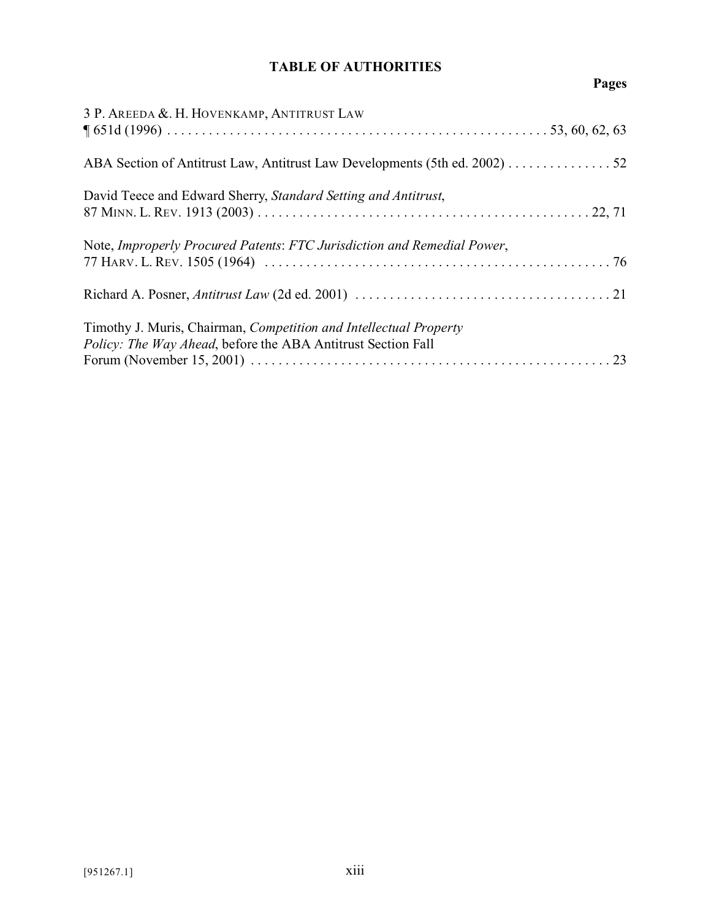# **Pages**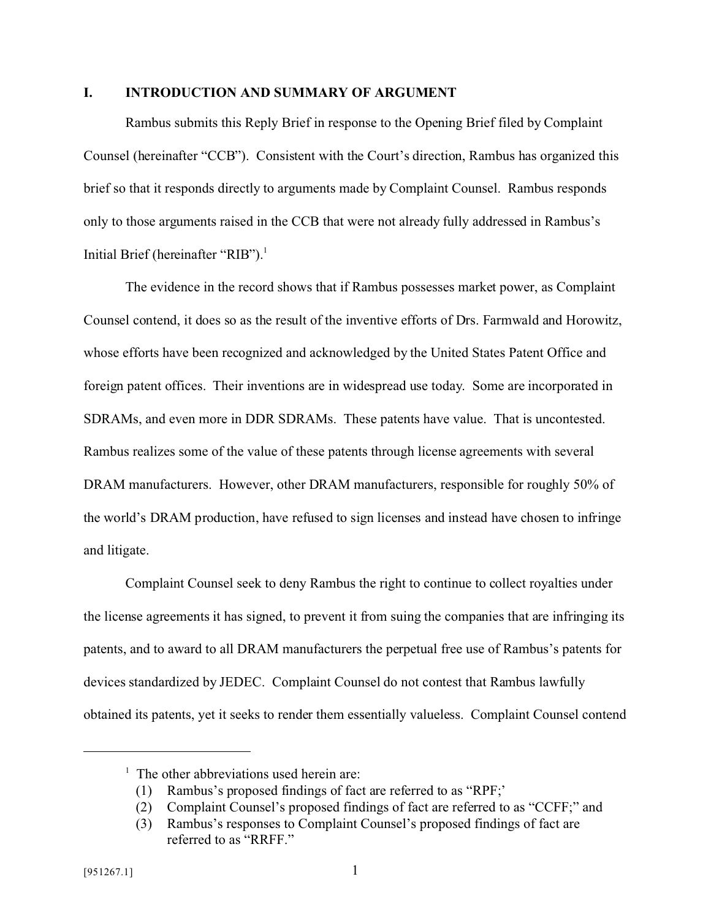#### **I. INTRODUCTION AND SUMMARY OF ARGUMENT**

Rambus submits this Reply Brief in response to the Opening Brief filed by Complaint Counsel (hereinafter "CCB"). Consistent with the Court's direction, Rambus has organized this brief so that it responds directly to arguments made by Complaint Counsel. Rambus responds only to those arguments raised in the CCB that were not already fully addressed in Rambus's Initial Brief (hereinafter "RIB").<sup>1</sup>

The evidence in the record shows that if Rambus possesses market power, as Complaint Counsel contend, it does so as the result of the inventive efforts of Drs. Farmwald and Horowitz, whose efforts have been recognized and acknowledged by the United States Patent Office and foreign patent offices. Their inventions are in widespread use today. Some are incorporated in SDRAMs, and even more in DDR SDRAMs. These patents have value. That is uncontested. Rambus realizes some of the value of these patents through license agreements with several DRAM manufacturers. However, other DRAM manufacturers, responsible for roughly 50% of the world's DRAM production, have refused to sign licenses and instead have chosen to infringe and litigate.

Complaint Counsel seek to deny Rambus the right to continue to collect royalties under the license agreements it has signed, to prevent it from suing the companies that are infringing its patents, and to award to all DRAM manufacturers the perpetual free use of Rambus's patents for devices standardized by JEDEC. Complaint Counsel do not contest that Rambus lawfully obtained its patents, yet it seeks to render them essentially valueless. Complaint Counsel contend

<sup>&</sup>lt;sup>1</sup> The other abbreviations used herein are:

<sup>(1)</sup> Rambus's proposed findings of fact are referred to as "RPF;'

<sup>(2)</sup> Complaint Counsel's proposed findings of fact are referred to as "CCFF;" and

<sup>(3)</sup> Rambus's responses to Complaint Counsel's proposed findings of fact are referred to as "RRFF."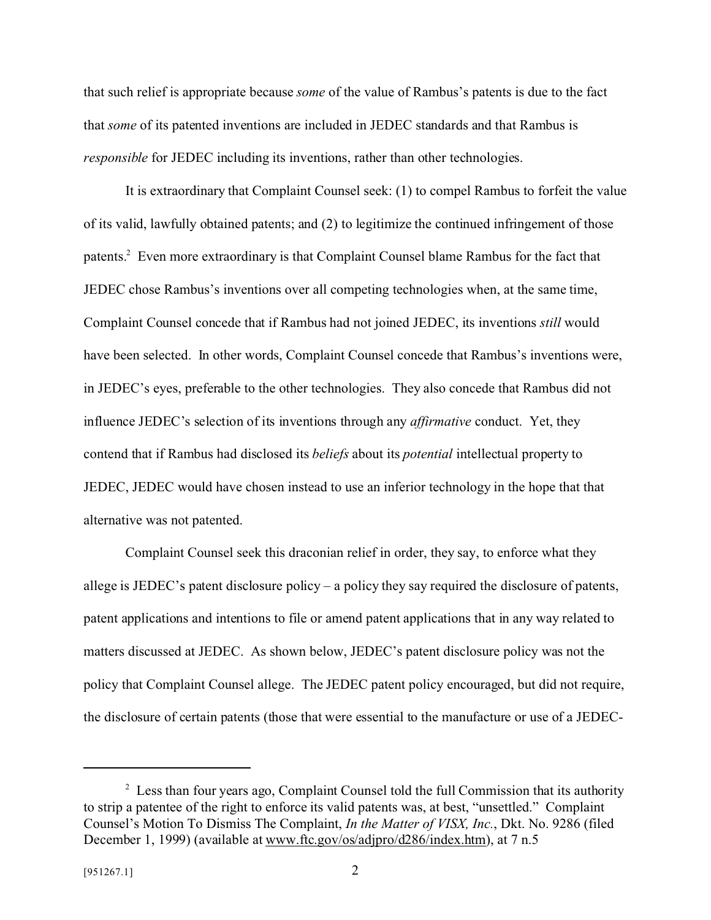that such relief is appropriate because *some* of the value of Rambus's patents is due to the fact that *some* of its patented inventions are included in JEDEC standards and that Rambus is *responsible* for JEDEC including its inventions, rather than other technologies.

It is extraordinary that Complaint Counsel seek: (1) to compel Rambus to forfeit the value of its valid, lawfully obtained patents; and (2) to legitimize the continued infringement of those patents.<sup>2</sup> Even more extraordinary is that Complaint Counsel blame Rambus for the fact that JEDEC chose Rambus's inventions over all competing technologies when, at the same time, Complaint Counsel concede that if Rambus had not joined JEDEC, its inventions *still* would have been selected. In other words, Complaint Counsel concede that Rambus's inventions were, in JEDEC's eyes, preferable to the other technologies. They also concede that Rambus did not influence JEDEC's selection of its inventions through any *affirmative* conduct. Yet, they contend that if Rambus had disclosed its *beliefs* about its *potential* intellectual property to JEDEC, JEDEC would have chosen instead to use an inferior technology in the hope that that alternative was not patented.

Complaint Counsel seek this draconian relief in order, they say, to enforce what they allege is JEDEC's patent disclosure policy – a policy they say required the disclosure of patents, patent applications and intentions to file or amend patent applications that in any way related to matters discussed at JEDEC. As shown below, JEDEC's patent disclosure policy was not the policy that Complaint Counsel allege. The JEDEC patent policy encouraged, but did not require, the disclosure of certain patents (those that were essential to the manufacture or use of a JEDEC-

 $2$  Less than four years ago, Complaint Counsel told the full Commission that its authority to strip a patentee of the right to enforce its valid patents was, at best, "unsettled." Complaint Counsel's Motion To Dismiss The Complaint, *In the Matter of VISX, Inc.*, Dkt. No. 9286 (filed December 1, 1999) (available at www.ftc.gov/os/adjpro/d286/index.htm), at 7 n.5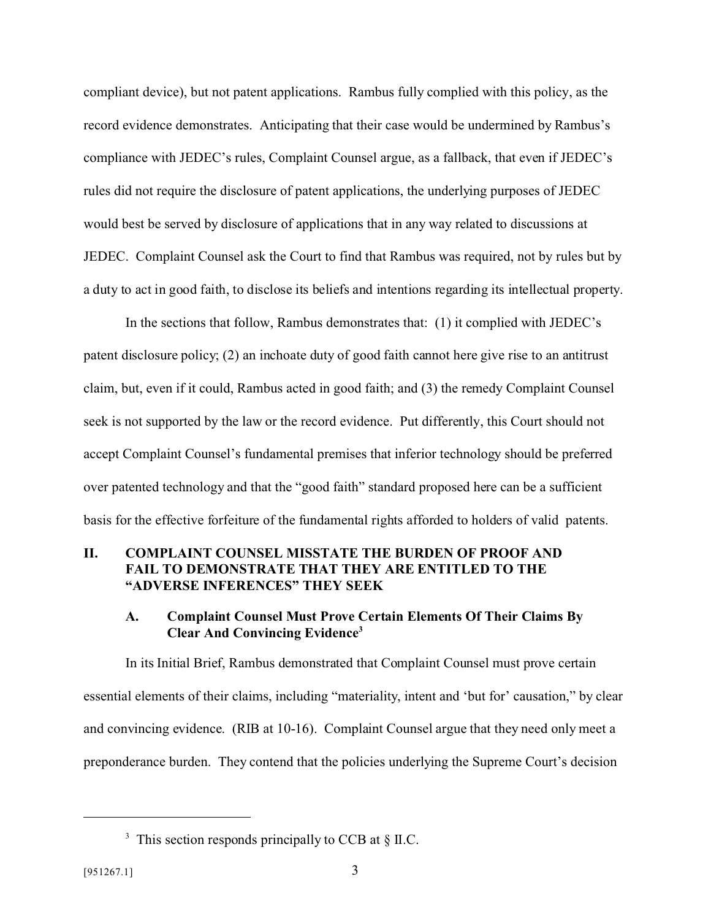compliant device), but not patent applications. Rambus fully complied with this policy, as the record evidence demonstrates. Anticipating that their case would be undermined by Rambus's compliance with JEDEC's rules, Complaint Counsel argue, as a fallback, that even if JEDEC's rules did not require the disclosure of patent applications, the underlying purposes of JEDEC would best be served by disclosure of applications that in any way related to discussions at JEDEC. Complaint Counsel ask the Court to find that Rambus was required, not by rules but by a duty to act in good faith, to disclose its beliefs and intentions regarding its intellectual property.

In the sections that follow, Rambus demonstrates that: (1) it complied with JEDEC's patent disclosure policy; (2) an inchoate duty of good faith cannot here give rise to an antitrust claim, but, even if it could, Rambus acted in good faith; and (3) the remedy Complaint Counsel seek is not supported by the law or the record evidence. Put differently, this Court should not accept Complaint Counsel's fundamental premises that inferior technology should be preferred over patented technology and that the "good faith" standard proposed here can be a sufficient basis for the effective forfeiture of the fundamental rights afforded to holders of valid patents.

### **II. COMPLAINT COUNSEL MISSTATE THE BURDEN OF PROOF AND FAIL TO DEMONSTRATE THAT THEY ARE ENTITLED TO THE "ADVERSE INFERENCES" THEY SEEK**

#### **A. Complaint Counsel Must Prove Certain Elements Of Their Claims By Clear And Convincing Evidence<sup>3</sup>**

In its Initial Brief, Rambus demonstrated that Complaint Counsel must prove certain essential elements of their claims, including "materiality, intent and 'but for' causation," by clear and convincing evidence. (RIB at 10-16). Complaint Counsel argue that they need only meet a preponderance burden. They contend that the policies underlying the Supreme Court's decision

 $3$  This section responds principally to CCB at  $\S$  II.C.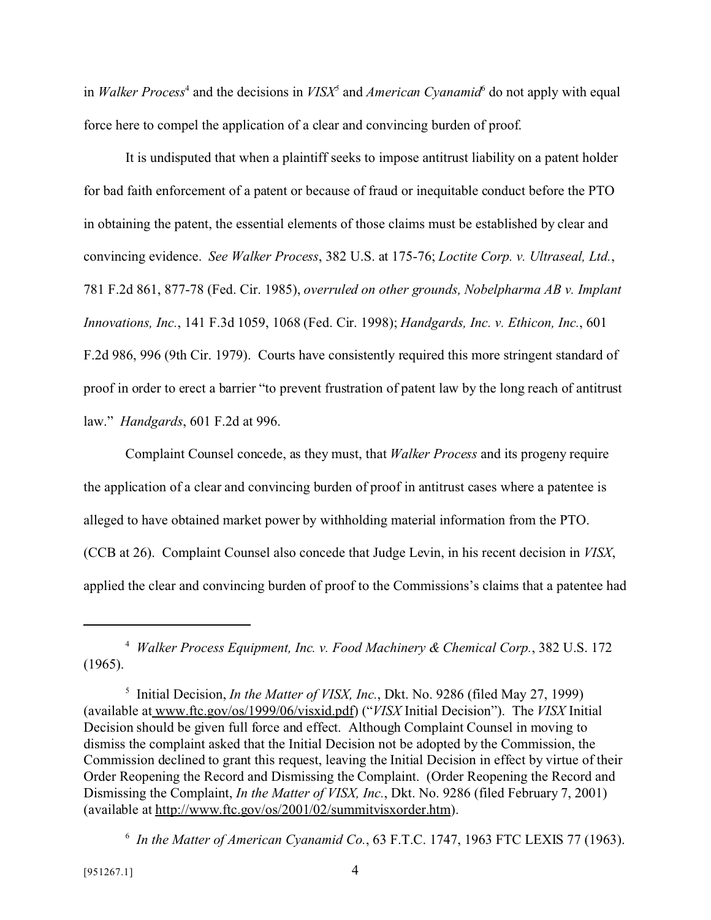in *Walker Process*<sup>4</sup> and the decisions in *VISX*<sup>5</sup> and *American Cyanamid*<sup>6</sup> do not apply with equal force here to compel the application of a clear and convincing burden of proof.

It is undisputed that when a plaintiff seeks to impose antitrust liability on a patent holder for bad faith enforcement of a patent or because of fraud or inequitable conduct before the PTO in obtaining the patent, the essential elements of those claims must be established by clear and convincing evidence. *See Walker Process*, 382 U.S. at 175-76; *Loctite Corp. v. Ultraseal, Ltd.*, 781 F.2d 861, 877-78 (Fed. Cir. 1985), *overruled on other grounds, Nobelpharma AB v. Implant Innovations, Inc.*, 141 F.3d 1059, 1068 (Fed. Cir. 1998); *Handgards, Inc. v. Ethicon, Inc.*, 601 F.2d 986, 996 (9th Cir. 1979). Courts have consistently required this more stringent standard of proof in order to erect a barrier "to prevent frustration of patent law by the long reach of antitrust law." *Handgards*, 601 F.2d at 996.

Complaint Counsel concede, as they must, that *Walker Process* and its progeny require the application of a clear and convincing burden of proof in antitrust cases where a patentee is alleged to have obtained market power by withholding material information from the PTO. (CCB at 26). Complaint Counsel also concede that Judge Levin, in his recent decision in *VISX*, applied the clear and convincing burden of proof to the Commissions's claims that a patentee had

<sup>4</sup> *Walker Process Equipment, Inc. v. Food Machinery & Chemical Corp.*, 382 U.S. 172 (1965).

<sup>5</sup> Initial Decision, *In the Matter of VISX, Inc.*, Dkt. No. 9286 (filed May 27, 1999) (available at www.ftc.gov/os/1999/06/visxid.pdf) ("*VISX* Initial Decision"). The *VISX* Initial Decision should be given full force and effect. Although Complaint Counsel in moving to dismiss the complaint asked that the Initial Decision not be adopted by the Commission, the Commission declined to grant this request, leaving the Initial Decision in effect by virtue of their Order Reopening the Record and Dismissing the Complaint. (Order Reopening the Record and Dismissing the Complaint, *In the Matter of VISX, Inc.*, Dkt. No. 9286 (filed February 7, 2001) (available at http://www.ftc.gov/os/2001/02/summitvisxorder.htm).

<sup>6</sup> *In the Matter of American Cyanamid Co.*, 63 F.T.C. 1747, 1963 FTC LEXIS 77 (1963).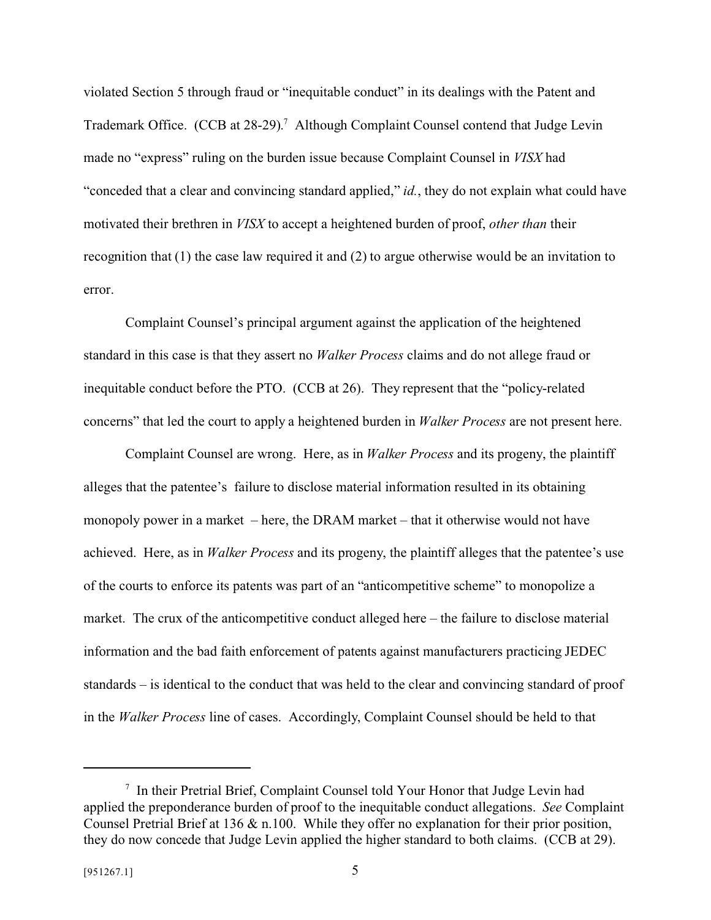violated Section 5 through fraud or "inequitable conduct" in its dealings with the Patent and Trademark Office. (CCB at 28-29).<sup>7</sup> Although Complaint Counsel contend that Judge Levin made no "express" ruling on the burden issue because Complaint Counsel in *VISX* had "conceded that a clear and convincing standard applied," *id.*, they do not explain what could have motivated their brethren in *VISX* to accept a heightened burden of proof, *other than* their recognition that (1) the case law required it and (2) to argue otherwise would be an invitation to error.

Complaint Counsel's principal argument against the application of the heightened standard in this case is that they assert no *Walker Process* claims and do not allege fraud or inequitable conduct before the PTO. (CCB at 26). They represent that the "policy-related concerns" that led the court to apply a heightened burden in *Walker Process* are not present here.

Complaint Counsel are wrong. Here, as in *Walker Process* and its progeny, the plaintiff alleges that the patentee's failure to disclose material information resulted in its obtaining monopoly power in a market – here, the DRAM market – that it otherwise would not have achieved. Here, as in *Walker Process* and its progeny, the plaintiff alleges that the patentee's use of the courts to enforce its patents was part of an "anticompetitive scheme" to monopolize a market. The crux of the anticompetitive conduct alleged here – the failure to disclose material information and the bad faith enforcement of patents against manufacturers practicing JEDEC standards – is identical to the conduct that was held to the clear and convincing standard of proof in the *Walker Process* line of cases. Accordingly, Complaint Counsel should be held to that

<sup>7</sup> In their Pretrial Brief, Complaint Counsel told Your Honor that Judge Levin had applied the preponderance burden of proof to the inequitable conduct allegations. *See* Complaint Counsel Pretrial Brief at 136 & n.100. While they offer no explanation for their prior position, they do now concede that Judge Levin applied the higher standard to both claims. (CCB at 29).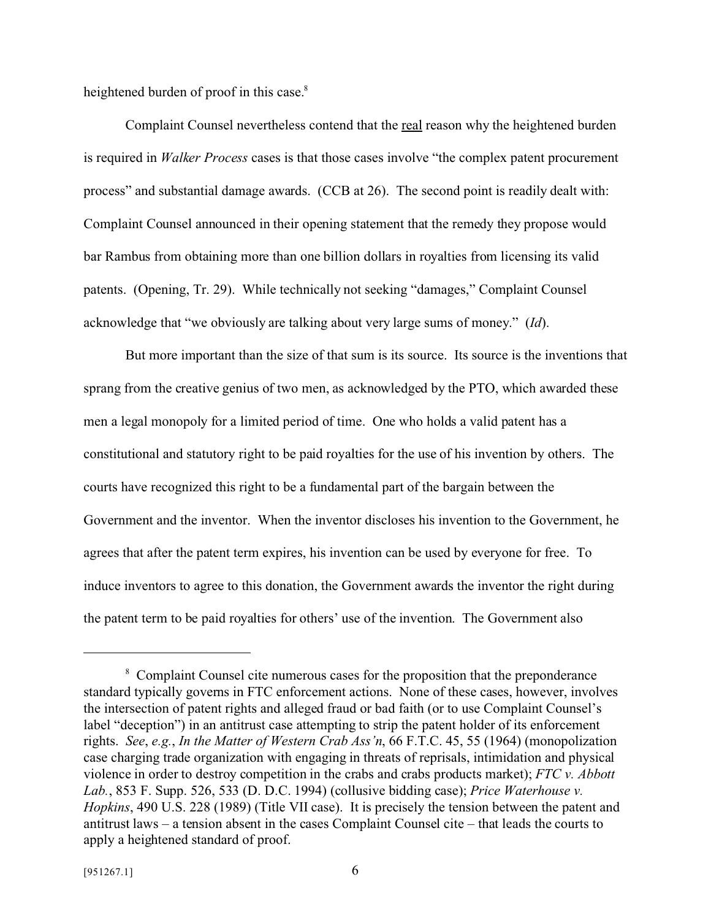heightened burden of proof in this case.<sup>8</sup>

Complaint Counsel nevertheless contend that the real reason why the heightened burden is required in *Walker Process* cases is that those cases involve "the complex patent procurement process" and substantial damage awards. (CCB at 26). The second point is readily dealt with: Complaint Counsel announced in their opening statement that the remedy they propose would bar Rambus from obtaining more than one billion dollars in royalties from licensing its valid patents. (Opening, Tr. 29). While technically not seeking "damages," Complaint Counsel acknowledge that "we obviously are talking about very large sums of money." (*Id*).

But more important than the size of that sum is its source. Its source is the inventions that sprang from the creative genius of two men, as acknowledged by the PTO, which awarded these men a legal monopoly for a limited period of time. One who holds a valid patent has a constitutional and statutory right to be paid royalties for the use of his invention by others. The courts have recognized this right to be a fundamental part of the bargain between the Government and the inventor. When the inventor discloses his invention to the Government, he agrees that after the patent term expires, his invention can be used by everyone for free. To induce inventors to agree to this donation, the Government awards the inventor the right during the patent term to be paid royalties for others' use of the invention. The Government also

<sup>&</sup>lt;sup>8</sup> Complaint Counsel cite numerous cases for the proposition that the preponderance standard typically governs in FTC enforcement actions. None of these cases, however, involves the intersection of patent rights and alleged fraud or bad faith (or to use Complaint Counsel's label "deception") in an antitrust case attempting to strip the patent holder of its enforcement rights. *See*, *e.g.*, *In the Matter of Western Crab Ass'n*, 66 F.T.C. 45, 55 (1964) (monopolization case charging trade organization with engaging in threats of reprisals, intimidation and physical violence in order to destroy competition in the crabs and crabs products market); *FTC v. Abbott Lab.*, 853 F. Supp. 526, 533 (D. D.C. 1994) (collusive bidding case); *Price Waterhouse v. Hopkins*, 490 U.S. 228 (1989) (Title VII case). It is precisely the tension between the patent and antitrust laws – a tension absent in the cases Complaint Counsel cite – that leads the courts to apply a heightened standard of proof.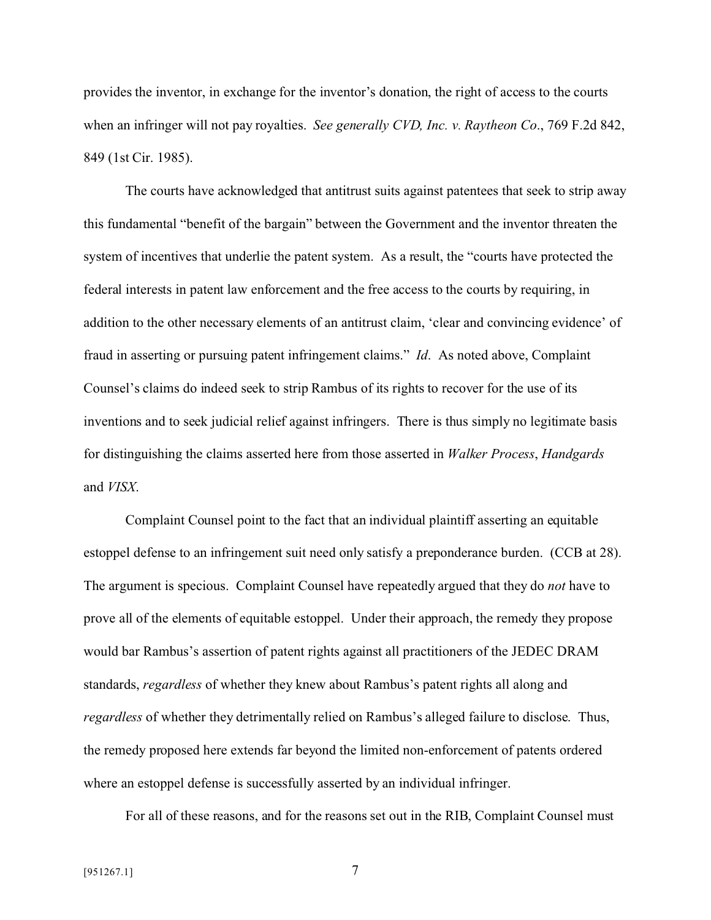provides the inventor, in exchange for the inventor's donation, the right of access to the courts when an infringer will not pay royalties. *See generally CVD, Inc. v. Raytheon Co*., 769 F.2d 842, 849 (1st Cir. 1985).

The courts have acknowledged that antitrust suits against patentees that seek to strip away this fundamental "benefit of the bargain" between the Government and the inventor threaten the system of incentives that underlie the patent system. As a result, the "courts have protected the federal interests in patent law enforcement and the free access to the courts by requiring, in addition to the other necessary elements of an antitrust claim, 'clear and convincing evidence' of fraud in asserting or pursuing patent infringement claims." *Id*. As noted above, Complaint Counsel's claims do indeed seek to strip Rambus of its rights to recover for the use of its inventions and to seek judicial relief against infringers. There is thus simply no legitimate basis for distinguishing the claims asserted here from those asserted in *Walker Process*, *Handgards* and *VISX*.

Complaint Counsel point to the fact that an individual plaintiff asserting an equitable estoppel defense to an infringement suit need only satisfy a preponderance burden. (CCB at 28). The argument is specious. Complaint Counsel have repeatedly argued that they do *not* have to prove all of the elements of equitable estoppel. Under their approach, the remedy they propose would bar Rambus's assertion of patent rights against all practitioners of the JEDEC DRAM standards, *regardless* of whether they knew about Rambus's patent rights all along and *regardless* of whether they detrimentally relied on Rambus's alleged failure to disclose. Thus, the remedy proposed here extends far beyond the limited non-enforcement of patents ordered where an estoppel defense is successfully asserted by an individual infringer.

For all of these reasons, and for the reasons set out in the RIB, Complaint Counsel must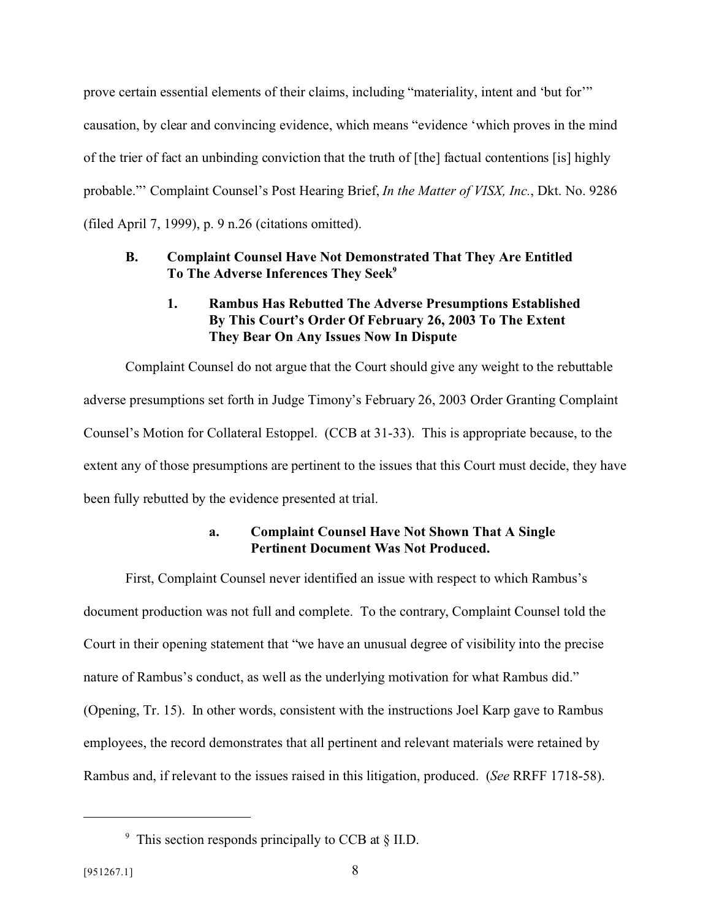prove certain essential elements of their claims, including "materiality, intent and 'but for'" causation, by clear and convincing evidence, which means "evidence 'which proves in the mind of the trier of fact an unbinding conviction that the truth of [the] factual contentions [is] highly probable."' Complaint Counsel's Post Hearing Brief, *In the Matter of VISX, Inc.*, Dkt. No. 9286 (filed April 7, 1999), p. 9 n.26 (citations omitted).

### **B. Complaint Counsel Have Not Demonstrated That They Are Entitled To The Adverse Inferences They Seek<sup>9</sup>**

### **1. Rambus Has Rebutted The Adverse Presumptions Established By This Court's Order Of February 26, 2003 To The Extent They Bear On Any Issues Now In Dispute**

Complaint Counsel do not argue that the Court should give any weight to the rebuttable adverse presumptions set forth in Judge Timony's February 26, 2003 Order Granting Complaint Counsel's Motion for Collateral Estoppel. (CCB at 31-33). This is appropriate because, to the extent any of those presumptions are pertinent to the issues that this Court must decide, they have been fully rebutted by the evidence presented at trial.

### **a. Complaint Counsel Have Not Shown That A Single Pertinent Document Was Not Produced.**

First, Complaint Counsel never identified an issue with respect to which Rambus's document production was not full and complete. To the contrary, Complaint Counsel told the Court in their opening statement that "we have an unusual degree of visibility into the precise nature of Rambus's conduct, as well as the underlying motivation for what Rambus did." (Opening, Tr. 15). In other words, consistent with the instructions Joel Karp gave to Rambus employees, the record demonstrates that all pertinent and relevant materials were retained by Rambus and, if relevant to the issues raised in this litigation, produced. (*See* RRFF 1718-58).

<sup>9</sup> This section responds principally to CCB at § II.D.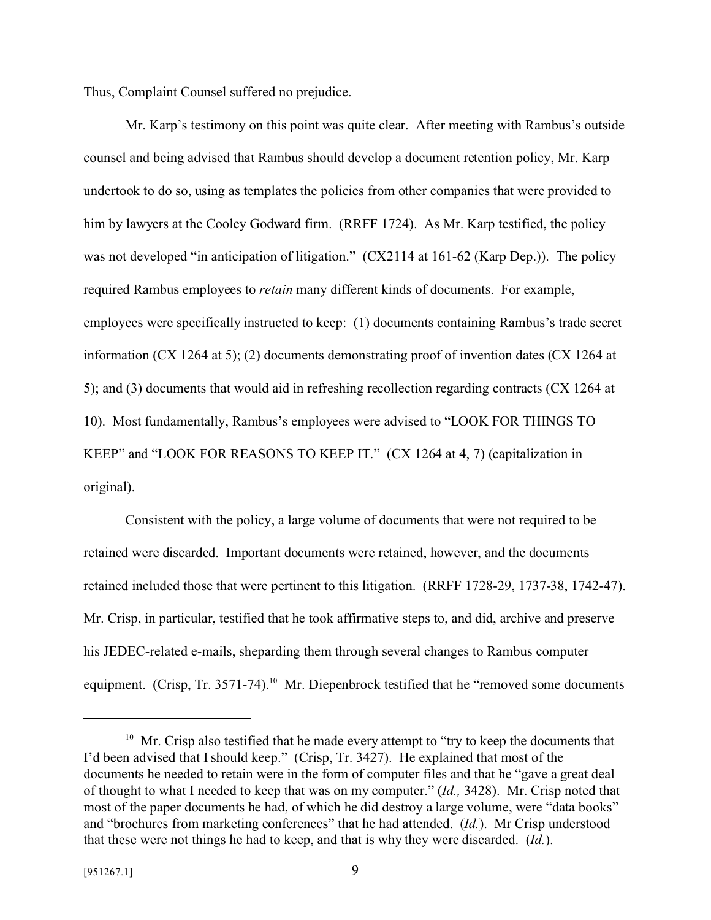Thus, Complaint Counsel suffered no prejudice.

Mr. Karp's testimony on this point was quite clear. After meeting with Rambus's outside counsel and being advised that Rambus should develop a document retention policy, Mr. Karp undertook to do so, using as templates the policies from other companies that were provided to him by lawyers at the Cooley Godward firm. (RRFF 1724). As Mr. Karp testified, the policy was not developed "in anticipation of litigation." (CX2114 at 161-62 (Karp Dep.)). The policy required Rambus employees to *retain* many different kinds of documents. For example, employees were specifically instructed to keep: (1) documents containing Rambus's trade secret information (CX 1264 at 5); (2) documents demonstrating proof of invention dates (CX 1264 at 5); and (3) documents that would aid in refreshing recollection regarding contracts (CX 1264 at 10). Most fundamentally, Rambus's employees were advised to "LOOK FOR THINGS TO KEEP" and "LOOK FOR REASONS TO KEEP IT." (CX 1264 at 4, 7) (capitalization in original).

Consistent with the policy, a large volume of documents that were not required to be retained were discarded. Important documents were retained, however, and the documents retained included those that were pertinent to this litigation. (RRFF 1728-29, 1737-38, 1742-47). Mr. Crisp, in particular, testified that he took affirmative steps to, and did, archive and preserve his JEDEC-related e-mails, sheparding them through several changes to Rambus computer equipment. (Crisp, Tr. 3571-74).<sup>10</sup> Mr. Diepenbrock testified that he "removed some documents"

<sup>&</sup>lt;sup>10</sup> Mr. Crisp also testified that he made every attempt to "try to keep the documents that I'd been advised that I should keep." (Crisp, Tr. 3427). He explained that most of the documents he needed to retain were in the form of computer files and that he "gave a great deal of thought to what I needed to keep that was on my computer." (*Id.,* 3428). Mr. Crisp noted that most of the paper documents he had, of which he did destroy a large volume, were "data books" and "brochures from marketing conferences" that he had attended. (*Id.*). Mr Crisp understood that these were not things he had to keep, and that is why they were discarded. (*Id.*).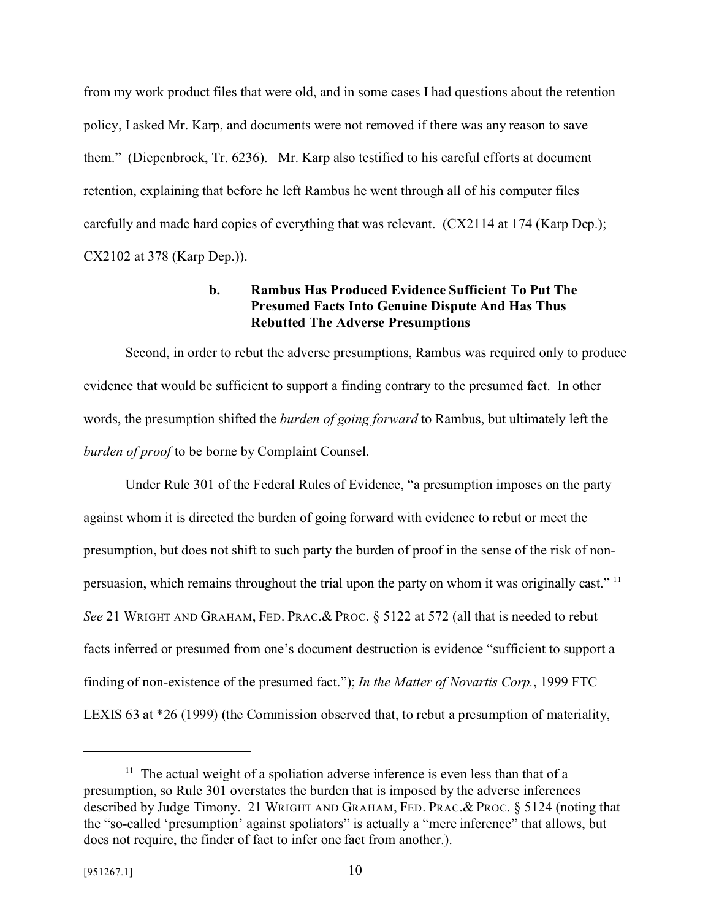from my work product files that were old, and in some cases I had questions about the retention policy, I asked Mr. Karp, and documents were not removed if there was any reason to save them." (Diepenbrock, Tr. 6236). Mr. Karp also testified to his careful efforts at document retention, explaining that before he left Rambus he went through all of his computer files carefully and made hard copies of everything that was relevant. (CX2114 at 174 (Karp Dep.); CX2102 at 378 (Karp Dep.)).

### **b. Rambus Has Produced Evidence Sufficient To Put The Presumed Facts Into Genuine Dispute And Has Thus Rebutted The Adverse Presumptions**

Second, in order to rebut the adverse presumptions, Rambus was required only to produce evidence that would be sufficient to support a finding contrary to the presumed fact. In other words, the presumption shifted the *burden of going forward* to Rambus, but ultimately left the *burden of proof* to be borne by Complaint Counsel.

Under Rule 301 of the Federal Rules of Evidence, "a presumption imposes on the party against whom it is directed the burden of going forward with evidence to rebut or meet the presumption, but does not shift to such party the burden of proof in the sense of the risk of nonpersuasion, which remains throughout the trial upon the party on whom it was originally cast."<sup>11</sup> *See* 21 WRIGHT AND GRAHAM, FED. PRAC.& PROC. § 5122 at 572 (all that is needed to rebut facts inferred or presumed from one's document destruction is evidence "sufficient to support a finding of non-existence of the presumed fact."); *In the Matter of Novartis Corp.*, 1999 FTC LEXIS 63 at \*26 (1999) (the Commission observed that, to rebut a presumption of materiality,

 $11$  The actual weight of a spoliation adverse inference is even less than that of a presumption, so Rule 301 overstates the burden that is imposed by the adverse inferences described by Judge Timony. 21 WRIGHT AND GRAHAM, FED. PRAC.& PROC. § 5124 (noting that the "so-called 'presumption' against spoliators" is actually a "mere inference" that allows, but does not require, the finder of fact to infer one fact from another.).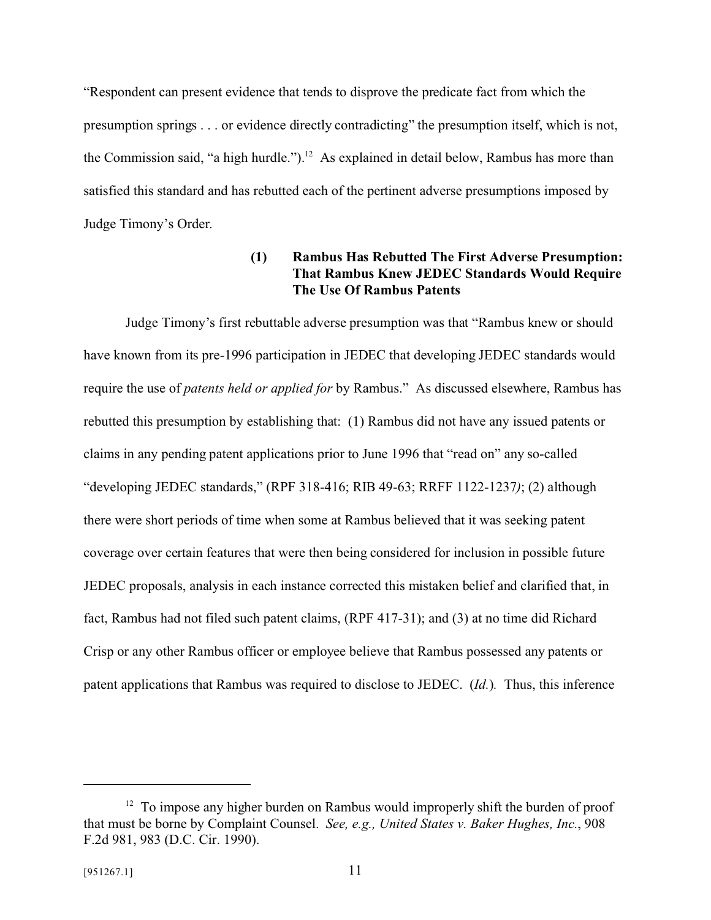"Respondent can present evidence that tends to disprove the predicate fact from which the presumption springs . . . or evidence directly contradicting" the presumption itself, which is not, the Commission said, "a high hurdle.").<sup>12</sup> As explained in detail below, Rambus has more than satisfied this standard and has rebutted each of the pertinent adverse presumptions imposed by Judge Timony's Order.

### **(1) Rambus Has Rebutted The First Adverse Presumption: That Rambus Knew JEDEC Standards Would Require The Use Of Rambus Patents**

Judge Timony's first rebuttable adverse presumption was that "Rambus knew or should have known from its pre-1996 participation in JEDEC that developing JEDEC standards would require the use of *patents held or applied for* by Rambus." As discussed elsewhere, Rambus has rebutted this presumption by establishing that: (1) Rambus did not have any issued patents or claims in any pending patent applications prior to June 1996 that "read on" any so-called "developing JEDEC standards," (RPF 318-416; RIB 49-63; RRFF 1122-1237*)*; (2) although there were short periods of time when some at Rambus believed that it was seeking patent coverage over certain features that were then being considered for inclusion in possible future JEDEC proposals, analysis in each instance corrected this mistaken belief and clarified that, in fact, Rambus had not filed such patent claims, (RPF 417-31); and (3) at no time did Richard Crisp or any other Rambus officer or employee believe that Rambus possessed any patents or patent applications that Rambus was required to disclose to JEDEC. (*Id.*)*.* Thus, this inference

 $12$  To impose any higher burden on Rambus would improperly shift the burden of proof that must be borne by Complaint Counsel. *See, e.g., United States v. Baker Hughes, Inc.*, 908 F.2d 981, 983 (D.C. Cir. 1990).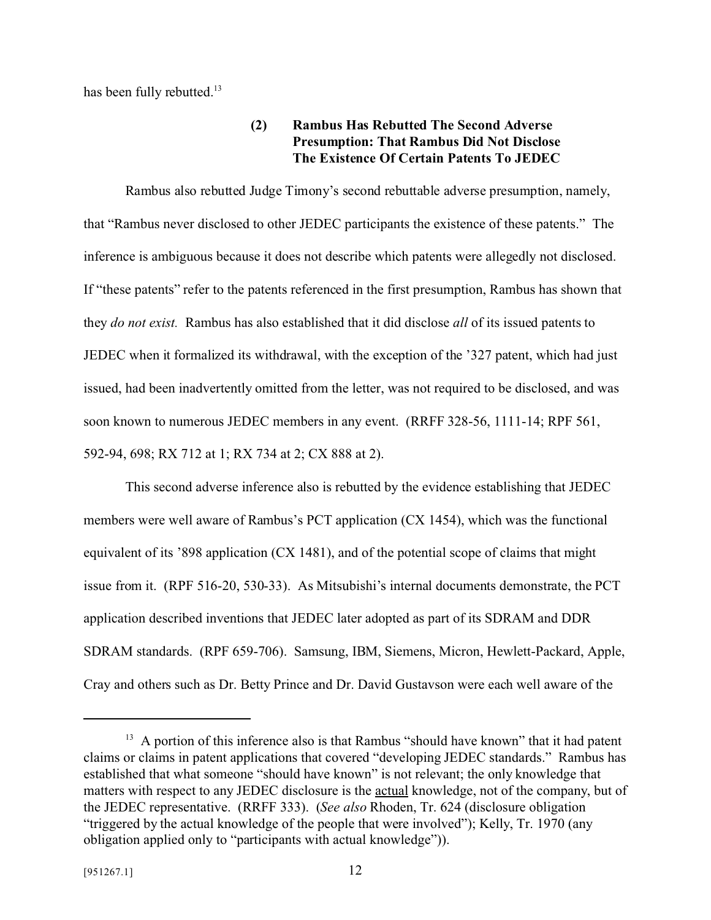has been fully rebutted.<sup>13</sup>

### **(2) Rambus Has Rebutted The Second Adverse Presumption: That Rambus Did Not Disclose The Existence Of Certain Patents To JEDEC**

Rambus also rebutted Judge Timony's second rebuttable adverse presumption, namely, that "Rambus never disclosed to other JEDEC participants the existence of these patents." The inference is ambiguous because it does not describe which patents were allegedly not disclosed. If "these patents" refer to the patents referenced in the first presumption, Rambus has shown that they *do not exist.* Rambus has also established that it did disclose *all* of its issued patents to JEDEC when it formalized its withdrawal, with the exception of the '327 patent, which had just issued, had been inadvertently omitted from the letter, was not required to be disclosed, and was soon known to numerous JEDEC members in any event. (RRFF 328-56, 1111-14; RPF 561, 592-94, 698; RX 712 at 1; RX 734 at 2; CX 888 at 2).

This second adverse inference also is rebutted by the evidence establishing that JEDEC members were well aware of Rambus's PCT application (CX 1454), which was the functional equivalent of its '898 application (CX 1481), and of the potential scope of claims that might issue from it. (RPF 516-20, 530-33). As Mitsubishi's internal documents demonstrate, the PCT application described inventions that JEDEC later adopted as part of its SDRAM and DDR SDRAM standards. (RPF 659-706). Samsung, IBM, Siemens, Micron, Hewlett-Packard, Apple, Cray and others such as Dr. Betty Prince and Dr. David Gustavson were each well aware of the

 $13$  A portion of this inference also is that Rambus "should have known" that it had patent claims or claims in patent applications that covered "developing JEDEC standards." Rambus has established that what someone "should have known" is not relevant; the only knowledge that matters with respect to any JEDEC disclosure is the actual knowledge, not of the company, but of the JEDEC representative. (RRFF 333). (*See also* Rhoden, Tr. 624 (disclosure obligation "triggered by the actual knowledge of the people that were involved"); Kelly, Tr. 1970 (any obligation applied only to "participants with actual knowledge")).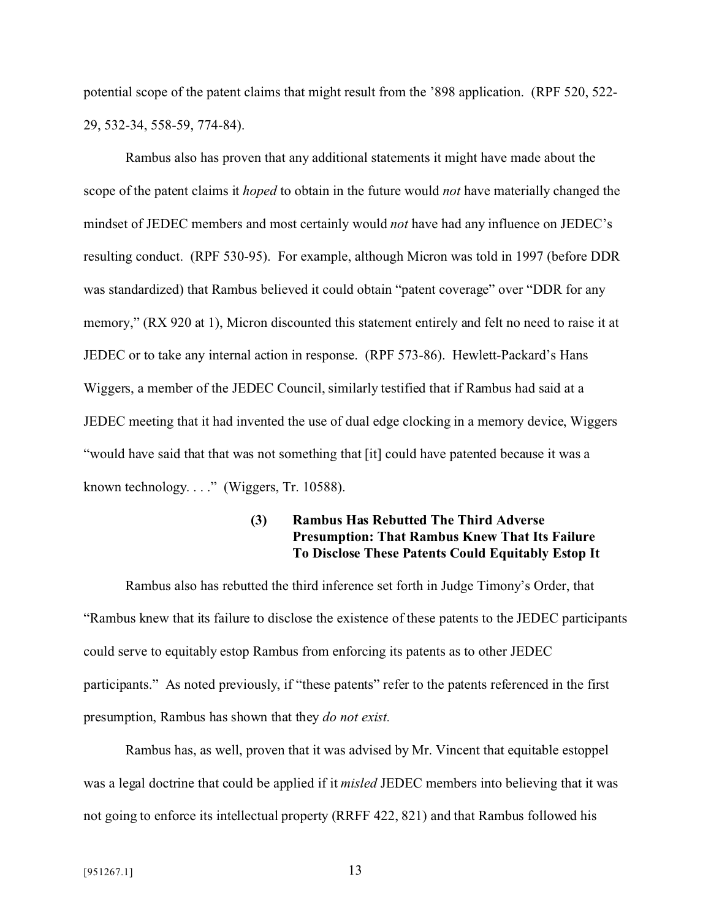potential scope of the patent claims that might result from the '898 application. (RPF 520, 522- 29, 532-34, 558-59, 774-84).

Rambus also has proven that any additional statements it might have made about the scope of the patent claims it *hoped* to obtain in the future would *not* have materially changed the mindset of JEDEC members and most certainly would *not* have had any influence on JEDEC's resulting conduct. (RPF 530-95). For example, although Micron was told in 1997 (before DDR was standardized) that Rambus believed it could obtain "patent coverage" over "DDR for any memory," (RX 920 at 1), Micron discounted this statement entirely and felt no need to raise it at JEDEC or to take any internal action in response. (RPF 573-86). Hewlett-Packard's Hans Wiggers, a member of the JEDEC Council, similarly testified that if Rambus had said at a JEDEC meeting that it had invented the use of dual edge clocking in a memory device, Wiggers "would have said that that was not something that [it] could have patented because it was a known technology. . . ." (Wiggers, Tr. 10588).

### **(3) Rambus Has Rebutted The Third Adverse Presumption: That Rambus Knew That Its Failure To Disclose These Patents Could Equitably Estop It**

Rambus also has rebutted the third inference set forth in Judge Timony's Order, that "Rambus knew that its failure to disclose the existence of these patents to the JEDEC participants could serve to equitably estop Rambus from enforcing its patents as to other JEDEC participants." As noted previously, if "these patents" refer to the patents referenced in the first presumption, Rambus has shown that they *do not exist.*

Rambus has, as well, proven that it was advised by Mr. Vincent that equitable estoppel was a legal doctrine that could be applied if it *misled* JEDEC members into believing that it was not going to enforce its intellectual property (RRFF 422, 821) and that Rambus followed his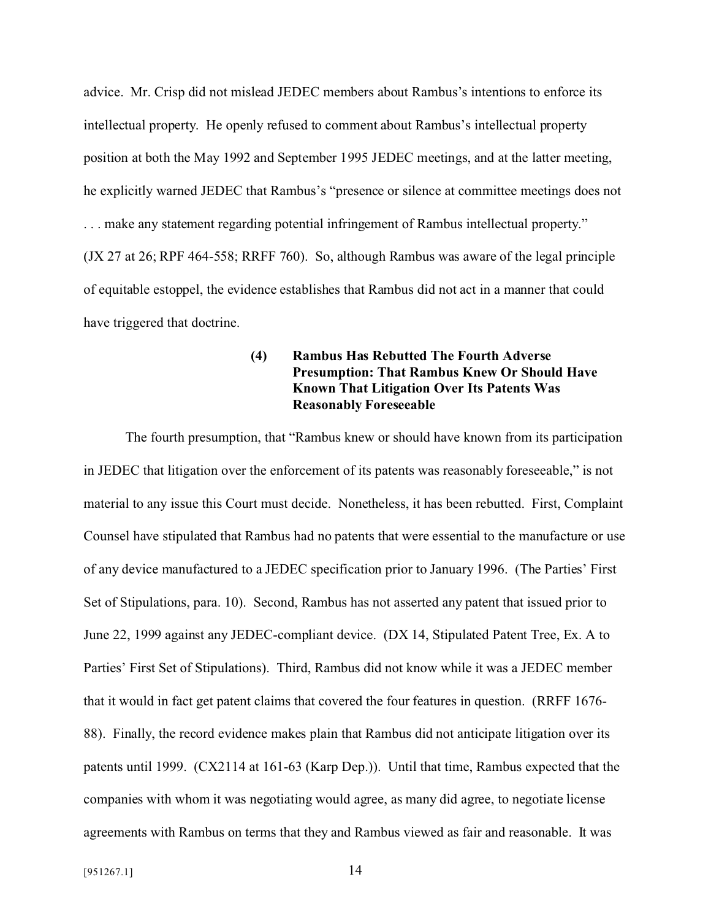advice. Mr. Crisp did not mislead JEDEC members about Rambus's intentions to enforce its intellectual property. He openly refused to comment about Rambus's intellectual property position at both the May 1992 and September 1995 JEDEC meetings, and at the latter meeting, he explicitly warned JEDEC that Rambus's "presence or silence at committee meetings does not . . . make any statement regarding potential infringement of Rambus intellectual property." (JX 27 at 26; RPF 464-558; RRFF 760). So, although Rambus was aware of the legal principle of equitable estoppel, the evidence establishes that Rambus did not act in a manner that could have triggered that doctrine.

### **(4) Rambus Has Rebutted The Fourth Adverse Presumption: That Rambus Knew Or Should Have Known That Litigation Over Its Patents Was Reasonably Foreseeable**

The fourth presumption, that "Rambus knew or should have known from its participation in JEDEC that litigation over the enforcement of its patents was reasonably foreseeable," is not material to any issue this Court must decide. Nonetheless, it has been rebutted. First, Complaint Counsel have stipulated that Rambus had no patents that were essential to the manufacture or use of any device manufactured to a JEDEC specification prior to January 1996. (The Parties' First Set of Stipulations, para. 10). Second, Rambus has not asserted any patent that issued prior to June 22, 1999 against any JEDEC-compliant device. (DX 14, Stipulated Patent Tree, Ex. A to Parties' First Set of Stipulations). Third, Rambus did not know while it was a JEDEC member that it would in fact get patent claims that covered the four features in question. (RRFF 1676- 88). Finally, the record evidence makes plain that Rambus did not anticipate litigation over its patents until 1999. (CX2114 at 161-63 (Karp Dep.)). Until that time, Rambus expected that the companies with whom it was negotiating would agree, as many did agree, to negotiate license agreements with Rambus on terms that they and Rambus viewed as fair and reasonable. It was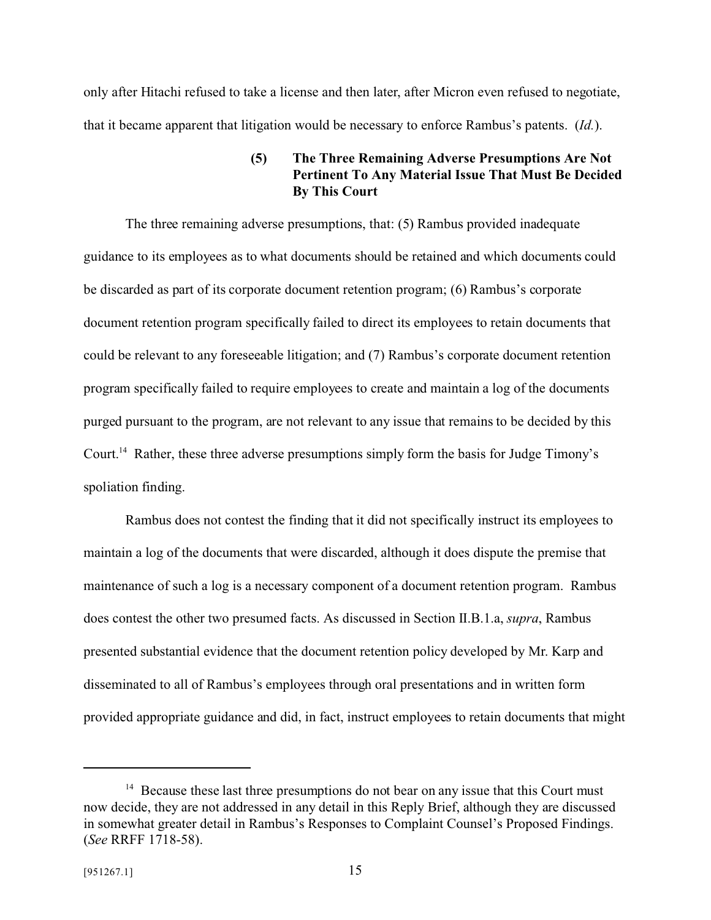only after Hitachi refused to take a license and then later, after Micron even refused to negotiate, that it became apparent that litigation would be necessary to enforce Rambus's patents. (*Id.*).

### **(5) The Three Remaining Adverse Presumptions Are Not Pertinent To Any Material Issue That Must Be Decided By This Court**

The three remaining adverse presumptions, that: (5) Rambus provided inadequate guidance to its employees as to what documents should be retained and which documents could be discarded as part of its corporate document retention program; (6) Rambus's corporate document retention program specifically failed to direct its employees to retain documents that could be relevant to any foreseeable litigation; and (7) Rambus's corporate document retention program specifically failed to require employees to create and maintain a log of the documents purged pursuant to the program, are not relevant to any issue that remains to be decided by this Court.<sup>14</sup> Rather, these three adverse presumptions simply form the basis for Judge Timony's spoliation finding.

Rambus does not contest the finding that it did not specifically instruct its employees to maintain a log of the documents that were discarded, although it does dispute the premise that maintenance of such a log is a necessary component of a document retention program. Rambus does contest the other two presumed facts. As discussed in Section II.B.1.a, *supra*, Rambus presented substantial evidence that the document retention policy developed by Mr. Karp and disseminated to all of Rambus's employees through oral presentations and in written form provided appropriate guidance and did, in fact, instruct employees to retain documents that might

 $14$  Because these last three presumptions do not bear on any issue that this Court must now decide, they are not addressed in any detail in this Reply Brief, although they are discussed in somewhat greater detail in Rambus's Responses to Complaint Counsel's Proposed Findings. (*See* RRFF 1718-58).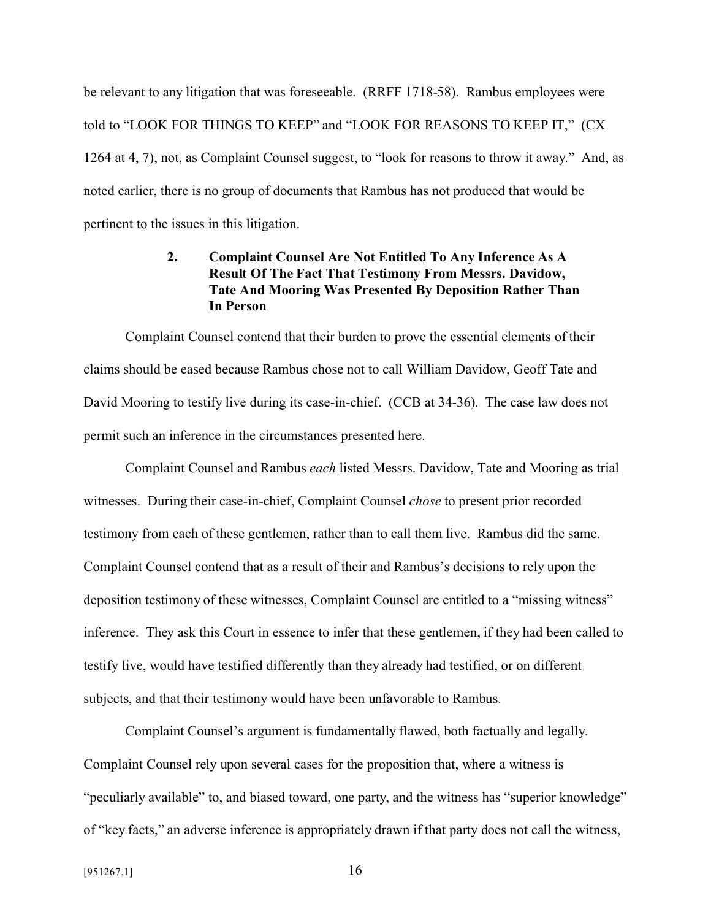be relevant to any litigation that was foreseeable. (RRFF 1718-58). Rambus employees were told to "LOOK FOR THINGS TO KEEP" and "LOOK FOR REASONS TO KEEP IT," (CX 1264 at 4, 7), not, as Complaint Counsel suggest, to "look for reasons to throw it away." And, as noted earlier, there is no group of documents that Rambus has not produced that would be pertinent to the issues in this litigation.

### **2. Complaint Counsel Are Not Entitled To Any Inference As A Result Of The Fact That Testimony From Messrs. Davidow, Tate And Mooring Was Presented By Deposition Rather Than In Person**

Complaint Counsel contend that their burden to prove the essential elements of their claims should be eased because Rambus chose not to call William Davidow, Geoff Tate and David Mooring to testify live during its case-in-chief. (CCB at 34-36). The case law does not permit such an inference in the circumstances presented here.

Complaint Counsel and Rambus *each* listed Messrs. Davidow, Tate and Mooring as trial witnesses. During their case-in-chief, Complaint Counsel *chose* to present prior recorded testimony from each of these gentlemen, rather than to call them live. Rambus did the same. Complaint Counsel contend that as a result of their and Rambus's decisions to rely upon the deposition testimony of these witnesses, Complaint Counsel are entitled to a "missing witness" inference. They ask this Court in essence to infer that these gentlemen, if they had been called to testify live, would have testified differently than they already had testified, or on different subjects, and that their testimony would have been unfavorable to Rambus.

Complaint Counsel's argument is fundamentally flawed, both factually and legally. Complaint Counsel rely upon several cases for the proposition that, where a witness is "peculiarly available" to, and biased toward, one party, and the witness has "superior knowledge" of "key facts," an adverse inference is appropriately drawn if that party does not call the witness,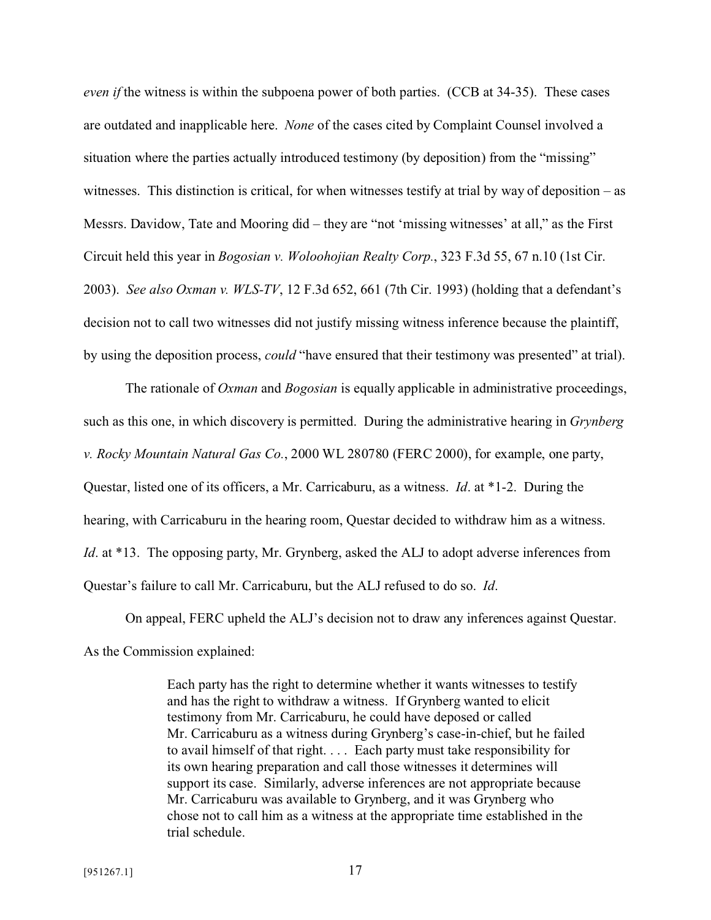*even if* the witness is within the subpoena power of both parties. (CCB at 34-35). These cases are outdated and inapplicable here. *None* of the cases cited by Complaint Counsel involved a situation where the parties actually introduced testimony (by deposition) from the "missing" witnesses. This distinction is critical, for when witnesses testify at trial by way of deposition – as Messrs. Davidow, Tate and Mooring did – they are "not 'missing witnesses' at all," as the First Circuit held this year in *Bogosian v. Woloohojian Realty Corp.*, 323 F.3d 55, 67 n.10 (1st Cir. 2003). *See also Oxman v. WLS-TV*, 12 F.3d 652, 661 (7th Cir. 1993) (holding that a defendant's decision not to call two witnesses did not justify missing witness inference because the plaintiff, by using the deposition process, *could* "have ensured that their testimony was presented" at trial).

The rationale of *Oxman* and *Bogosian* is equally applicable in administrative proceedings, such as this one, in which discovery is permitted. During the administrative hearing in *Grynberg v. Rocky Mountain Natural Gas Co.*, 2000 WL 280780 (FERC 2000), for example, one party, Questar, listed one of its officers, a Mr. Carricaburu, as a witness. *Id*. at \*1-2. During the hearing, with Carricaburu in the hearing room, Questar decided to withdraw him as a witness. *Id.* at \*13. The opposing party, Mr. Grynberg, asked the ALJ to adopt adverse inferences from Questar's failure to call Mr. Carricaburu, but the ALJ refused to do so. *Id*.

On appeal, FERC upheld the ALJ's decision not to draw any inferences against Questar. As the Commission explained:

> Each party has the right to determine whether it wants witnesses to testify and has the right to withdraw a witness. If Grynberg wanted to elicit testimony from Mr. Carricaburu, he could have deposed or called Mr. Carricaburu as a witness during Grynberg's case-in-chief, but he failed to avail himself of that right. . . . Each party must take responsibility for its own hearing preparation and call those witnesses it determines will support its case. Similarly, adverse inferences are not appropriate because Mr. Carricaburu was available to Grynberg, and it was Grynberg who chose not to call him as a witness at the appropriate time established in the trial schedule.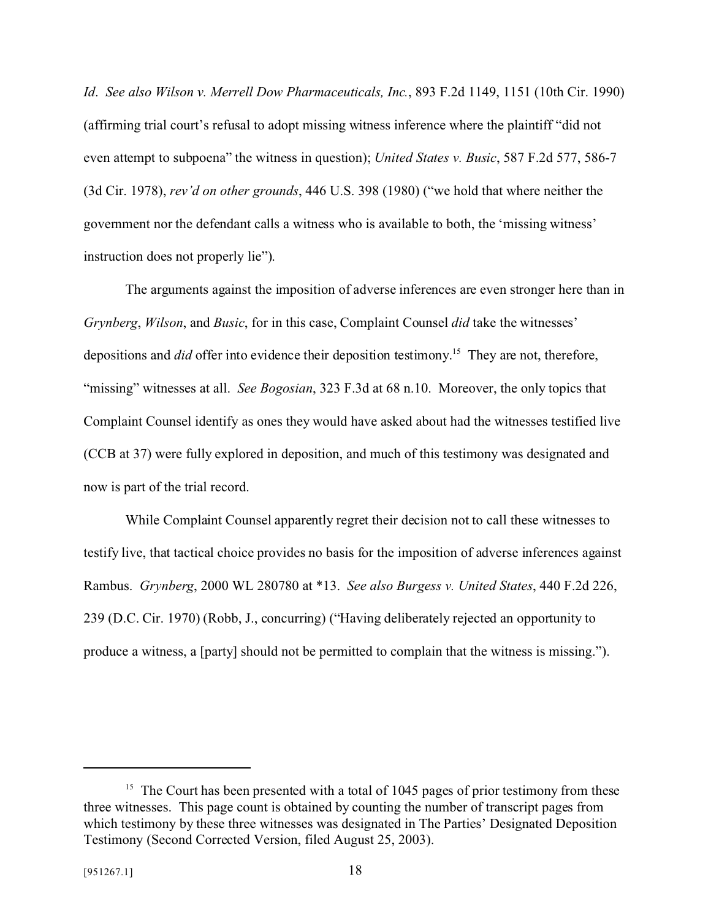*Id*. *See also Wilson v. Merrell Dow Pharmaceuticals, Inc.*, 893 F.2d 1149, 1151 (10th Cir. 1990) (affirming trial court's refusal to adopt missing witness inference where the plaintiff "did not even attempt to subpoena" the witness in question); *United States v. Busic*, 587 F.2d 577, 586-7 (3d Cir. 1978), *rev'd on other grounds*, 446 U.S. 398 (1980) ("we hold that where neither the government nor the defendant calls a witness who is available to both, the 'missing witness' instruction does not properly lie").

The arguments against the imposition of adverse inferences are even stronger here than in *Grynberg*, *Wilson*, and *Busic*, for in this case, Complaint Counsel *did* take the witnesses' depositions and *did* offer into evidence their deposition testimony.<sup>15</sup> They are not, therefore, "missing" witnesses at all. *See Bogosian*, 323 F.3d at 68 n.10. Moreover, the only topics that Complaint Counsel identify as ones they would have asked about had the witnesses testified live (CCB at 37) were fully explored in deposition, and much of this testimony was designated and now is part of the trial record.

While Complaint Counsel apparently regret their decision not to call these witnesses to testify live, that tactical choice provides no basis for the imposition of adverse inferences against Rambus. *Grynberg*, 2000 WL 280780 at \*13. *See also Burgess v. United States*, 440 F.2d 226, 239 (D.C. Cir. 1970) (Robb, J., concurring) ("Having deliberately rejected an opportunity to produce a witness, a [party] should not be permitted to complain that the witness is missing.").

<sup>&</sup>lt;sup>15</sup> The Court has been presented with a total of 1045 pages of prior testimony from these three witnesses. This page count is obtained by counting the number of transcript pages from which testimony by these three witnesses was designated in The Parties' Designated Deposition Testimony (Second Corrected Version, filed August 25, 2003).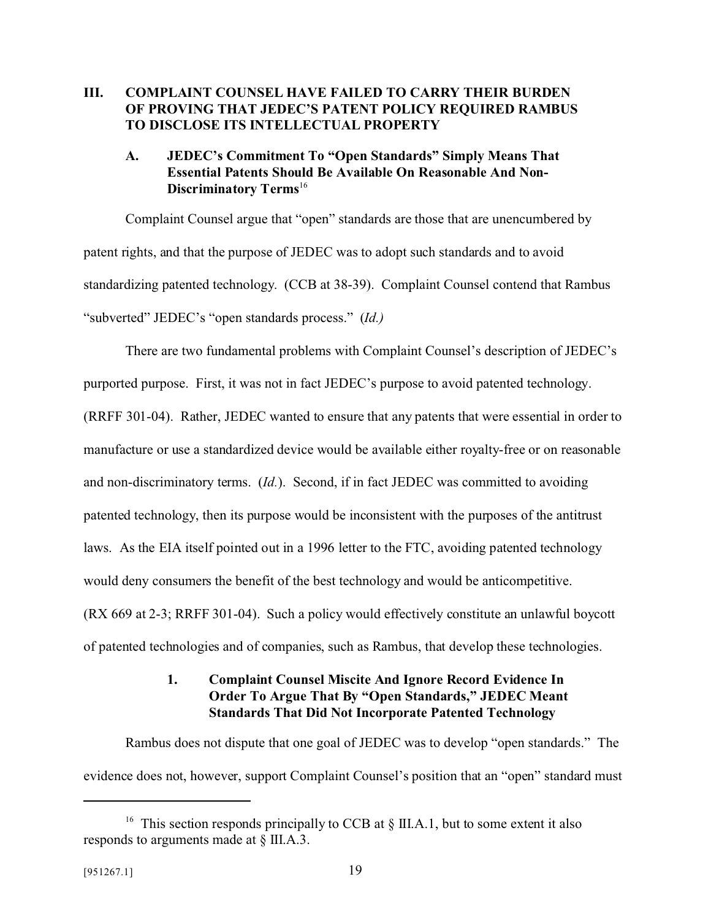### **III. COMPLAINT COUNSEL HAVE FAILED TO CARRY THEIR BURDEN OF PROVING THAT JEDEC'S PATENT POLICY REQUIRED RAMBUS TO DISCLOSE ITS INTELLECTUAL PROPERTY**

### **A. JEDEC's Commitment To "Open Standards" Simply Means That Essential Patents Should Be Available On Reasonable And Non-Discriminatory Terms**<sup>16</sup>

Complaint Counsel argue that "open" standards are those that are unencumbered by patent rights, and that the purpose of JEDEC was to adopt such standards and to avoid standardizing patented technology. (CCB at 38-39). Complaint Counsel contend that Rambus "subverted" JEDEC's "open standards process." (*Id.)*

There are two fundamental problems with Complaint Counsel's description of JEDEC's purported purpose. First, it was not in fact JEDEC's purpose to avoid patented technology. (RRFF 301-04). Rather, JEDEC wanted to ensure that any patents that were essential in order to manufacture or use a standardized device would be available either royalty-free or on reasonable and non-discriminatory terms. (*Id.*). Second, if in fact JEDEC was committed to avoiding patented technology, then its purpose would be inconsistent with the purposes of the antitrust laws. As the EIA itself pointed out in a 1996 letter to the FTC, avoiding patented technology would deny consumers the benefit of the best technology and would be anticompetitive. (RX 669 at 2-3; RRFF 301-04). Such a policy would effectively constitute an unlawful boycott of patented technologies and of companies, such as Rambus, that develop these technologies.

### **1. Complaint Counsel Miscite And Ignore Record Evidence In Order To Argue That By "Open Standards," JEDEC Meant Standards That Did Not Incorporate Patented Technology**

Rambus does not dispute that one goal of JEDEC was to develop "open standards." The evidence does not, however, support Complaint Counsel's position that an "open" standard must

<sup>&</sup>lt;sup>16</sup> This section responds principally to CCB at  $\S$  III.A.1, but to some extent it also responds to arguments made at § III.A.3.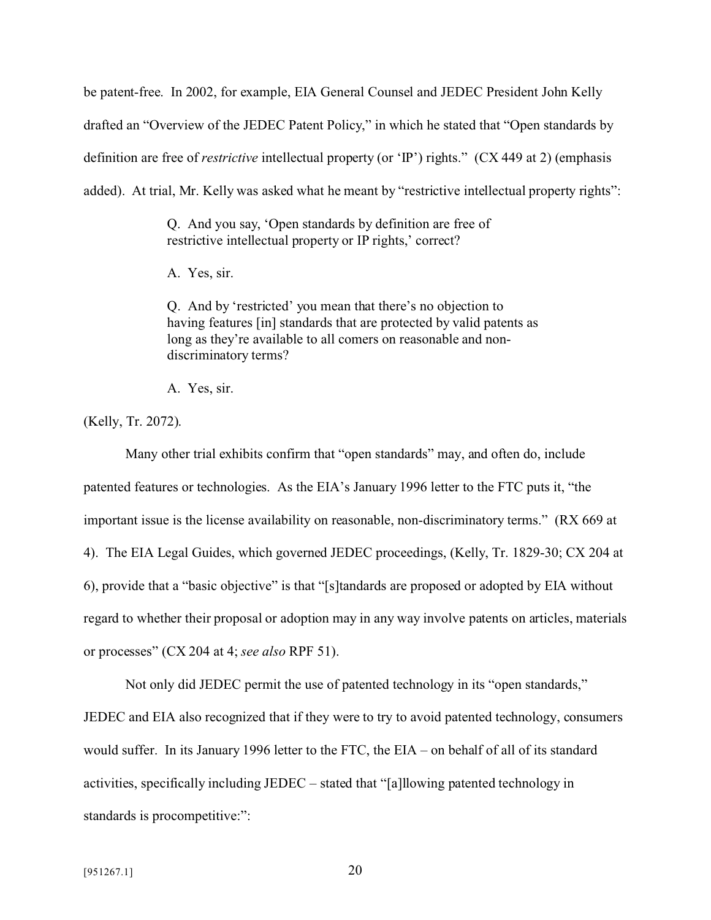be patent-free. In 2002, for example, EIA General Counsel and JEDEC President John Kelly drafted an "Overview of the JEDEC Patent Policy," in which he stated that "Open standards by definition are free of *restrictive* intellectual property (or 'IP') rights." (CX 449 at 2) (emphasis added). At trial, Mr. Kelly was asked what he meant by "restrictive intellectual property rights":

> Q. And you say, 'Open standards by definition are free of restrictive intellectual property or IP rights,' correct?

A. Yes, sir.

Q. And by 'restricted' you mean that there's no objection to having features [in] standards that are protected by valid patents as long as they're available to all comers on reasonable and nondiscriminatory terms?

A. Yes, sir.

(Kelly, Tr. 2072).

Many other trial exhibits confirm that "open standards" may, and often do, include patented features or technologies. As the EIA's January 1996 letter to the FTC puts it, "the important issue is the license availability on reasonable, non-discriminatory terms." (RX 669 at 4). The EIA Legal Guides, which governed JEDEC proceedings, (Kelly, Tr. 1829-30; CX 204 at 6), provide that a "basic objective" is that "[s]tandards are proposed or adopted by EIA without regard to whether their proposal or adoption may in any way involve patents on articles, materials or processes" (CX 204 at 4; *see also* RPF 51).

Not only did JEDEC permit the use of patented technology in its "open standards," JEDEC and EIA also recognized that if they were to try to avoid patented technology, consumers would suffer. In its January 1996 letter to the FTC, the EIA – on behalf of all of its standard activities, specifically including JEDEC – stated that "[a]llowing patented technology in standards is procompetitive:":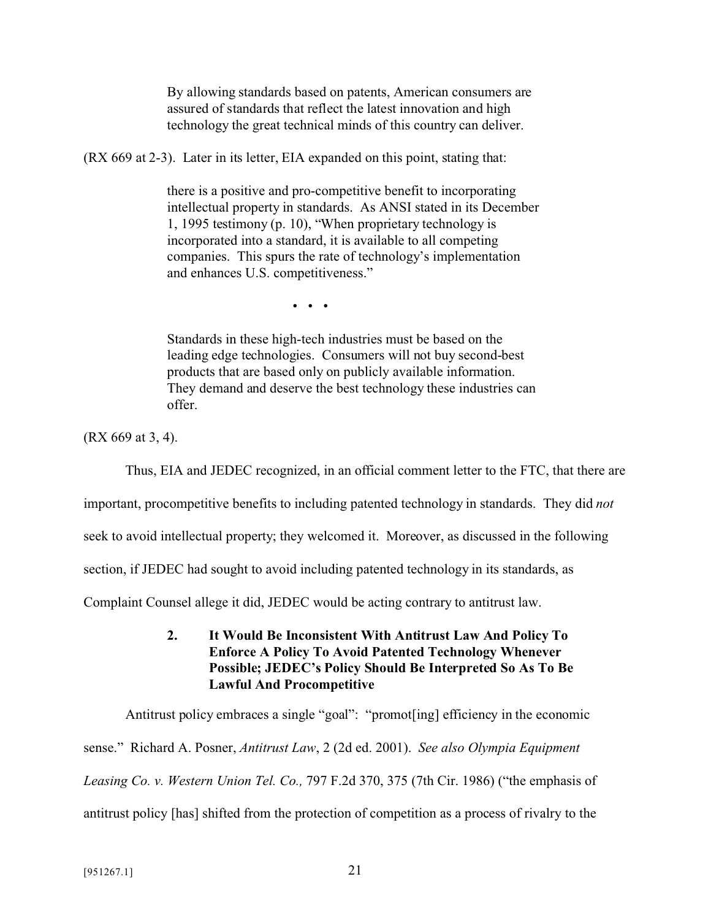By allowing standards based on patents, American consumers are assured of standards that reflect the latest innovation and high technology the great technical minds of this country can deliver.

(RX 669 at 2-3). Later in its letter, EIA expanded on this point, stating that:

there is a positive and pro-competitive benefit to incorporating intellectual property in standards. As ANSI stated in its December 1, 1995 testimony (p. 10), "When proprietary technology is incorporated into a standard, it is available to all competing companies. This spurs the rate of technology's implementation and enhances U.S. competitiveness."

• • •

Standards in these high-tech industries must be based on the leading edge technologies. Consumers will not buy second-best products that are based only on publicly available information. They demand and deserve the best technology these industries can offer.

(RX 669 at 3, 4).

Thus, EIA and JEDEC recognized, in an official comment letter to the FTC, that there are

important, procompetitive benefits to including patented technology in standards. They did *not*

seek to avoid intellectual property; they welcomed it. Moreover, as discussed in the following

section, if JEDEC had sought to avoid including patented technology in its standards, as

Complaint Counsel allege it did, JEDEC would be acting contrary to antitrust law.

**2. It Would Be Inconsistent With Antitrust Law And Policy To Enforce A Policy To Avoid Patented Technology Whenever Possible; JEDEC's Policy Should Be Interpreted So As To Be Lawful And Procompetitive**

Antitrust policy embraces a single "goal": "promot[ing] efficiency in the economic sense." Richard A. Posner, *Antitrust Law*, 2 (2d ed. 2001). *See also Olympia Equipment Leasing Co. v. Western Union Tel. Co.,* 797 F.2d 370, 375 (7th Cir. 1986) ("the emphasis of antitrust policy [has] shifted from the protection of competition as a process of rivalry to the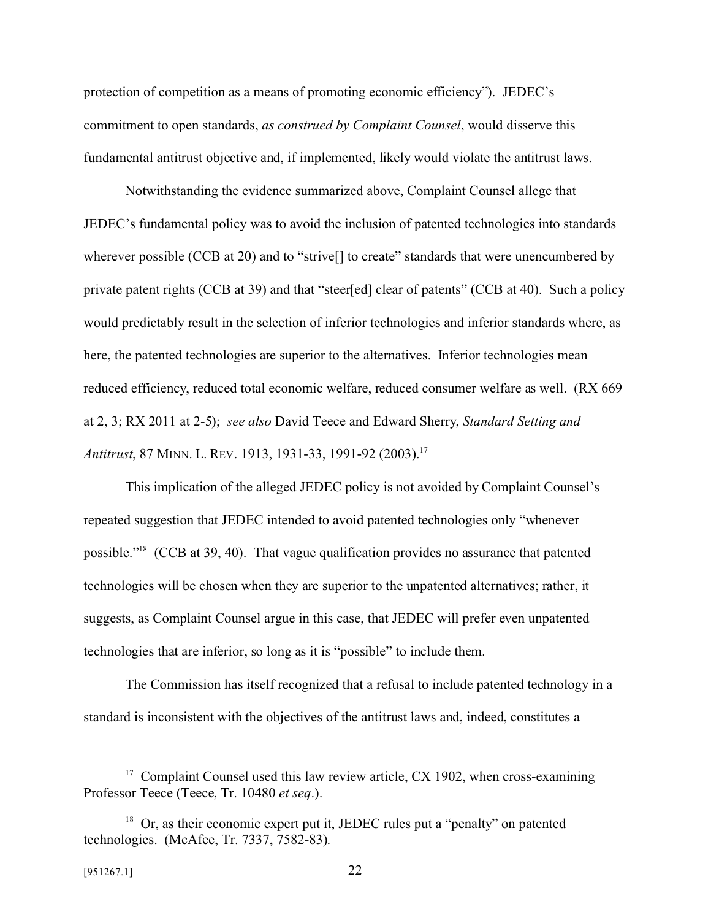protection of competition as a means of promoting economic efficiency"). JEDEC's commitment to open standards, *as construed by Complaint Counsel*, would disserve this fundamental antitrust objective and, if implemented, likely would violate the antitrust laws.

Notwithstanding the evidence summarized above, Complaint Counsel allege that JEDEC's fundamental policy was to avoid the inclusion of patented technologies into standards wherever possible (CCB at 20) and to "strive<sup>[]</sup> to create" standards that were unencumbered by private patent rights (CCB at 39) and that "steer[ed] clear of patents" (CCB at 40). Such a policy would predictably result in the selection of inferior technologies and inferior standards where, as here, the patented technologies are superior to the alternatives. Inferior technologies mean reduced efficiency, reduced total economic welfare, reduced consumer welfare as well. (RX 669 at 2, 3; RX 2011 at 2-5); *see also* David Teece and Edward Sherry, *Standard Setting and Antitrust*, 87 MINN. L. REV. 1913, 1931-33, 1991-92 (2003).<sup>17</sup>

This implication of the alleged JEDEC policy is not avoided by Complaint Counsel's repeated suggestion that JEDEC intended to avoid patented technologies only "whenever possible."<sup>18</sup> (CCB at 39, 40). That vague qualification provides no assurance that patented technologies will be chosen when they are superior to the unpatented alternatives; rather, it suggests, as Complaint Counsel argue in this case, that JEDEC will prefer even unpatented technologies that are inferior, so long as it is "possible" to include them.

The Commission has itself recognized that a refusal to include patented technology in a standard is inconsistent with the objectives of the antitrust laws and, indeed, constitutes a

 $17$  Complaint Counsel used this law review article, CX 1902, when cross-examining Professor Teece (Teece, Tr. 10480 *et seq*.).

<sup>&</sup>lt;sup>18</sup> Or, as their economic expert put it, JEDEC rules put a "penalty" on patented technologies. (McAfee, Tr. 7337, 7582-83).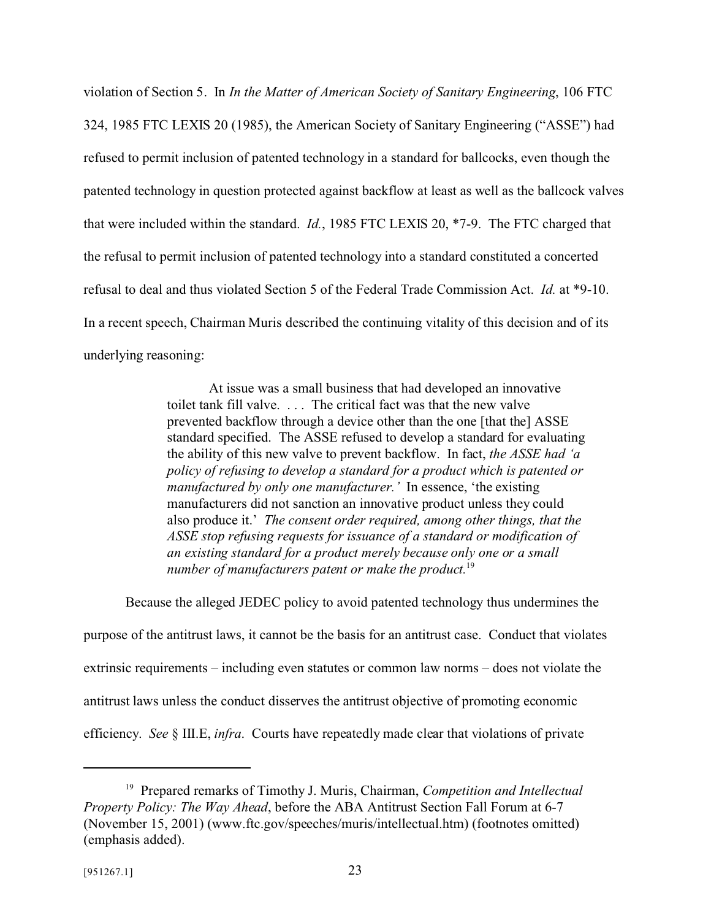violation of Section 5. In *In the Matter of American Society of Sanitary Engineering*, 106 FTC 324, 1985 FTC LEXIS 20 (1985), the American Society of Sanitary Engineering ("ASSE") had refused to permit inclusion of patented technology in a standard for ballcocks, even though the patented technology in question protected against backflow at least as well as the ballcock valves that were included within the standard. *Id.*, 1985 FTC LEXIS 20, \*7-9. The FTC charged that the refusal to permit inclusion of patented technology into a standard constituted a concerted refusal to deal and thus violated Section 5 of the Federal Trade Commission Act. *Id.* at \*9-10. In a recent speech, Chairman Muris described the continuing vitality of this decision and of its underlying reasoning:

> At issue was a small business that had developed an innovative toilet tank fill valve. . . . The critical fact was that the new valve prevented backflow through a device other than the one [that the] ASSE standard specified. The ASSE refused to develop a standard for evaluating the ability of this new valve to prevent backflow. In fact, *the ASSE had 'a policy of refusing to develop a standard for a product which is patented or manufactured by only one manufacturer.'* In essence, 'the existing manufacturers did not sanction an innovative product unless they could also produce it.' *The consent order required, among other things, that the ASSE stop refusing requests for issuance of a standard or modification of an existing standard for a product merely because only one or a small number of manufacturers patent or make the product.*<sup>19</sup>

Because the alleged JEDEC policy to avoid patented technology thus undermines the

purpose of the antitrust laws, it cannot be the basis for an antitrust case. Conduct that violates extrinsic requirements – including even statutes or common law norms – does not violate the antitrust laws unless the conduct disserves the antitrust objective of promoting economic efficiency. *See* § III.E, *infra*. Courts have repeatedly made clear that violations of private

<sup>19</sup> Prepared remarks of Timothy J. Muris, Chairman, *Competition and Intellectual Property Policy: The Way Ahead*, before the ABA Antitrust Section Fall Forum at 6-7 (November 15, 2001) (www.ftc.gov/speeches/muris/intellectual.htm) (footnotes omitted) (emphasis added).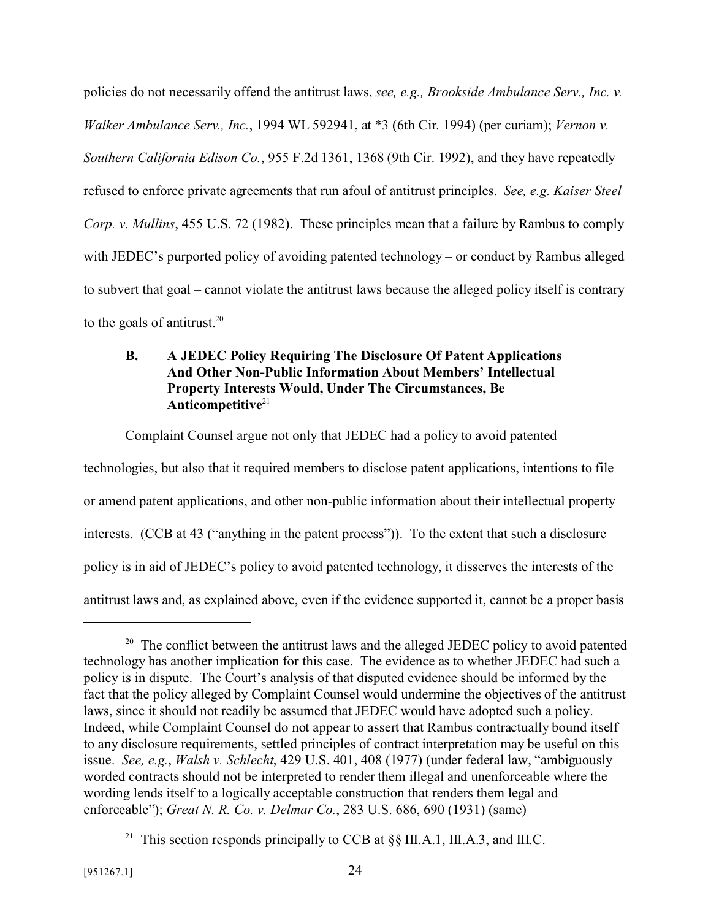policies do not necessarily offend the antitrust laws, *see, e.g., Brookside Ambulance Serv., Inc. v. Walker Ambulance Serv., Inc.*, 1994 WL 592941, at \*3 (6th Cir. 1994) (per curiam); *Vernon v. Southern California Edison Co.*, 955 F.2d 1361, 1368 (9th Cir. 1992), and they have repeatedly refused to enforce private agreements that run afoul of antitrust principles. *See, e.g. Kaiser Steel Corp. v. Mullins*, 455 U.S. 72 (1982). These principles mean that a failure by Rambus to comply with JEDEC's purported policy of avoiding patented technology – or conduct by Rambus alleged to subvert that goal – cannot violate the antitrust laws because the alleged policy itself is contrary to the goals of antitrust.<sup>20</sup>

# **B. A JEDEC Policy Requiring The Disclosure Of Patent Applications And Other Non-Public Information About Members' Intellectual Property Interests Would, Under The Circumstances, Be** Anticompetitive<sup>21</sup>

Complaint Counsel argue not only that JEDEC had a policy to avoid patented technologies, but also that it required members to disclose patent applications, intentions to file or amend patent applications, and other non-public information about their intellectual property interests. (CCB at 43 ("anything in the patent process")). To the extent that such a disclosure policy is in aid of JEDEC's policy to avoid patented technology, it disserves the interests of the antitrust laws and, as explained above, even if the evidence supported it, cannot be a proper basis

<sup>&</sup>lt;sup>20</sup> The conflict between the antitrust laws and the alleged JEDEC policy to avoid patented technology has another implication for this case. The evidence as to whether JEDEC had such a policy is in dispute. The Court's analysis of that disputed evidence should be informed by the fact that the policy alleged by Complaint Counsel would undermine the objectives of the antitrust laws, since it should not readily be assumed that JEDEC would have adopted such a policy. Indeed, while Complaint Counsel do not appear to assert that Rambus contractually bound itself to any disclosure requirements, settled principles of contract interpretation may be useful on this issue. *See, e.g.*, *Walsh v. Schlecht*, 429 U.S. 401, 408 (1977) (under federal law, "ambiguously worded contracts should not be interpreted to render them illegal and unenforceable where the wording lends itself to a logically acceptable construction that renders them legal and enforceable"); *Great N. R. Co. v. Delmar Co.*, 283 U.S. 686, 690 (1931) (same)

<sup>&</sup>lt;sup>21</sup> This section responds principally to CCB at  $\S$  III.A.1, III.A.3, and III.C.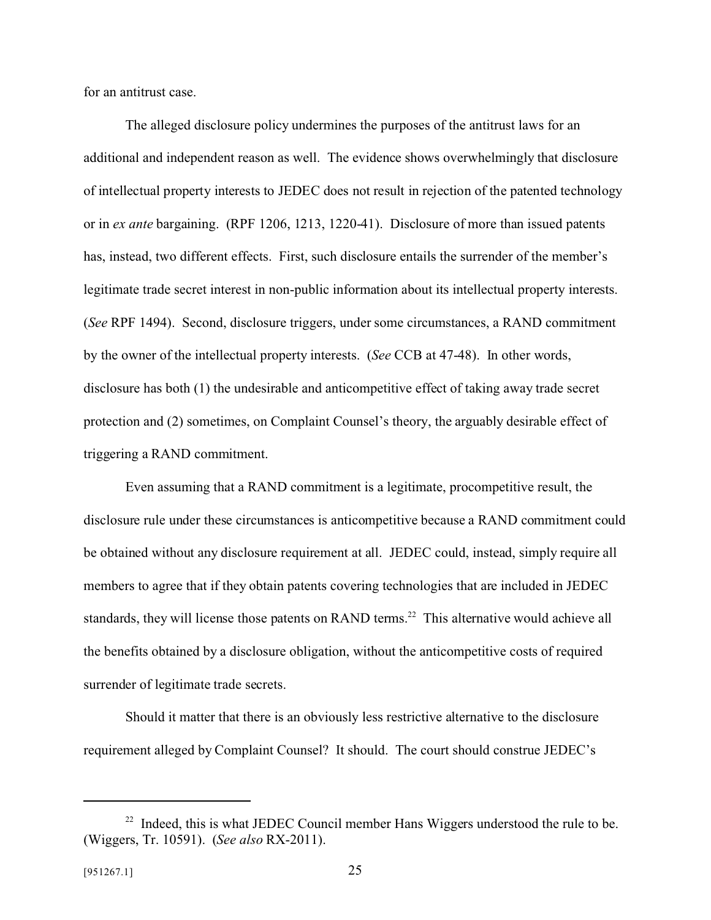for an antitrust case.

The alleged disclosure policy undermines the purposes of the antitrust laws for an additional and independent reason as well. The evidence shows overwhelmingly that disclosure of intellectual property interests to JEDEC does not result in rejection of the patented technology or in *ex ante* bargaining. (RPF 1206, 1213, 1220-41). Disclosure of more than issued patents has, instead, two different effects. First, such disclosure entails the surrender of the member's legitimate trade secret interest in non-public information about its intellectual property interests. (*See* RPF 1494). Second, disclosure triggers, under some circumstances, a RAND commitment by the owner of the intellectual property interests. (*See* CCB at 47-48). In other words, disclosure has both (1) the undesirable and anticompetitive effect of taking away trade secret protection and (2) sometimes, on Complaint Counsel's theory, the arguably desirable effect of triggering a RAND commitment.

Even assuming that a RAND commitment is a legitimate, procompetitive result, the disclosure rule under these circumstances is anticompetitive because a RAND commitment could be obtained without any disclosure requirement at all. JEDEC could, instead, simply require all members to agree that if they obtain patents covering technologies that are included in JEDEC standards, they will license those patents on RAND terms.<sup>22</sup> This alternative would achieve all the benefits obtained by a disclosure obligation, without the anticompetitive costs of required surrender of legitimate trade secrets.

Should it matter that there is an obviously less restrictive alternative to the disclosure requirement alleged by Complaint Counsel? It should. The court should construe JEDEC's

 $22$  Indeed, this is what JEDEC Council member Hans Wiggers understood the rule to be. (Wiggers, Tr. 10591). (*See also* RX-2011).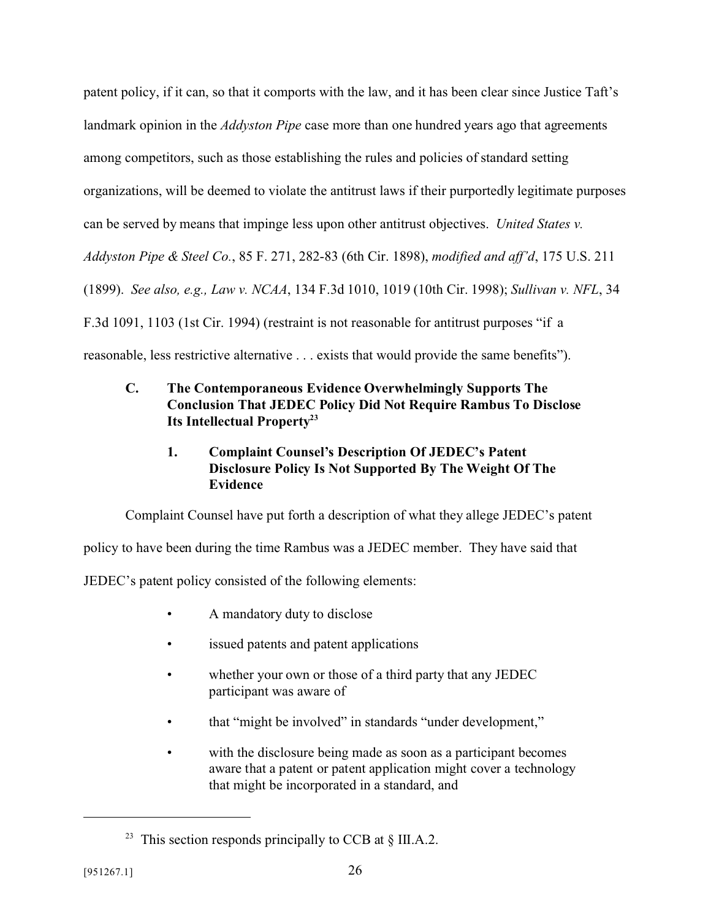patent policy, if it can, so that it comports with the law, and it has been clear since Justice Taft's landmark opinion in the *Addyston Pipe* case more than one hundred years ago that agreements among competitors, such as those establishing the rules and policies of standard setting organizations, will be deemed to violate the antitrust laws if their purportedly legitimate purposes can be served by means that impinge less upon other antitrust objectives. *United States v. Addyston Pipe & Steel Co.*, 85 F. 271, 282-83 (6th Cir. 1898), *modified and aff'd*, 175 U.S. 211 (1899). *See also, e.g., Law v. NCAA*, 134 F.3d 1010, 1019 (10th Cir. 1998); *Sullivan v. NFL*, 34 F.3d 1091, 1103 (1st Cir. 1994) (restraint is not reasonable for antitrust purposes "if a reasonable, less restrictive alternative . . . exists that would provide the same benefits").

# **C. The Contemporaneous Evidence Overwhelmingly Supports The Conclusion That JEDEC Policy Did Not Require Rambus To Disclose Its Intellectual Property<sup>23</sup>**

# **1. Complaint Counsel's Description Of JEDEC's Patent Disclosure Policy Is Not Supported By The Weight Of The Evidence**

Complaint Counsel have put forth a description of what they allege JEDEC's patent

policy to have been during the time Rambus was a JEDEC member. They have said that

JEDEC's patent policy consisted of the following elements:

- A mandatory duty to disclose
- issued patents and patent applications
- whether your own or those of a third party that any JEDEC participant was aware of
- that "might be involved" in standards "under development,"
- with the disclosure being made as soon as a participant becomes aware that a patent or patent application might cover a technology that might be incorporated in a standard, and

<sup>&</sup>lt;sup>23</sup> This section responds principally to CCB at  $\S$  III.A.2.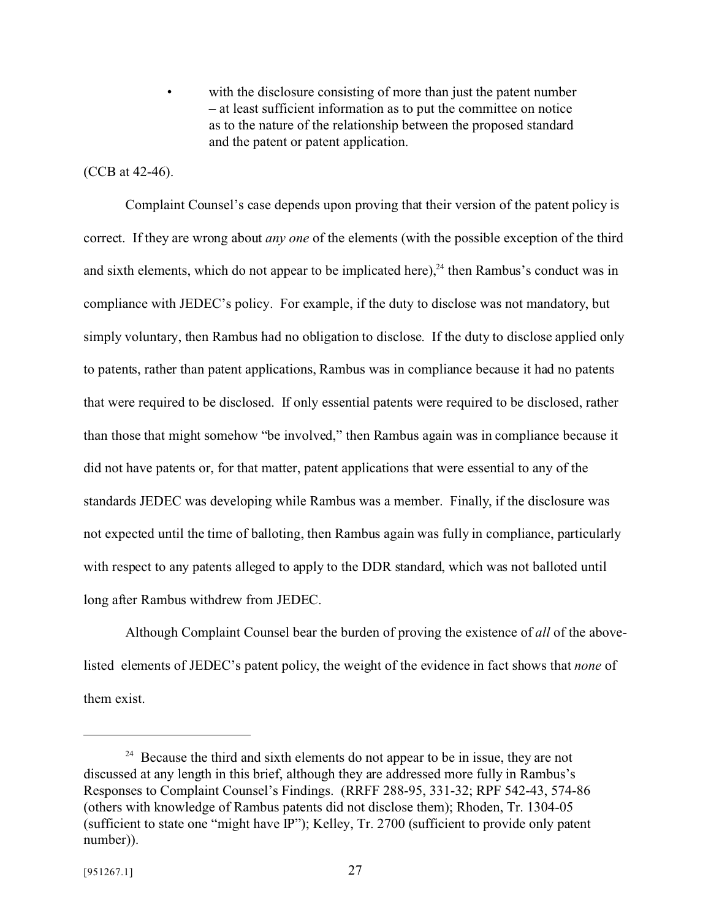with the disclosure consisting of more than just the patent number – at least sufficient information as to put the committee on notice as to the nature of the relationship between the proposed standard and the patent or patent application.

#### (CCB at 42-46).

Complaint Counsel's case depends upon proving that their version of the patent policy is correct. If they are wrong about *any one* of the elements (with the possible exception of the third and sixth elements, which do not appear to be implicated here),  $^{24}$  then Rambus's conduct was in compliance with JEDEC's policy. For example, if the duty to disclose was not mandatory, but simply voluntary, then Rambus had no obligation to disclose. If the duty to disclose applied only to patents, rather than patent applications, Rambus was in compliance because it had no patents that were required to be disclosed. If only essential patents were required to be disclosed, rather than those that might somehow "be involved," then Rambus again was in compliance because it did not have patents or, for that matter, patent applications that were essential to any of the standards JEDEC was developing while Rambus was a member. Finally, if the disclosure was not expected until the time of balloting, then Rambus again was fully in compliance, particularly with respect to any patents alleged to apply to the DDR standard, which was not balloted until long after Rambus withdrew from JEDEC.

Although Complaint Counsel bear the burden of proving the existence of *all* of the abovelisted elements of JEDEC's patent policy, the weight of the evidence in fact shows that *none* of them exist.

<sup>&</sup>lt;sup>24</sup> Because the third and sixth elements do not appear to be in issue, they are not discussed at any length in this brief, although they are addressed more fully in Rambus's Responses to Complaint Counsel's Findings. (RRFF 288-95, 331-32; RPF 542-43, 574-86 (others with knowledge of Rambus patents did not disclose them); Rhoden, Tr. 1304-05 (sufficient to state one "might have IP"); Kelley, Tr. 2700 (sufficient to provide only patent number)).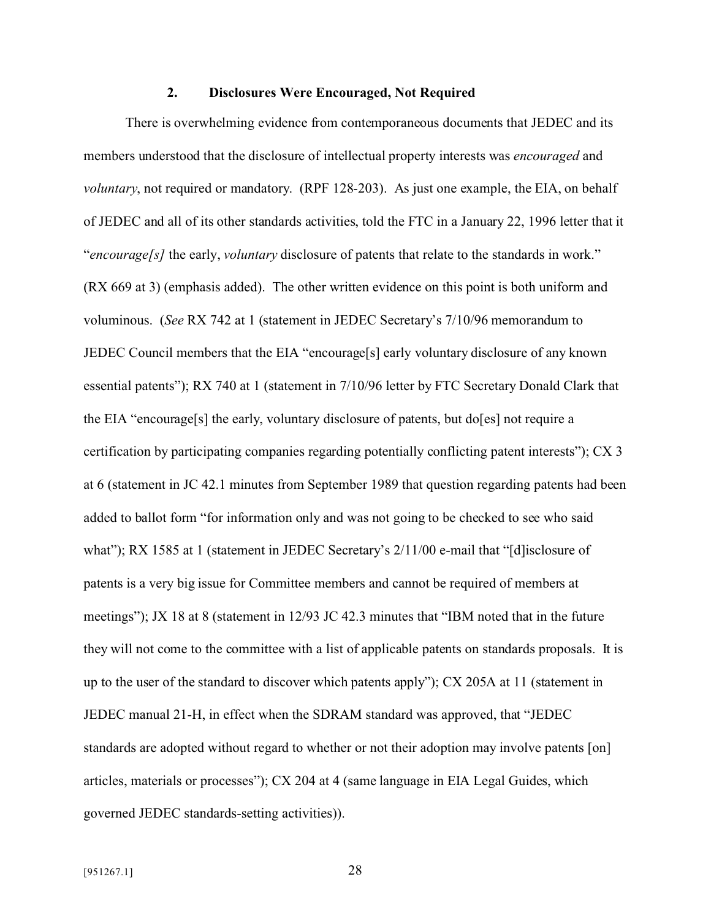#### **2. Disclosures Were Encouraged, Not Required**

There is overwhelming evidence from contemporaneous documents that JEDEC and its members understood that the disclosure of intellectual property interests was *encouraged* and *voluntary*, not required or mandatory. (RPF 128-203). As just one example, the EIA, on behalf of JEDEC and all of its other standards activities, told the FTC in a January 22, 1996 letter that it "*encourage[s]* the early, *voluntary* disclosure of patents that relate to the standards in work." (RX 669 at 3) (emphasis added). The other written evidence on this point is both uniform and voluminous. (*See* RX 742 at 1 (statement in JEDEC Secretary's 7/10/96 memorandum to JEDEC Council members that the EIA "encourage[s] early voluntary disclosure of any known essential patents"); RX 740 at 1 (statement in 7/10/96 letter by FTC Secretary Donald Clark that the EIA "encourage[s] the early, voluntary disclosure of patents, but do[es] not require a certification by participating companies regarding potentially conflicting patent interests"); CX 3 at 6 (statement in JC 42.1 minutes from September 1989 that question regarding patents had been added to ballot form "for information only and was not going to be checked to see who said what"); RX 1585 at 1 (statement in JEDEC Secretary's  $2/11/00$  e-mail that "[d] isclosure of patents is a very big issue for Committee members and cannot be required of members at meetings"); JX 18 at 8 (statement in 12/93 JC 42.3 minutes that "IBM noted that in the future they will not come to the committee with a list of applicable patents on standards proposals. It is up to the user of the standard to discover which patents apply"); CX 205A at 11 (statement in JEDEC manual 21-H, in effect when the SDRAM standard was approved, that "JEDEC standards are adopted without regard to whether or not their adoption may involve patents [on] articles, materials or processes"); CX 204 at 4 (same language in EIA Legal Guides, which governed JEDEC standards-setting activities)).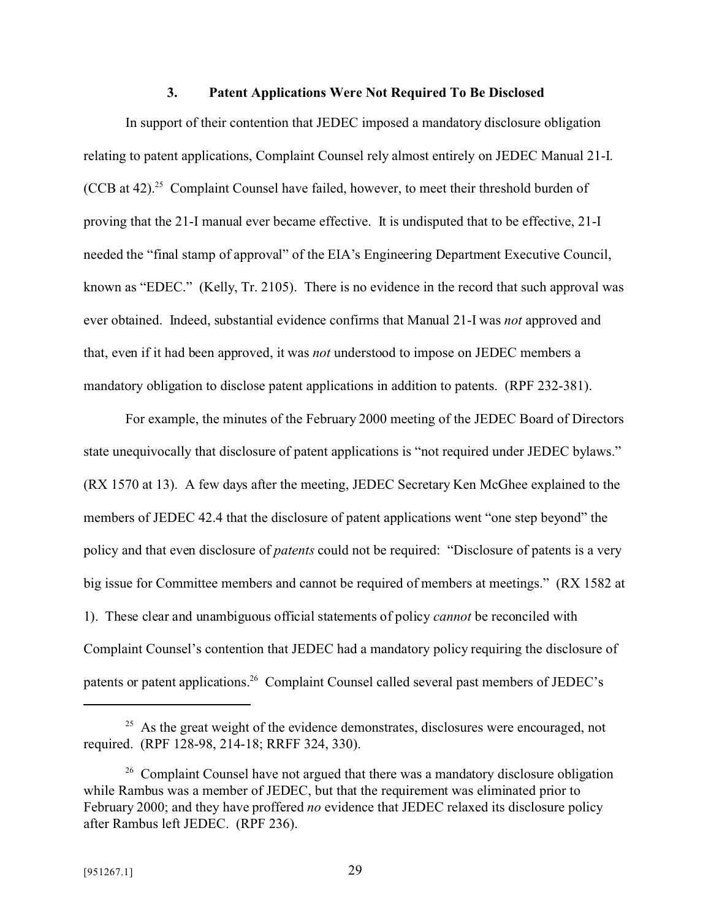#### **3. Patent Applications Were Not Required To Be Disclosed**

In support of their contention that JEDEC imposed a mandatory disclosure obligation relating to patent applications, Complaint Counsel rely almost entirely on JEDEC Manual 21-I. (CCB at 42).<sup>25</sup> Complaint Counsel have failed, however, to meet their threshold burden of proving that the 21-I manual ever became effective. It is undisputed that to be effective, 21-I needed the "final stamp of approval" of the EIA's Engineering Department Executive Council, known as "EDEC." (Kelly, Tr. 2105). There is no evidence in the record that such approval was ever obtained. Indeed, substantial evidence confirms that Manual 21-I was *not* approved and that, even if it had been approved, it was *not* understood to impose on JEDEC members a mandatory obligation to disclose patent applications in addition to patents. (RPF 232-381).

For example, the minutes of the February 2000 meeting of the JEDEC Board of Directors state unequivocally that disclosure of patent applications is "not required under JEDEC bylaws." (RX 1570 at 13). A few days after the meeting, JEDEC Secretary Ken McGhee explained to the members of JEDEC 42.4 that the disclosure of patent applications went "one step beyond" the policy and that even disclosure of *patents* could not be required: "Disclosure of patents is a very big issue for Committee members and cannot be required of members at meetings." (RX 1582 at 1). These clear and unambiguous official statements of policy *cannot* be reconciled with Complaint Counsel's contention that JEDEC had a mandatory policy requiring the disclosure of patents or patent applications.<sup>26</sup> Complaint Counsel called several past members of JEDEC's

<sup>&</sup>lt;sup>25</sup> As the great weight of the evidence demonstrates, disclosures were encouraged, not required. (RPF 128-98, 214-18; RRFF 324, 330).

<sup>&</sup>lt;sup>26</sup> Complaint Counsel have not argued that there was a mandatory disclosure obligation while Rambus was a member of JEDEC, but that the requirement was eliminated prior to February 2000; and they have proffered *no* evidence that JEDEC relaxed its disclosure policy after Rambus left JEDEC. (RPF 236).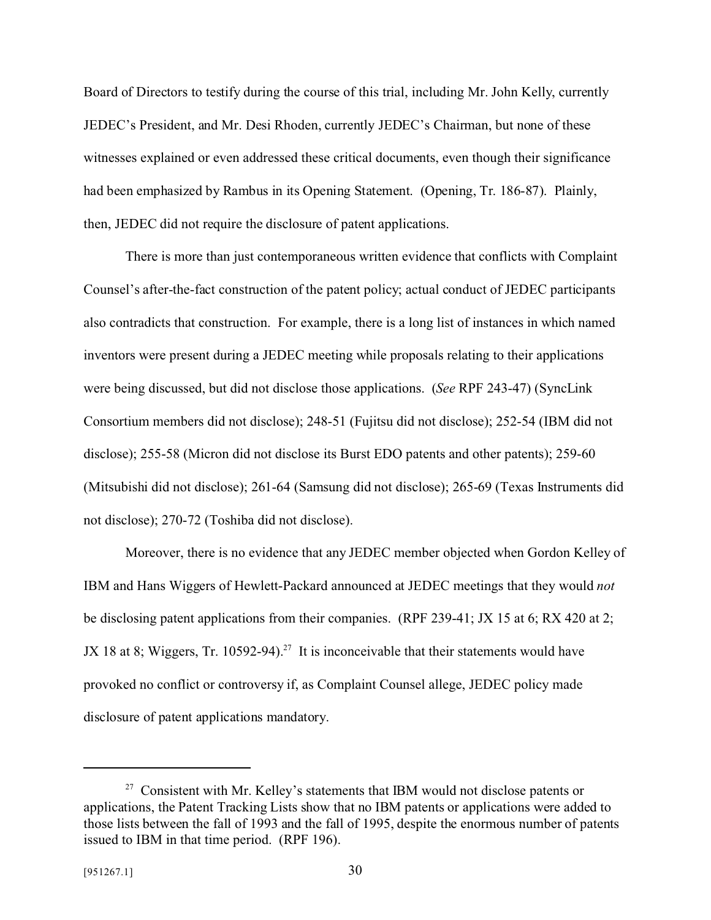Board of Directors to testify during the course of this trial, including Mr. John Kelly, currently JEDEC's President, and Mr. Desi Rhoden, currently JEDEC's Chairman, but none of these witnesses explained or even addressed these critical documents, even though their significance had been emphasized by Rambus in its Opening Statement. (Opening, Tr. 186-87). Plainly, then, JEDEC did not require the disclosure of patent applications.

There is more than just contemporaneous written evidence that conflicts with Complaint Counsel's after-the-fact construction of the patent policy; actual conduct of JEDEC participants also contradicts that construction. For example, there is a long list of instances in which named inventors were present during a JEDEC meeting while proposals relating to their applications were being discussed, but did not disclose those applications. (*See* RPF 243-47) (SyncLink Consortium members did not disclose); 248-51 (Fujitsu did not disclose); 252-54 (IBM did not disclose); 255-58 (Micron did not disclose its Burst EDO patents and other patents); 259-60 (Mitsubishi did not disclose); 261-64 (Samsung did not disclose); 265-69 (Texas Instruments did not disclose); 270-72 (Toshiba did not disclose).

Moreover, there is no evidence that any JEDEC member objected when Gordon Kelley of IBM and Hans Wiggers of Hewlett-Packard announced at JEDEC meetings that they would *not* be disclosing patent applications from their companies. (RPF 239-41; JX 15 at 6; RX 420 at 2; JX 18 at 8; Wiggers, Tr. 10592-94).<sup>27</sup> It is inconceivable that their statements would have provoked no conflict or controversy if, as Complaint Counsel allege, JEDEC policy made disclosure of patent applications mandatory.

 $27$  Consistent with Mr. Kelley's statements that IBM would not disclose patents or applications, the Patent Tracking Lists show that no IBM patents or applications were added to those lists between the fall of 1993 and the fall of 1995, despite the enormous number of patents issued to IBM in that time period. (RPF 196).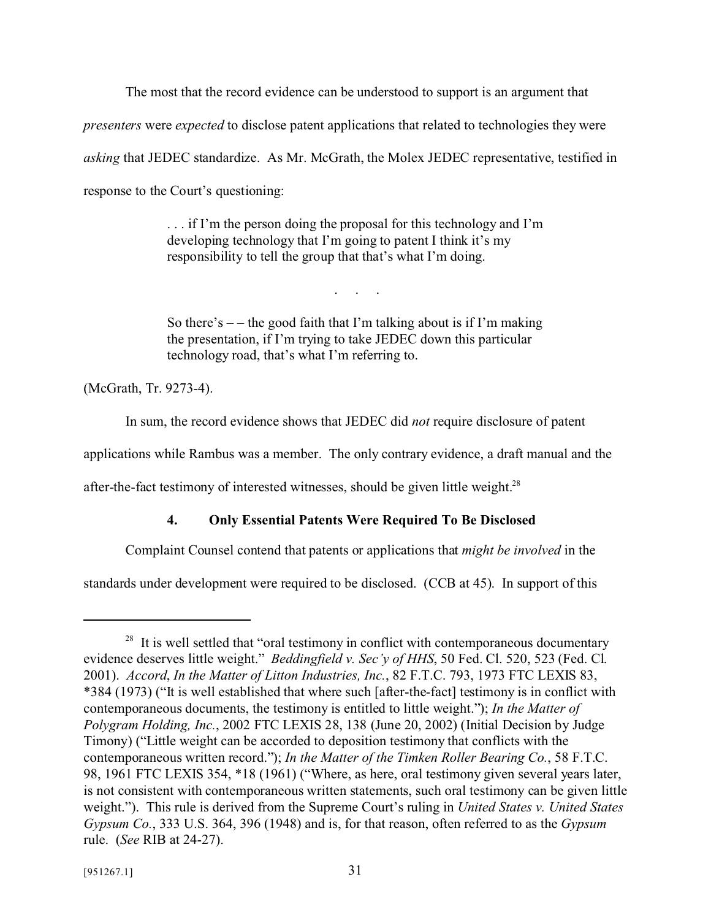The most that the record evidence can be understood to support is an argument that *presenters* were *expected* to disclose patent applications that related to technologies they were *asking* that JEDEC standardize. As Mr. McGrath, the Molex JEDEC representative, testified in response to the Court's questioning:

> . . . if I'm the person doing the proposal for this technology and I'm developing technology that I'm going to patent I think it's my responsibility to tell the group that that's what I'm doing.

> So there's  $-$  – the good faith that I'm talking about is if I'm making the presentation, if I'm trying to take JEDEC down this particular technology road, that's what I'm referring to.

. . . .

(McGrath, Tr. 9273-4).

In sum, the record evidence shows that JEDEC did *not* require disclosure of patent

applications while Rambus was a member. The only contrary evidence, a draft manual and the

after-the-fact testimony of interested witnesses, should be given little weight.<sup>28</sup>

# **4. Only Essential Patents Were Required To Be Disclosed**

Complaint Counsel contend that patents or applications that *might be involved* in the

standards under development were required to be disclosed. (CCB at 45). In support of this

<sup>&</sup>lt;sup>28</sup> It is well settled that "oral testimony in conflict with contemporaneous documentary evidence deserves little weight." *Beddingfield v. Sec'y of HHS*, 50 Fed. Cl. 520, 523 (Fed. Cl. 2001). *Accord*, *In the Matter of Litton Industries, Inc.*, 82 F.T.C. 793, 1973 FTC LEXIS 83, \*384 (1973) ("It is well established that where such [after-the-fact] testimony is in conflict with contemporaneous documents, the testimony is entitled to little weight."); *In the Matter of Polygram Holding, Inc.*, 2002 FTC LEXIS 28, 138 (June 20, 2002) (Initial Decision by Judge Timony) ("Little weight can be accorded to deposition testimony that conflicts with the contemporaneous written record."); *In the Matter of the Timken Roller Bearing Co.*, 58 F.T.C. 98, 1961 FTC LEXIS 354, \*18 (1961) ("Where, as here, oral testimony given several years later, is not consistent with contemporaneous written statements, such oral testimony can be given little weight."). This rule is derived from the Supreme Court's ruling in *United States v. United States Gypsum Co.*, 333 U.S. 364, 396 (1948) and is, for that reason, often referred to as the *Gypsum* rule. (*See* RIB at 24-27).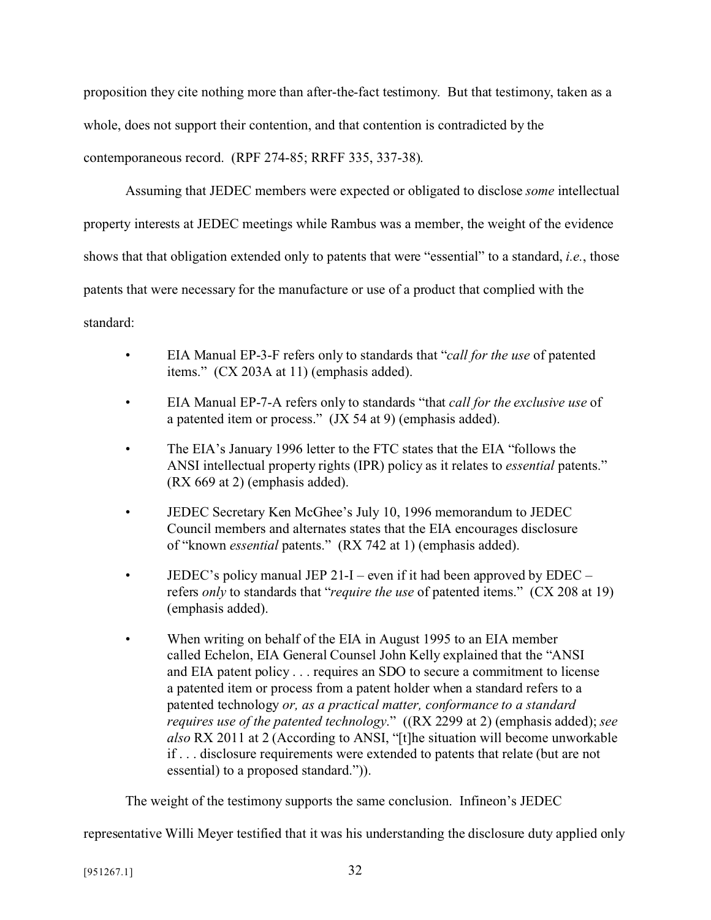proposition they cite nothing more than after-the-fact testimony. But that testimony, taken as a whole, does not support their contention, and that contention is contradicted by the contemporaneous record. (RPF 274-85; RRFF 335, 337-38).

Assuming that JEDEC members were expected or obligated to disclose *some* intellectual property interests at JEDEC meetings while Rambus was a member, the weight of the evidence shows that that obligation extended only to patents that were "essential" to a standard, *i.e.*, those patents that were necessary for the manufacture or use of a product that complied with the standard:

- EIA Manual EP-3-F refers only to standards that "*call for the use* of patented items." (CX 203A at 11) (emphasis added).
- EIA Manual EP-7-A refers only to standards "that *call for the exclusive use* of a patented item or process." (JX 54 at 9) (emphasis added).
- The EIA's January 1996 letter to the FTC states that the EIA "follows the ANSI intellectual property rights (IPR) policy as it relates to *essential* patents." (RX 669 at 2) (emphasis added).
- JEDEC Secretary Ken McGhee's July 10, 1996 memorandum to JEDEC Council members and alternates states that the EIA encourages disclosure of "known *essential* patents." (RX 742 at 1) (emphasis added).
- JEDEC's policy manual JEP 21-I even if it had been approved by  $EDEC$ refers *only* to standards that "*require the use* of patented items." (CX 208 at 19) (emphasis added).
- When writing on behalf of the EIA in August 1995 to an EIA member called Echelon, EIA General Counsel John Kelly explained that the "ANSI and EIA patent policy . . . requires an SDO to secure a commitment to license a patented item or process from a patent holder when a standard refers to a patented technology *or, as a practical matter, conformance to a standard requires use of the patented technology*." ((RX 2299 at 2) (emphasis added); *see also* RX 2011 at 2 (According to ANSI, "[t]he situation will become unworkable if . . . disclosure requirements were extended to patents that relate (but are not essential) to a proposed standard.")).

The weight of the testimony supports the same conclusion. Infineon's JEDEC

representative Willi Meyer testified that it was his understanding the disclosure duty applied only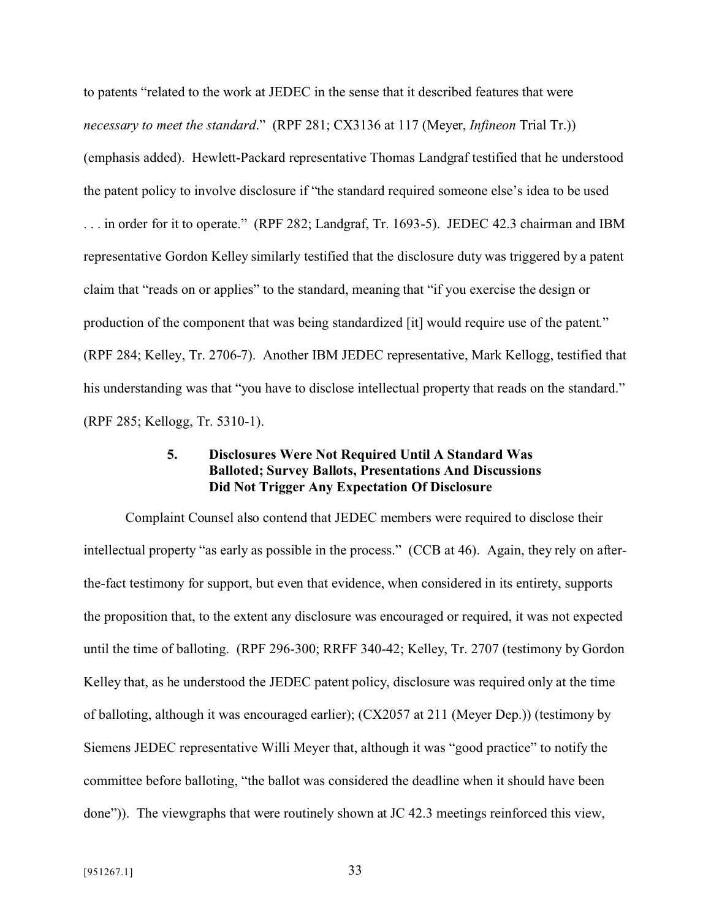to patents "related to the work at JEDEC in the sense that it described features that were *necessary to meet the standard*." (RPF 281; CX3136 at 117 (Meyer, *Infineon* Trial Tr.)) (emphasis added). Hewlett-Packard representative Thomas Landgraf testified that he understood the patent policy to involve disclosure if "the standard required someone else's idea to be used . . . in order for it to operate." (RPF 282; Landgraf, Tr. 1693-5). JEDEC 42.3 chairman and IBM representative Gordon Kelley similarly testified that the disclosure duty was triggered by a patent claim that "reads on or applies" to the standard, meaning that "if you exercise the design or production of the component that was being standardized [it] would require use of the patent*.*" (RPF 284; Kelley, Tr. 2706-7). Another IBM JEDEC representative, Mark Kellogg, testified that his understanding was that "you have to disclose intellectual property that reads on the standard." (RPF 285; Kellogg, Tr. 5310-1).

## **5. Disclosures Were Not Required Until A Standard Was Balloted; Survey Ballots, Presentations And Discussions Did Not Trigger Any Expectation Of Disclosure**

Complaint Counsel also contend that JEDEC members were required to disclose their intellectual property "as early as possible in the process." (CCB at 46). Again, they rely on afterthe-fact testimony for support, but even that evidence, when considered in its entirety, supports the proposition that, to the extent any disclosure was encouraged or required, it was not expected until the time of balloting. (RPF 296-300; RRFF 340-42; Kelley, Tr. 2707 (testimony by Gordon Kelley that, as he understood the JEDEC patent policy, disclosure was required only at the time of balloting, although it was encouraged earlier); (CX2057 at 211 (Meyer Dep.)) (testimony by Siemens JEDEC representative Willi Meyer that, although it was "good practice" to notify the committee before balloting, "the ballot was considered the deadline when it should have been done")). The viewgraphs that were routinely shown at JC 42.3 meetings reinforced this view,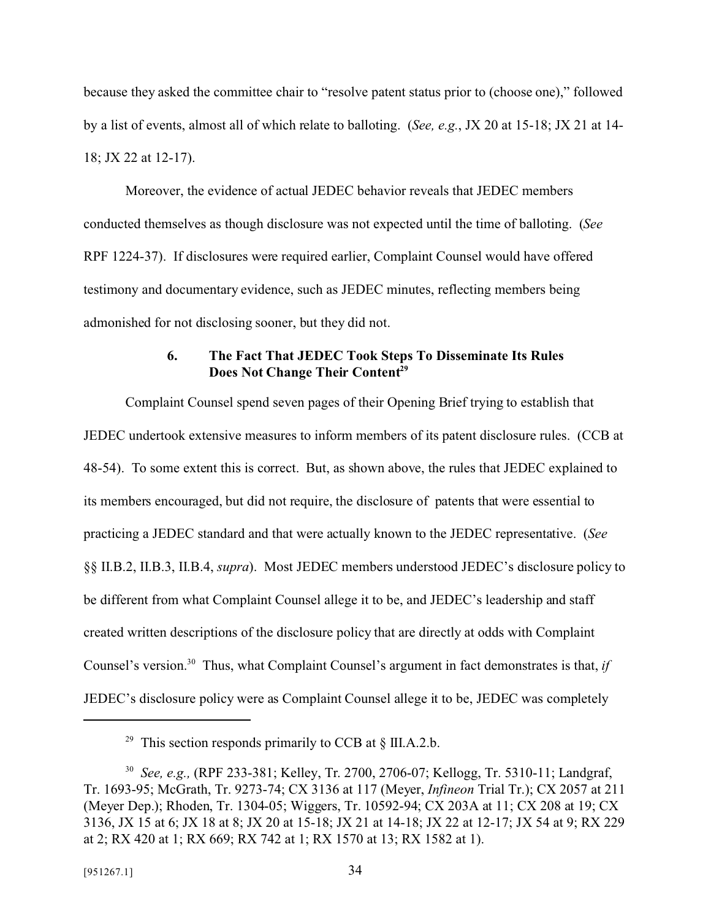because they asked the committee chair to "resolve patent status prior to (choose one)," followed by a list of events, almost all of which relate to balloting. (*See, e.g.*, JX 20 at 15-18; JX 21 at 14- 18; JX 22 at 12-17).

Moreover, the evidence of actual JEDEC behavior reveals that JEDEC members conducted themselves as though disclosure was not expected until the time of balloting. (*See* RPF 1224-37). If disclosures were required earlier, Complaint Counsel would have offered testimony and documentary evidence, such as JEDEC minutes, reflecting members being admonished for not disclosing sooner, but they did not.

#### **6. The Fact That JEDEC Took Steps To Disseminate Its Rules Does Not Change Their Content<sup>29</sup>**

Complaint Counsel spend seven pages of their Opening Brief trying to establish that JEDEC undertook extensive measures to inform members of its patent disclosure rules. (CCB at 48-54). To some extent this is correct. But, as shown above, the rules that JEDEC explained to its members encouraged, but did not require, the disclosure of patents that were essential to practicing a JEDEC standard and that were actually known to the JEDEC representative. (*See* §§ II.B.2, II.B.3, II.B.4, *supra*). Most JEDEC members understood JEDEC's disclosure policy to be different from what Complaint Counsel allege it to be, and JEDEC's leadership and staff created written descriptions of the disclosure policy that are directly at odds with Complaint Counsel's version.<sup>30</sup> Thus, what Complaint Counsel's argument in fact demonstrates is that, *if* JEDEC's disclosure policy were as Complaint Counsel allege it to be, JEDEC was completely

<sup>&</sup>lt;sup>29</sup> This section responds primarily to CCB at  $\S$  III.A.2.b.

<sup>30</sup> *See, e.g.,* (RPF 233-381; Kelley, Tr. 2700, 2706-07; Kellogg, Tr. 5310-11; Landgraf, Tr. 1693-95; McGrath, Tr. 9273-74; CX 3136 at 117 (Meyer, *Infineon* Trial Tr.); CX 2057 at 211 (Meyer Dep.); Rhoden, Tr. 1304-05; Wiggers, Tr. 10592-94; CX 203A at 11; CX 208 at 19; CX 3136, JX 15 at 6; JX 18 at 8; JX 20 at 15-18; JX 21 at 14-18; JX 22 at 12-17; JX 54 at 9; RX 229 at 2; RX 420 at 1; RX 669; RX 742 at 1; RX 1570 at 13; RX 1582 at 1).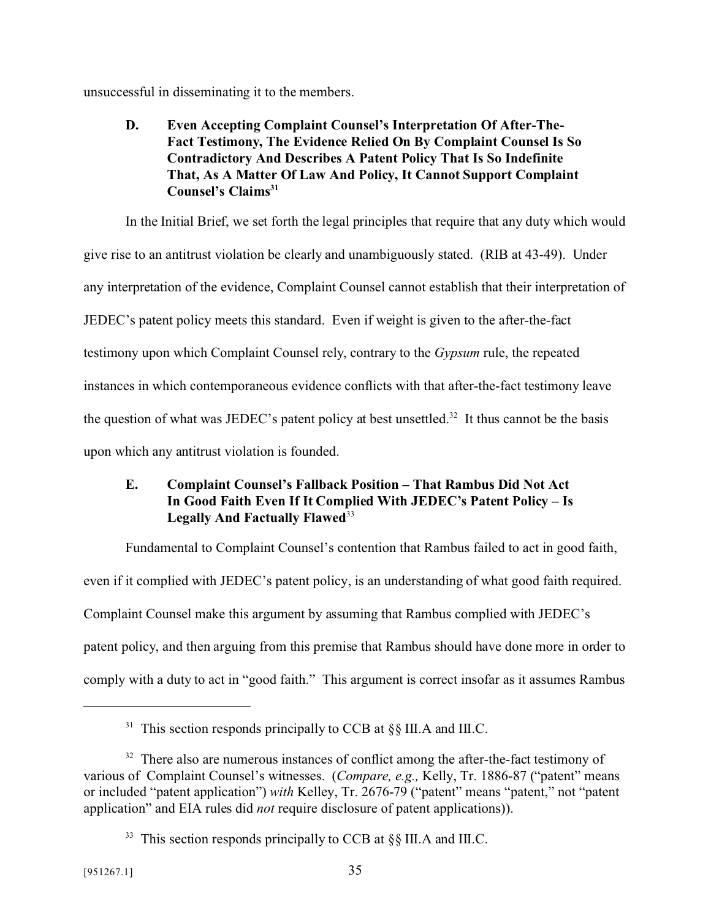unsuccessful in disseminating it to the members.

**D. Even Accepting Complaint Counsel's Interpretation Of After-The-Fact Testimony, The Evidence Relied On By Complaint Counsel Is So Contradictory And Describes A Patent Policy That Is So Indefinite That, As A Matter Of Law And Policy, It Cannot Support Complaint Counsel's Claims<sup>31</sup>**

In the Initial Brief, we set forth the legal principles that require that any duty which would give rise to an antitrust violation be clearly and unambiguously stated. (RIB at 43-49). Under any interpretation of the evidence, Complaint Counsel cannot establish that their interpretation of JEDEC's patent policy meets this standard. Even if weight is given to the after-the-fact testimony upon which Complaint Counsel rely, contrary to the *Gypsum* rule, the repeated instances in which contemporaneous evidence conflicts with that after-the-fact testimony leave the question of what was JEDEC's patent policy at best unsettled.<sup>32</sup> It thus cannot be the basis upon which any antitrust violation is founded.

# **E. Complaint Counsel's Fallback Position – That Rambus Did Not Act In Good Faith Even If It Complied With JEDEC's Patent Policy – Is** Legally And Factually Flawed<sup>33</sup>

Fundamental to Complaint Counsel's contention that Rambus failed to act in good faith, even if it complied with JEDEC's patent policy, is an understanding of what good faith required. Complaint Counsel make this argument by assuming that Rambus complied with JEDEC's patent policy, and then arguing from this premise that Rambus should have done more in order to comply with a duty to act in "good faith." This argument is correct insofar as it assumes Rambus

<sup>&</sup>lt;sup>31</sup> This section responds principally to CCB at  $\S$ [S III.A and III.C.

 $32$  There also are numerous instances of conflict among the after-the-fact testimony of various of Complaint Counsel's witnesses. (*Compare, e.g.,* Kelly, Tr. 1886-87 ("patent" means or included "patent application") *with* Kelley, Tr. 2676-79 ("patent" means "patent," not "patent application" and EIA rules did *not* require disclosure of patent applications)).

<sup>&</sup>lt;sup>33</sup> This section responds principally to CCB at  $\S$ [II]. A and III.C.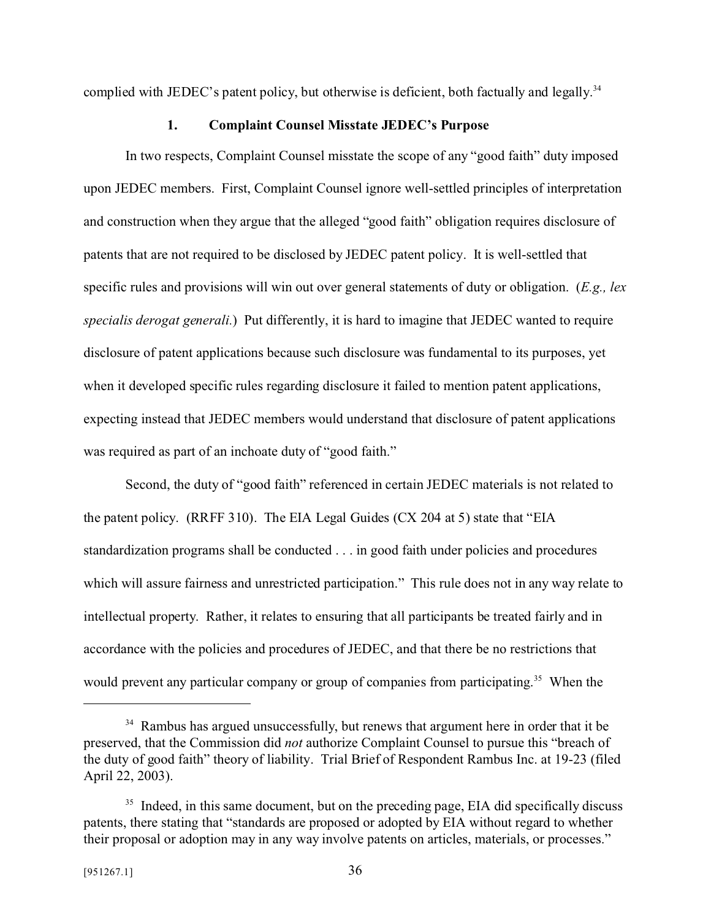complied with JEDEC's patent policy, but otherwise is deficient, both factually and legally.<sup>34</sup>

#### **1. Complaint Counsel Misstate JEDEC's Purpose**

In two respects, Complaint Counsel misstate the scope of any "good faith" duty imposed upon JEDEC members. First, Complaint Counsel ignore well-settled principles of interpretation and construction when they argue that the alleged "good faith" obligation requires disclosure of patents that are not required to be disclosed by JEDEC patent policy. It is well-settled that specific rules and provisions will win out over general statements of duty or obligation. (*E.g., lex specialis derogat generali.*) Put differently, it is hard to imagine that JEDEC wanted to require disclosure of patent applications because such disclosure was fundamental to its purposes, yet when it developed specific rules regarding disclosure it failed to mention patent applications, expecting instead that JEDEC members would understand that disclosure of patent applications was required as part of an inchoate duty of "good faith."

Second, the duty of "good faith" referenced in certain JEDEC materials is not related to the patent policy. (RRFF 310). The EIA Legal Guides (CX 204 at 5) state that "EIA standardization programs shall be conducted . . . in good faith under policies and procedures which will assure fairness and unrestricted participation." This rule does not in any way relate to intellectual property. Rather, it relates to ensuring that all participants be treated fairly and in accordance with the policies and procedures of JEDEC, and that there be no restrictions that would prevent any particular company or group of companies from participating.<sup>35</sup> When the

<sup>&</sup>lt;sup>34</sup> Rambus has argued unsuccessfully, but renews that argument here in order that it be preserved, that the Commission did *not* authorize Complaint Counsel to pursue this "breach of the duty of good faith" theory of liability. Trial Brief of Respondent Rambus Inc. at 19-23 (filed April 22, 2003).

<sup>&</sup>lt;sup>35</sup> Indeed, in this same document, but on the preceding page, EIA did specifically discuss patents, there stating that "standards are proposed or adopted by EIA without regard to whether their proposal or adoption may in any way involve patents on articles, materials, or processes."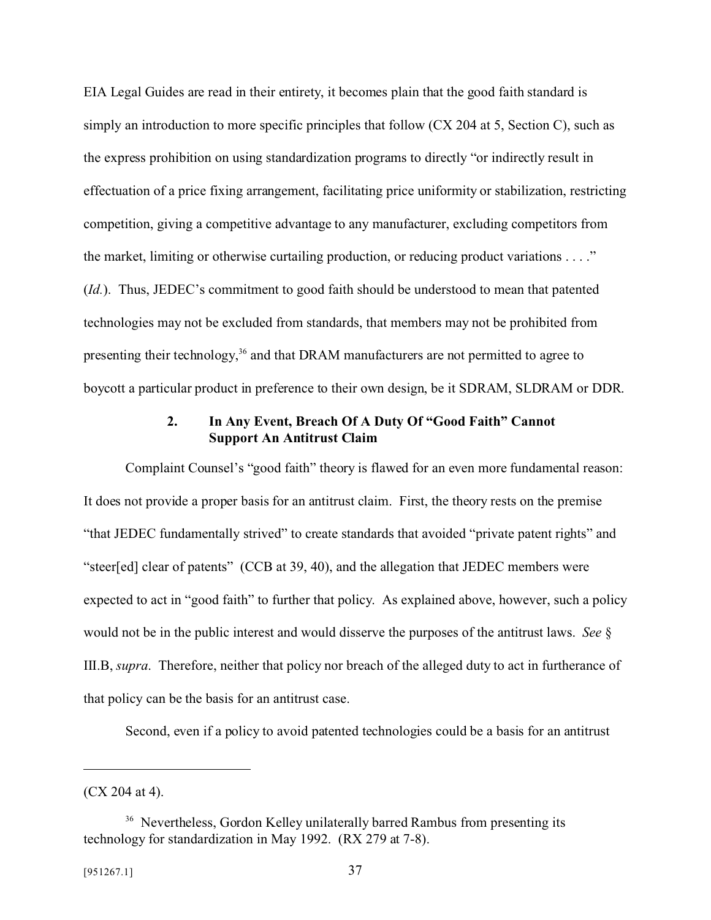EIA Legal Guides are read in their entirety, it becomes plain that the good faith standard is simply an introduction to more specific principles that follow (CX 204 at 5, Section C), such as the express prohibition on using standardization programs to directly "or indirectly result in effectuation of a price fixing arrangement, facilitating price uniformity or stabilization, restricting competition, giving a competitive advantage to any manufacturer, excluding competitors from the market, limiting or otherwise curtailing production, or reducing product variations . . . ." (*Id.*). Thus, JEDEC's commitment to good faith should be understood to mean that patented technologies may not be excluded from standards, that members may not be prohibited from presenting their technology,<sup>36</sup> and that DRAM manufacturers are not permitted to agree to boycott a particular product in preference to their own design, be it SDRAM, SLDRAM or DDR.

#### **2. In Any Event, Breach Of A Duty Of "Good Faith" Cannot Support An Antitrust Claim**

Complaint Counsel's "good faith" theory is flawed for an even more fundamental reason: It does not provide a proper basis for an antitrust claim. First, the theory rests on the premise "that JEDEC fundamentally strived" to create standards that avoided "private patent rights" and "steer[ed] clear of patents" (CCB at 39, 40), and the allegation that JEDEC members were expected to act in "good faith" to further that policy. As explained above, however, such a policy would not be in the public interest and would disserve the purposes of the antitrust laws. *See* § III.B, *supra*. Therefore, neither that policy nor breach of the alleged duty to act in furtherance of that policy can be the basis for an antitrust case.

Second, even if a policy to avoid patented technologies could be a basis for an antitrust

<sup>(</sup>CX 204 at 4).

<sup>&</sup>lt;sup>36</sup> Nevertheless, Gordon Kelley unilaterally barred Rambus from presenting its technology for standardization in May 1992. (RX 279 at 7-8).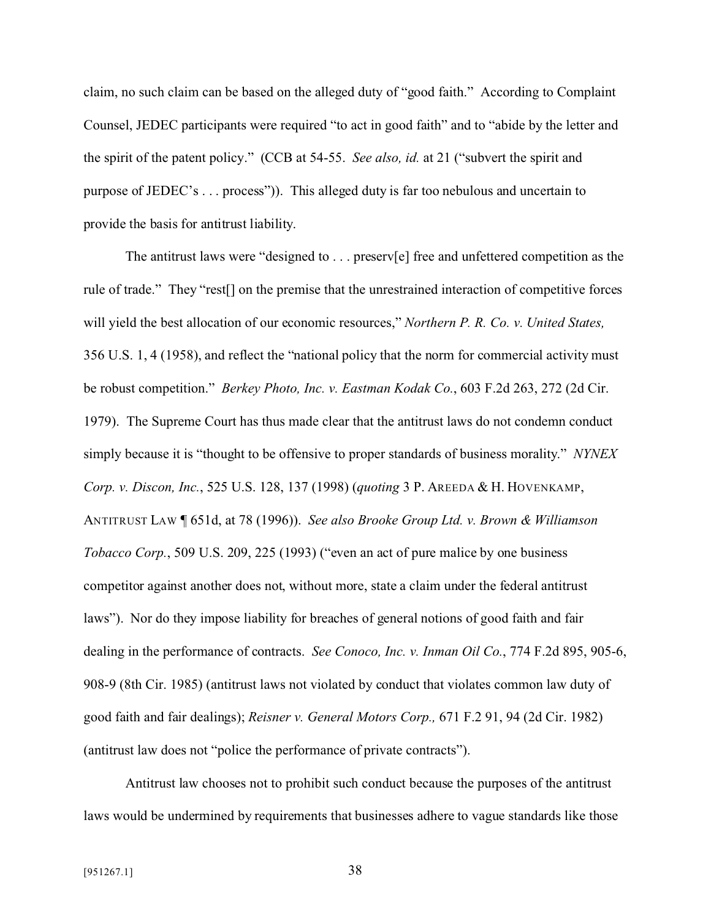claim, no such claim can be based on the alleged duty of "good faith." According to Complaint Counsel, JEDEC participants were required "to act in good faith" and to "abide by the letter and the spirit of the patent policy." (CCB at 54-55. *See also, id.* at 21 ("subvert the spirit and purpose of JEDEC's . . . process")). This alleged duty is far too nebulous and uncertain to provide the basis for antitrust liability.

The antitrust laws were "designed to . . . preserv[e] free and unfettered competition as the rule of trade." They "rest[] on the premise that the unrestrained interaction of competitive forces will yield the best allocation of our economic resources," *Northern P. R. Co. v. United States,* 356 U.S. 1, 4 (1958), and reflect the "national policy that the norm for commercial activity must be robust competition." *Berkey Photo, Inc. v. Eastman Kodak Co.*, 603 F.2d 263, 272 (2d Cir. 1979). The Supreme Court has thus made clear that the antitrust laws do not condemn conduct simply because it is "thought to be offensive to proper standards of business morality." *NYNEX Corp. v. Discon, Inc.*, 525 U.S. 128, 137 (1998) (*quoting* 3 P. AREEDA & H. HOVENKAMP, ANTITRUST LAW ¶ 651d, at 78 (1996)). *See also Brooke Group Ltd. v. Brown & Williamson Tobacco Corp.*, 509 U.S. 209, 225 (1993) ("even an act of pure malice by one business competitor against another does not, without more, state a claim under the federal antitrust laws"). Nor do they impose liability for breaches of general notions of good faith and fair dealing in the performance of contracts. *See Conoco, Inc. v. Inman Oil Co.*, 774 F.2d 895, 905-6, 908-9 (8th Cir. 1985) (antitrust laws not violated by conduct that violates common law duty of good faith and fair dealings); *Reisner v. General Motors Corp.,* 671 F.2 91, 94 (2d Cir. 1982) (antitrust law does not "police the performance of private contracts").

Antitrust law chooses not to prohibit such conduct because the purposes of the antitrust laws would be undermined by requirements that businesses adhere to vague standards like those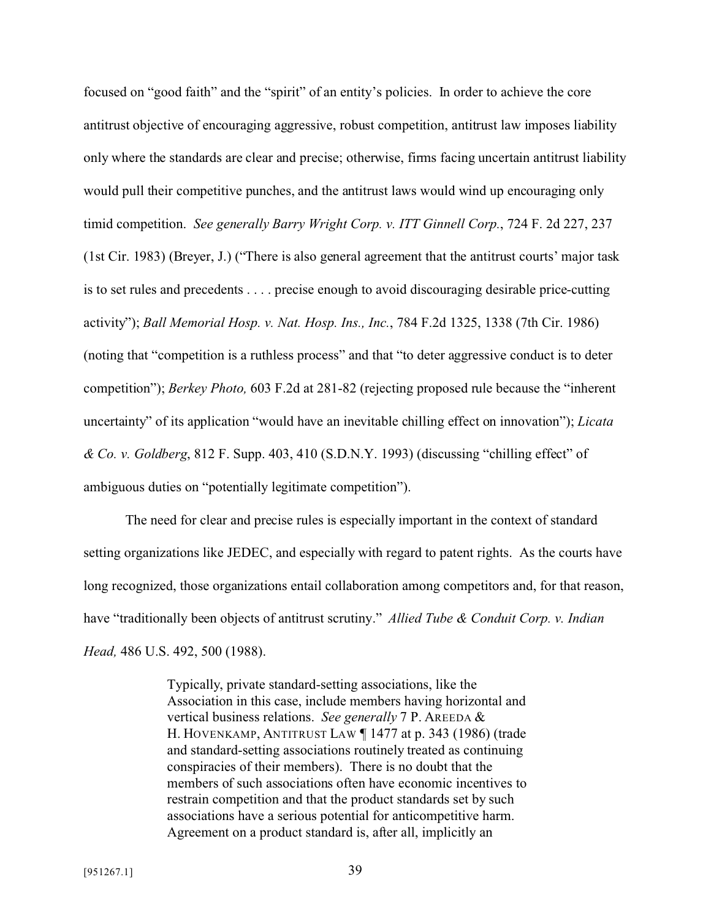focused on "good faith" and the "spirit" of an entity's policies. In order to achieve the core antitrust objective of encouraging aggressive, robust competition, antitrust law imposes liability only where the standards are clear and precise; otherwise, firms facing uncertain antitrust liability would pull their competitive punches, and the antitrust laws would wind up encouraging only

timid competition. *See generally Barry Wright Corp. v. ITT Ginnell Corp.*, 724 F. 2d 227, 237

(1st Cir. 1983) (Breyer, J.) ("There is also general agreement that the antitrust courts' major task is to set rules and precedents . . . . precise enough to avoid discouraging desirable price-cutting activity"); *Ball Memorial Hosp. v. Nat. Hosp. Ins., Inc.*, 784 F.2d 1325, 1338 (7th Cir. 1986) (noting that "competition is a ruthless process" and that "to deter aggressive conduct is to deter competition"); *Berkey Photo,* 603 F.2d at 281-82 (rejecting proposed rule because the "inherent uncertainty" of its application "would have an inevitable chilling effect on innovation"); *Licata & Co. v. Goldberg*, 812 F. Supp. 403, 410 (S.D.N.Y. 1993) (discussing "chilling effect" of

ambiguous duties on "potentially legitimate competition").

The need for clear and precise rules is especially important in the context of standard setting organizations like JEDEC, and especially with regard to patent rights. As the courts have long recognized, those organizations entail collaboration among competitors and, for that reason, have "traditionally been objects of antitrust scrutiny." *Allied Tube & Conduit Corp. v. Indian Head,* 486 U.S. 492, 500 (1988).

> Typically, private standard-setting associations, like the Association in this case, include members having horizontal and vertical business relations. *See generally* 7 P. AREEDA & H. HOVENKAMP, ANTITRUST LAW ¶ 1477 at p. 343 (1986) (trade and standard-setting associations routinely treated as continuing conspiracies of their members). There is no doubt that the members of such associations often have economic incentives to restrain competition and that the product standards set by such associations have a serious potential for anticompetitive harm. Agreement on a product standard is, after all, implicitly an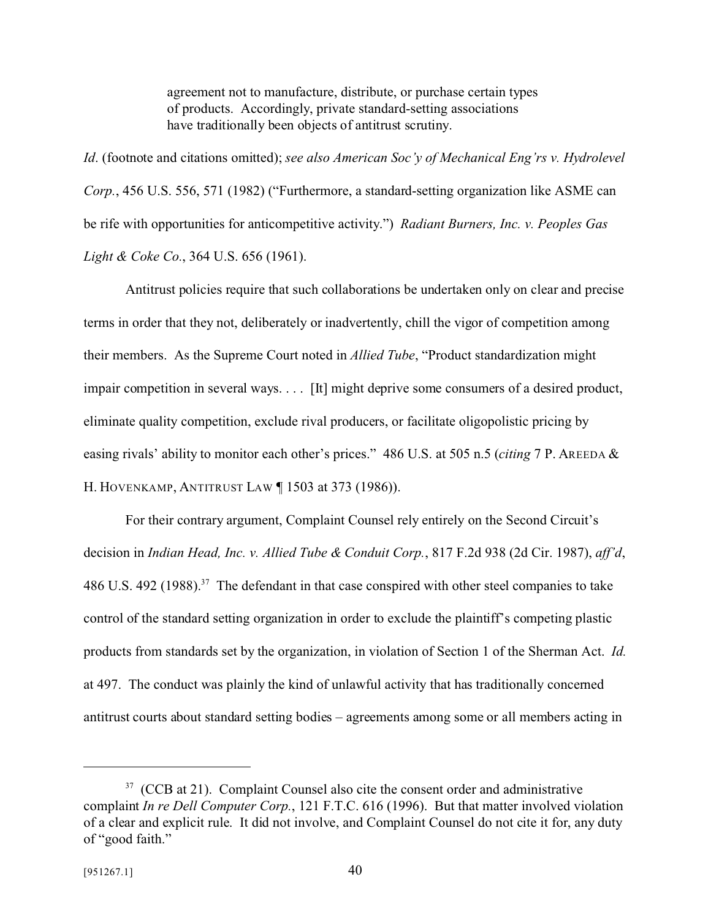agreement not to manufacture, distribute, or purchase certain types of products. Accordingly, private standard-setting associations have traditionally been objects of antitrust scrutiny.

*Id*. (footnote and citations omitted); *see also American Soc'y of Mechanical Eng'rs v. Hydrolevel Corp.*, 456 U.S. 556, 571 (1982) ("Furthermore, a standard-setting organization like ASME can be rife with opportunities for anticompetitive activity.") *Radiant Burners, Inc. v. Peoples Gas Light & Coke Co.*, 364 U.S. 656 (1961).

Antitrust policies require that such collaborations be undertaken only on clear and precise terms in order that they not, deliberately or inadvertently, chill the vigor of competition among their members. As the Supreme Court noted in *Allied Tube*, "Product standardization might impair competition in several ways. . . . [It] might deprive some consumers of a desired product, eliminate quality competition, exclude rival producers, or facilitate oligopolistic pricing by easing rivals' ability to monitor each other's prices." 486 U.S. at 505 n.5 (*citing* 7 P. AREEDA & H. HOVENKAMP, ANTITRUST LAW ¶ 1503 at 373 (1986)).

For their contrary argument, Complaint Counsel rely entirely on the Second Circuit's decision in *Indian Head, Inc. v. Allied Tube & Conduit Corp.*, 817 F.2d 938 (2d Cir. 1987), *aff'd*, 486 U.S. 492 (1988).<sup>37</sup> The defendant in that case conspired with other steel companies to take control of the standard setting organization in order to exclude the plaintiff's competing plastic products from standards set by the organization, in violation of Section 1 of the Sherman Act. *Id.* at 497. The conduct was plainly the kind of unlawful activity that has traditionally concerned antitrust courts about standard setting bodies – agreements among some or all members acting in

 $37$  (CCB at 21). Complaint Counsel also cite the consent order and administrative complaint *In re Dell Computer Corp.*, 121 F.T.C. 616 (1996). But that matter involved violation of a clear and explicit rule. It did not involve, and Complaint Counsel do not cite it for, any duty of "good faith."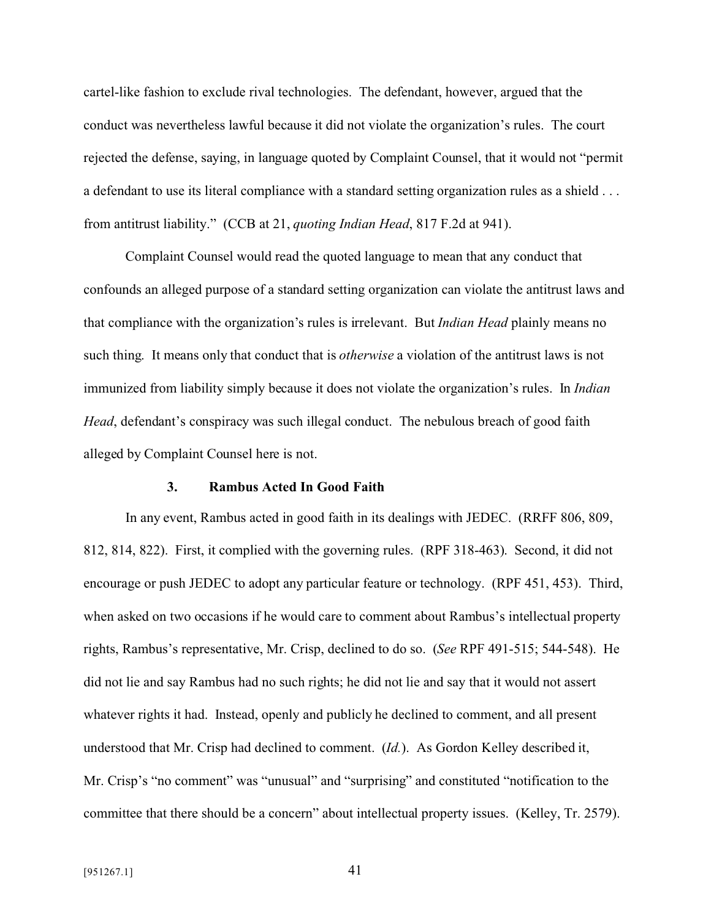cartel-like fashion to exclude rival technologies. The defendant, however, argued that the conduct was nevertheless lawful because it did not violate the organization's rules. The court rejected the defense, saying, in language quoted by Complaint Counsel, that it would not "permit a defendant to use its literal compliance with a standard setting organization rules as a shield . . . from antitrust liability." (CCB at 21, *quoting Indian Head*, 817 F.2d at 941).

Complaint Counsel would read the quoted language to mean that any conduct that confounds an alleged purpose of a standard setting organization can violate the antitrust laws and that compliance with the organization's rules is irrelevant. But *Indian Head* plainly means no such thing. It means only that conduct that is *otherwise* a violation of the antitrust laws is not immunized from liability simply because it does not violate the organization's rules. In *Indian Head*, defendant's conspiracy was such illegal conduct. The nebulous breach of good faith alleged by Complaint Counsel here is not.

#### **3. Rambus Acted In Good Faith**

In any event, Rambus acted in good faith in its dealings with JEDEC. (RRFF 806, 809, 812, 814, 822). First, it complied with the governing rules. (RPF 318-463). Second, it did not encourage or push JEDEC to adopt any particular feature or technology. (RPF 451, 453). Third, when asked on two occasions if he would care to comment about Rambus's intellectual property rights, Rambus's representative, Mr. Crisp, declined to do so. (*See* RPF 491-515; 544-548). He did not lie and say Rambus had no such rights; he did not lie and say that it would not assert whatever rights it had. Instead, openly and publicly he declined to comment, and all present understood that Mr. Crisp had declined to comment. (*Id.*). As Gordon Kelley described it, Mr. Crisp's "no comment" was "unusual" and "surprising" and constituted "notification to the committee that there should be a concern" about intellectual property issues. (Kelley, Tr. 2579).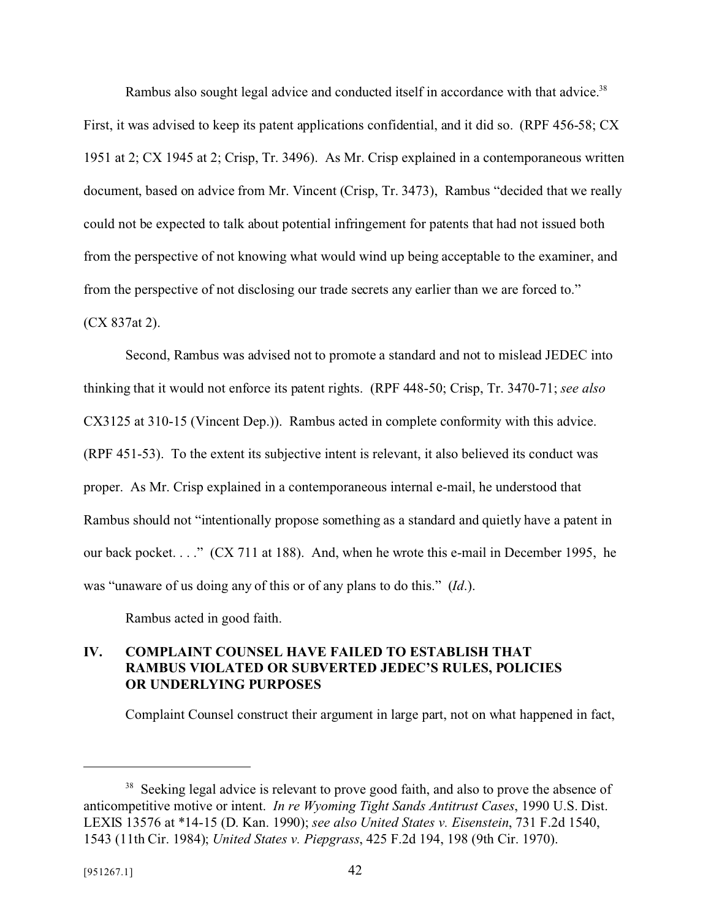Rambus also sought legal advice and conducted itself in accordance with that advice.<sup>38</sup>

First, it was advised to keep its patent applications confidential, and it did so. (RPF 456-58; CX 1951 at 2; CX 1945 at 2; Crisp, Tr. 3496). As Mr. Crisp explained in a contemporaneous written document, based on advice from Mr. Vincent (Crisp, Tr. 3473), Rambus "decided that we really could not be expected to talk about potential infringement for patents that had not issued both from the perspective of not knowing what would wind up being acceptable to the examiner, and from the perspective of not disclosing our trade secrets any earlier than we are forced to." (CX 837at 2).

Second, Rambus was advised not to promote a standard and not to mislead JEDEC into thinking that it would not enforce its patent rights. (RPF 448-50; Crisp, Tr. 3470-71; *see also* CX3125 at 310-15 (Vincent Dep.)). Rambus acted in complete conformity with this advice. (RPF 451-53). To the extent its subjective intent is relevant, it also believed its conduct was proper. As Mr. Crisp explained in a contemporaneous internal e-mail, he understood that Rambus should not "intentionally propose something as a standard and quietly have a patent in our back pocket. . . ." (CX 711 at 188). And, when he wrote this e-mail in December 1995, he was "unaware of us doing any of this or of any plans to do this." (*Id*.).

Rambus acted in good faith.

# **IV. COMPLAINT COUNSEL HAVE FAILED TO ESTABLISH THAT RAMBUS VIOLATED OR SUBVERTED JEDEC'S RULES, POLICIES OR UNDERLYING PURPOSES**

Complaint Counsel construct their argument in large part, not on what happened in fact,

<sup>&</sup>lt;sup>38</sup> Seeking legal advice is relevant to prove good faith, and also to prove the absence of anticompetitive motive or intent. *In re Wyoming Tight Sands Antitrust Cases*, 1990 U.S. Dist. LEXIS 13576 at \*14-15 (D. Kan. 1990); *see also United States v. Eisenstein*, 731 F.2d 1540, 1543 (11th Cir. 1984); *United States v. Piepgrass*, 425 F.2d 194, 198 (9th Cir. 1970).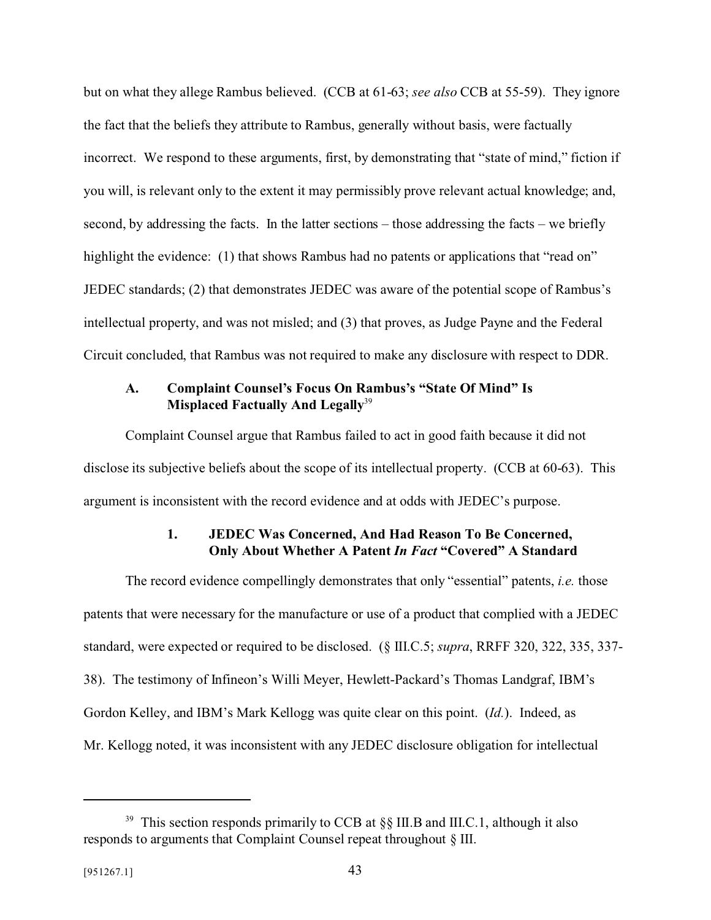but on what they allege Rambus believed. (CCB at 61-63; *see also* CCB at 55-59). They ignore the fact that the beliefs they attribute to Rambus, generally without basis, were factually incorrect. We respond to these arguments, first, by demonstrating that "state of mind," fiction if you will, is relevant only to the extent it may permissibly prove relevant actual knowledge; and, second, by addressing the facts. In the latter sections – those addressing the facts – we briefly highlight the evidence: (1) that shows Rambus had no patents or applications that "read on" JEDEC standards; (2) that demonstrates JEDEC was aware of the potential scope of Rambus's intellectual property, and was not misled; and (3) that proves, as Judge Payne and the Federal Circuit concluded, that Rambus was not required to make any disclosure with respect to DDR.

#### **A. Complaint Counsel's Focus On Rambus's "State Of Mind" Is Misplaced Factually And Legally**<sup>39</sup>

Complaint Counsel argue that Rambus failed to act in good faith because it did not disclose its subjective beliefs about the scope of its intellectual property. (CCB at 60-63). This argument is inconsistent with the record evidence and at odds with JEDEC's purpose.

## **1. JEDEC Was Concerned, And Had Reason To Be Concerned, Only About Whether A Patent** *In Fact* **"Covered" A Standard**

The record evidence compellingly demonstrates that only "essential" patents, *i.e.* those patents that were necessary for the manufacture or use of a product that complied with a JEDEC standard, were expected or required to be disclosed. (§ III.C.5; *supra*, RRFF 320, 322, 335, 337- 38). The testimony of Infineon's Willi Meyer, Hewlett-Packard's Thomas Landgraf, IBM's Gordon Kelley, and IBM's Mark Kellogg was quite clear on this point. (*Id.*). Indeed, as Mr. Kellogg noted, it was inconsistent with any JEDEC disclosure obligation for intellectual

<sup>&</sup>lt;sup>39</sup> This section responds primarily to CCB at  $\S$ § III.B and III.C.1, although it also responds to arguments that Complaint Counsel repeat throughout § III.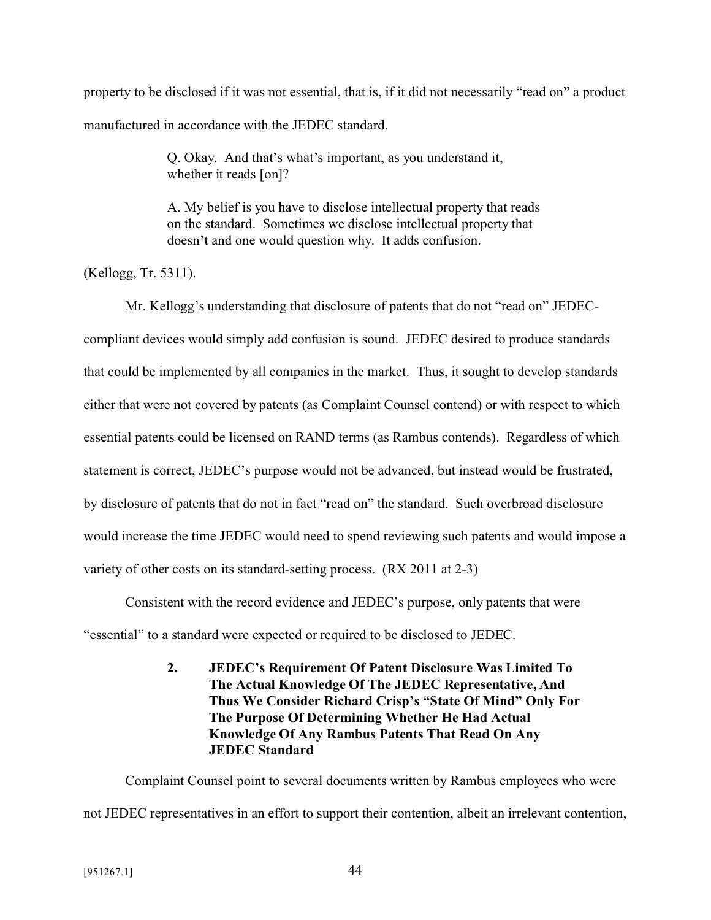property to be disclosed if it was not essential, that is, if it did not necessarily "read on" a product manufactured in accordance with the JEDEC standard.

> Q. Okay. And that's what's important, as you understand it, whether it reads [on]?

A. My belief is you have to disclose intellectual property that reads on the standard. Sometimes we disclose intellectual property that doesn't and one would question why. It adds confusion.

(Kellogg, Tr. 5311).

Mr. Kellogg's understanding that disclosure of patents that do not "read on" JEDECcompliant devices would simply add confusion is sound. JEDEC desired to produce standards that could be implemented by all companies in the market. Thus, it sought to develop standards either that were not covered by patents (as Complaint Counsel contend) or with respect to which essential patents could be licensed on RAND terms (as Rambus contends). Regardless of which statement is correct, JEDEC's purpose would not be advanced, but instead would be frustrated, by disclosure of patents that do not in fact "read on" the standard. Such overbroad disclosure would increase the time JEDEC would need to spend reviewing such patents and would impose a variety of other costs on its standard-setting process. (RX 2011 at 2-3)

Consistent with the record evidence and JEDEC's purpose, only patents that were

"essential" to a standard were expected or required to be disclosed to JEDEC.

**2. JEDEC's Requirement Of Patent Disclosure Was Limited To The Actual Knowledge Of The JEDEC Representative, And Thus We Consider Richard Crisp's "State Of Mind" Only For The Purpose Of Determining Whether He Had Actual Knowledge Of Any Rambus Patents That Read On Any JEDEC Standard**

Complaint Counsel point to several documents written by Rambus employees who were not JEDEC representatives in an effort to support their contention, albeit an irrelevant contention,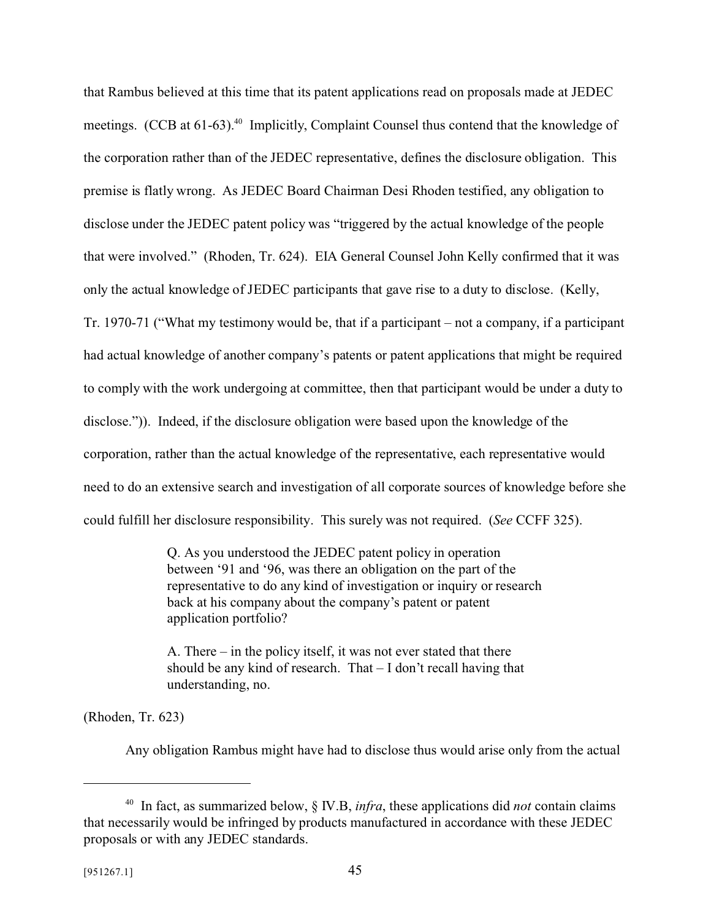that Rambus believed at this time that its patent applications read on proposals made at JEDEC meetings.  $(CCB \text{ at } 61-63)$ <sup>40</sup> Implicitly, Complaint Counsel thus contend that the knowledge of the corporation rather than of the JEDEC representative, defines the disclosure obligation. This premise is flatly wrong. As JEDEC Board Chairman Desi Rhoden testified, any obligation to disclose under the JEDEC patent policy was "triggered by the actual knowledge of the people that were involved." (Rhoden, Tr. 624). EIA General Counsel John Kelly confirmed that it was only the actual knowledge of JEDEC participants that gave rise to a duty to disclose. (Kelly, Tr. 1970-71 ("What my testimony would be, that if a participant – not a company, if a participant had actual knowledge of another company's patents or patent applications that might be required to comply with the work undergoing at committee, then that participant would be under a duty to disclose.")). Indeed, if the disclosure obligation were based upon the knowledge of the corporation, rather than the actual knowledge of the representative, each representative would need to do an extensive search and investigation of all corporate sources of knowledge before she could fulfill her disclosure responsibility. This surely was not required. (*See* CCFF 325).

> Q. As you understood the JEDEC patent policy in operation between '91 and '96, was there an obligation on the part of the representative to do any kind of investigation or inquiry or research back at his company about the company's patent or patent application portfolio?

A. There – in the policy itself, it was not ever stated that there should be any kind of research. That – I don't recall having that understanding, no.

(Rhoden, Tr. 623)

Any obligation Rambus might have had to disclose thus would arise only from the actual

<sup>40</sup> In fact, as summarized below, § IV.B, *infra*, these applications did *not* contain claims that necessarily would be infringed by products manufactured in accordance with these JEDEC proposals or with any JEDEC standards.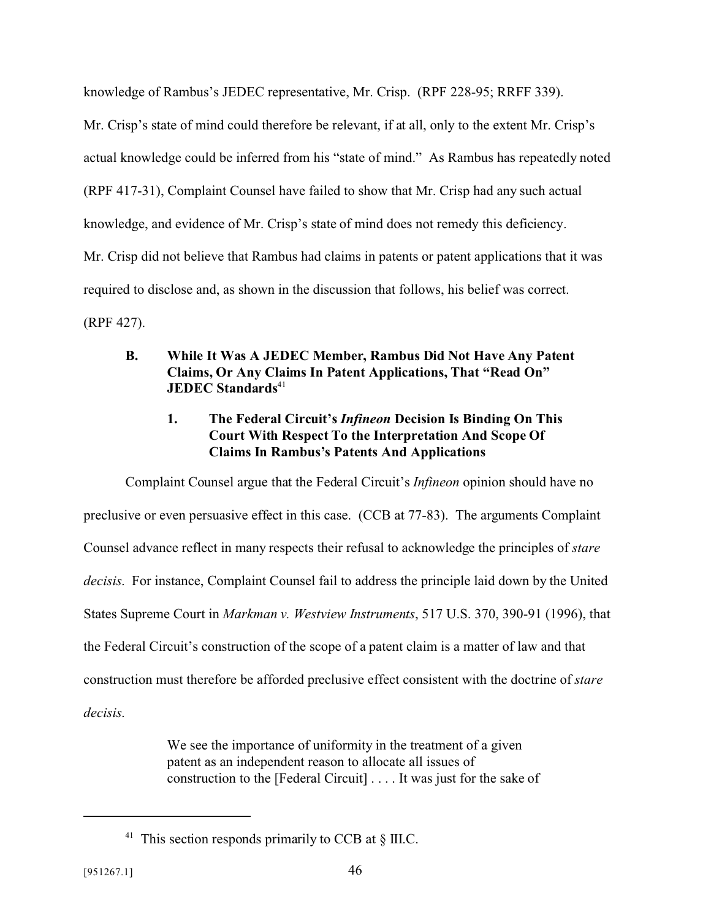knowledge of Rambus's JEDEC representative, Mr. Crisp. (RPF 228-95; RRFF 339).

Mr. Crisp's state of mind could therefore be relevant, if at all, only to the extent Mr. Crisp's actual knowledge could be inferred from his "state of mind." As Rambus has repeatedly noted (RPF 417-31), Complaint Counsel have failed to show that Mr. Crisp had any such actual knowledge, and evidence of Mr. Crisp's state of mind does not remedy this deficiency. Mr. Crisp did not believe that Rambus had claims in patents or patent applications that it was required to disclose and, as shown in the discussion that follows, his belief was correct. (RPF 427).

**B. While It Was A JEDEC Member, Rambus Did Not Have Any Patent Claims, Or Any Claims In Patent Applications, That "Read On" JEDEC Standards**<sup>41</sup>

# **1. The Federal Circuit's** *Infineon* **Decision Is Binding On This Court With Respect To the Interpretation And Scope Of Claims In Rambus's Patents And Applications**

Complaint Counsel argue that the Federal Circuit's *Infineon* opinion should have no preclusive or even persuasive effect in this case. (CCB at 77-83). The arguments Complaint Counsel advance reflect in many respects their refusal to acknowledge the principles of *stare decisis*. For instance, Complaint Counsel fail to address the principle laid down by the United States Supreme Court in *Markman v. Westview Instruments*, 517 U.S. 370, 390-91 (1996), that the Federal Circuit's construction of the scope of a patent claim is a matter of law and that construction must therefore be afforded preclusive effect consistent with the doctrine of *stare decisis*.

> We see the importance of uniformity in the treatment of a given patent as an independent reason to allocate all issues of construction to the [Federal Circuit] . . . . It was just for the sake of

<sup>&</sup>lt;sup>41</sup> This section responds primarily to CCB at  $\S$  III.C.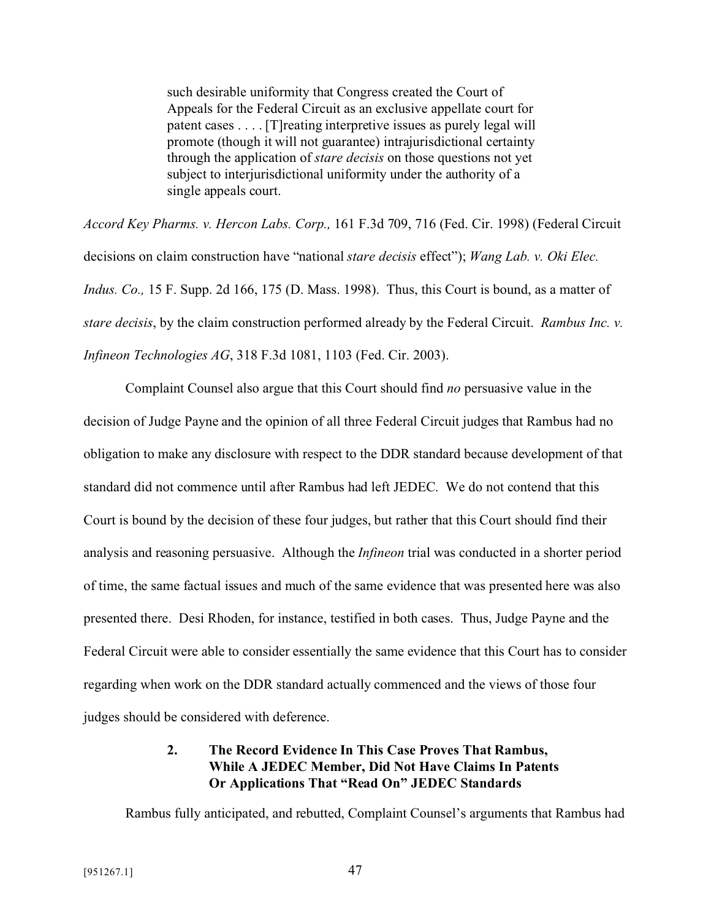such desirable uniformity that Congress created the Court of Appeals for the Federal Circuit as an exclusive appellate court for patent cases . . . . [T]reating interpretive issues as purely legal will promote (though it will not guarantee) intrajurisdictional certainty through the application of *stare decisis* on those questions not yet subject to interjurisdictional uniformity under the authority of a single appeals court.

*Accord Key Pharms. v. Hercon Labs. Corp.,* 161 F.3d 709, 716 (Fed. Cir. 1998) (Federal Circuit decisions on claim construction have "national *stare decisis* effect"); *Wang Lab. v. Oki Elec. Indus. Co.,* 15 F. Supp. 2d 166, 175 (D. Mass. 1998). Thus, this Court is bound, as a matter of *stare decisis*, by the claim construction performed already by the Federal Circuit. *Rambus Inc. v. Infineon Technologies AG*, 318 F.3d 1081, 1103 (Fed. Cir. 2003).

Complaint Counsel also argue that this Court should find *no* persuasive value in the decision of Judge Payne and the opinion of all three Federal Circuit judges that Rambus had no obligation to make any disclosure with respect to the DDR standard because development of that standard did not commence until after Rambus had left JEDEC. We do not contend that this Court is bound by the decision of these four judges, but rather that this Court should find their analysis and reasoning persuasive. Although the *Infineon* trial was conducted in a shorter period of time, the same factual issues and much of the same evidence that was presented here was also presented there. Desi Rhoden, for instance, testified in both cases. Thus, Judge Payne and the Federal Circuit were able to consider essentially the same evidence that this Court has to consider regarding when work on the DDR standard actually commenced and the views of those four judges should be considered with deference.

## **2. The Record Evidence In This Case Proves That Rambus, While A JEDEC Member, Did Not Have Claims In Patents Or Applications That "Read On" JEDEC Standards**

Rambus fully anticipated, and rebutted, Complaint Counsel's arguments that Rambus had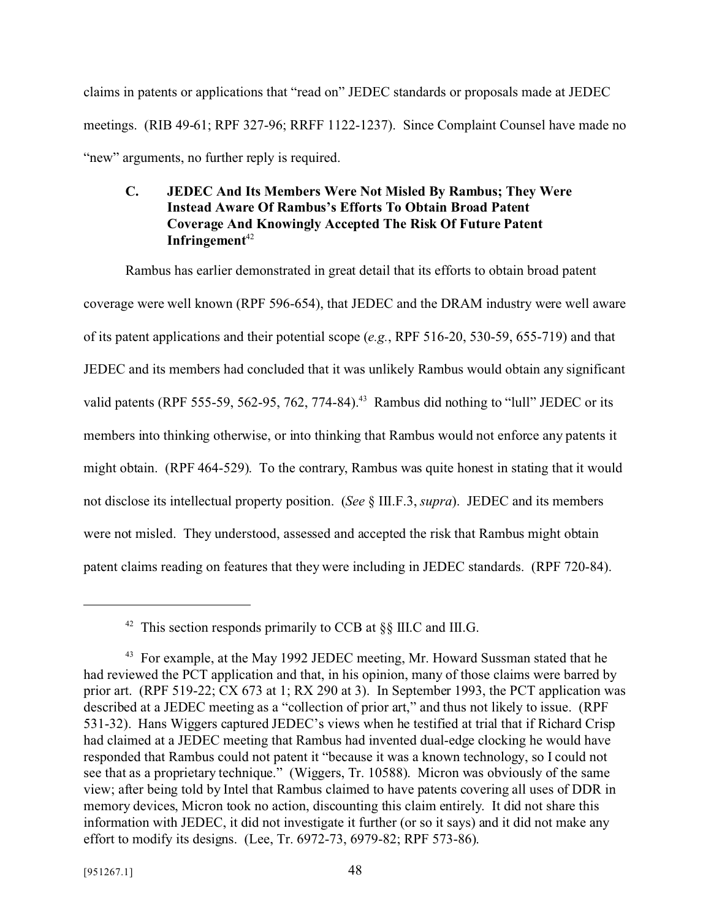claims in patents or applications that "read on" JEDEC standards or proposals made at JEDEC meetings. (RIB 49-61; RPF 327-96; RRFF 1122-1237). Since Complaint Counsel have made no "new" arguments, no further reply is required.

# **C. JEDEC And Its Members Were Not Misled By Rambus; They Were Instead Aware Of Rambus's Efforts To Obtain Broad Patent Coverage And Knowingly Accepted The Risk Of Future Patent** Infringement<sup>42</sup>

Rambus has earlier demonstrated in great detail that its efforts to obtain broad patent coverage were well known (RPF 596-654), that JEDEC and the DRAM industry were well aware of its patent applications and their potential scope (*e.g.*, RPF 516-20, 530-59, 655-719) and that JEDEC and its members had concluded that it was unlikely Rambus would obtain any significant valid patents (RPF 555-59, 562-95, 762, 774-84).<sup>43</sup> Rambus did nothing to "lull" JEDEC or its members into thinking otherwise, or into thinking that Rambus would not enforce any patents it might obtain. (RPF 464-529). To the contrary, Rambus was quite honest in stating that it would not disclose its intellectual property position. (*See* § III.F.3, *supra*). JEDEC and its members were not misled. They understood, assessed and accepted the risk that Rambus might obtain patent claims reading on features that they were including in JEDEC standards. (RPF 720-84).

<sup>&</sup>lt;sup>42</sup> This section responds primarily to CCB at  $\S$ [II.C and III.G.

 $43$  For example, at the May 1992 JEDEC meeting, Mr. Howard Sussman stated that he had reviewed the PCT application and that, in his opinion, many of those claims were barred by prior art. (RPF 519-22; CX 673 at 1; RX 290 at 3). In September 1993, the PCT application was described at a JEDEC meeting as a "collection of prior art," and thus not likely to issue. (RPF 531-32). Hans Wiggers captured JEDEC's views when he testified at trial that if Richard Crisp had claimed at a JEDEC meeting that Rambus had invented dual-edge clocking he would have responded that Rambus could not patent it "because it was a known technology, so I could not see that as a proprietary technique." (Wiggers, Tr. 10588). Micron was obviously of the same view; after being told by Intel that Rambus claimed to have patents covering all uses of DDR in memory devices, Micron took no action, discounting this claim entirely. It did not share this information with JEDEC, it did not investigate it further (or so it says) and it did not make any effort to modify its designs. (Lee, Tr. 6972-73, 6979-82; RPF 573-86).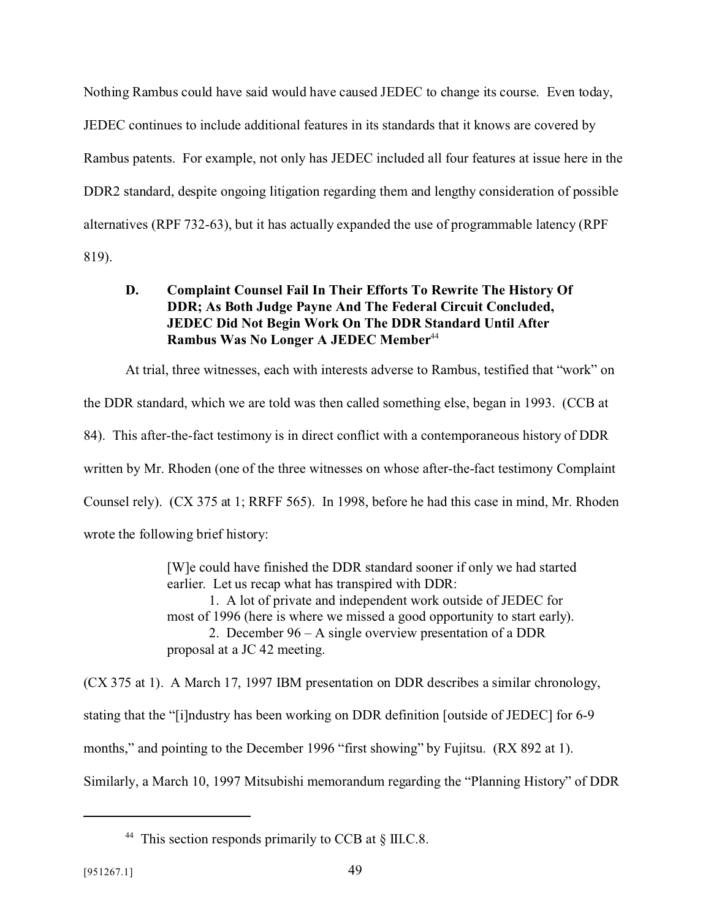Nothing Rambus could have said would have caused JEDEC to change its course. Even today, JEDEC continues to include additional features in its standards that it knows are covered by Rambus patents. For example, not only has JEDEC included all four features at issue here in the DDR2 standard, despite ongoing litigation regarding them and lengthy consideration of possible alternatives (RPF 732-63), but it has actually expanded the use of programmable latency (RPF 819).

## **D. Complaint Counsel Fail In Their Efforts To Rewrite The History Of DDR; As Both Judge Payne And The Federal Circuit Concluded, JEDEC Did Not Begin Work On The DDR Standard Until After Rambus Was No Longer A JEDEC Member**<sup>44</sup>

At trial, three witnesses, each with interests adverse to Rambus, testified that "work" on the DDR standard, which we are told was then called something else, began in 1993. (CCB at 84). This after-the-fact testimony is in direct conflict with a contemporaneous history of DDR written by Mr. Rhoden (one of the three witnesses on whose after-the-fact testimony Complaint Counsel rely). (CX 375 at 1; RRFF 565). In 1998, before he had this case in mind, Mr. Rhoden wrote the following brief history:

> [W]e could have finished the DDR standard sooner if only we had started earlier. Let us recap what has transpired with DDR: 1. A lot of private and independent work outside of JEDEC for most of 1996 (here is where we missed a good opportunity to start early). 2. December 96 – A single overview presentation of a DDR proposal at a JC 42 meeting.

(CX 375 at 1). A March 17, 1997 IBM presentation on DDR describes a similar chronology, stating that the "[i]ndustry has been working on DDR definition [outside of JEDEC] for 6-9 months," and pointing to the December 1996 "first showing" by Fujitsu. (RX 892 at 1). Similarly, a March 10, 1997 Mitsubishi memorandum regarding the "Planning History" of DDR

<sup>&</sup>lt;sup>44</sup> This section responds primarily to CCB at § III.C.8.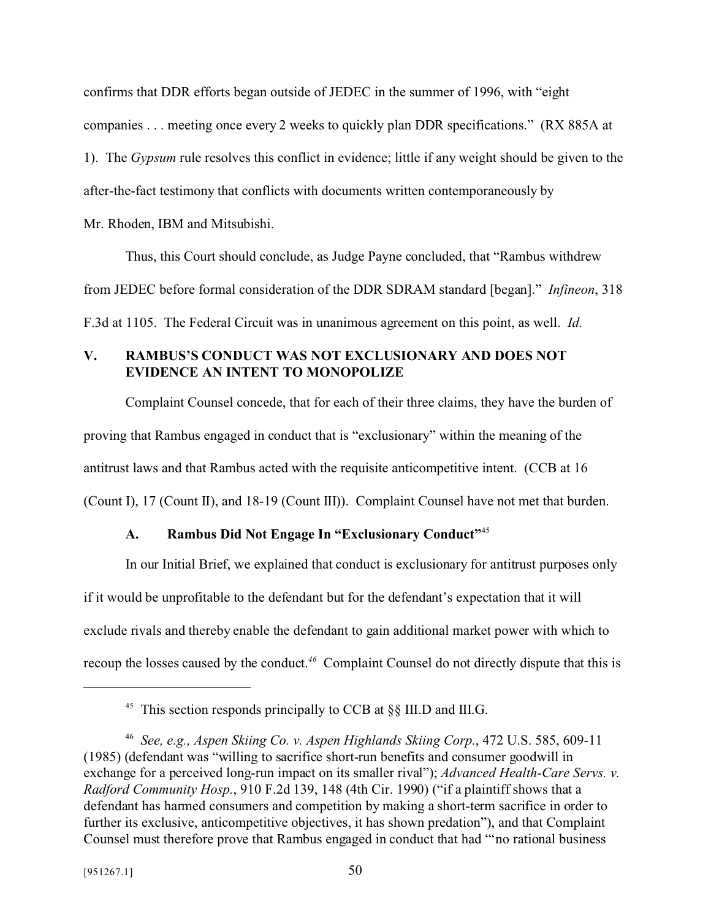confirms that DDR efforts began outside of JEDEC in the summer of 1996, with "eight companies . . . meeting once every 2 weeks to quickly plan DDR specifications." (RX 885A at 1). The *Gypsum* rule resolves this conflict in evidence; little if any weight should be given to the after-the-fact testimony that conflicts with documents written contemporaneously by Mr. Rhoden, IBM and Mitsubishi.

Thus, this Court should conclude, as Judge Payne concluded, that "Rambus withdrew from JEDEC before formal consideration of the DDR SDRAM standard [began]." *Infineon*, 318 F.3d at 1105. The Federal Circuit was in unanimous agreement on this point, as well. *Id.*

# **V. RAMBUS'S CONDUCT WAS NOT EXCLUSIONARY AND DOES NOT EVIDENCE AN INTENT TO MONOPOLIZE**

Complaint Counsel concede, that for each of their three claims, they have the burden of proving that Rambus engaged in conduct that is "exclusionary" within the meaning of the antitrust laws and that Rambus acted with the requisite anticompetitive intent. (CCB at 16 (Count I), 17 (Count II), and 18-19 (Count III)). Complaint Counsel have not met that burden.

# **A. Rambus Did Not Engage In "Exclusionary Conduct"**<sup>45</sup>

In our Initial Brief, we explained that conduct is exclusionary for antitrust purposes only if it would be unprofitable to the defendant but for the defendant's expectation that it will exclude rivals and thereby enable the defendant to gain additional market power with which to recoup the losses caused by the conduct.*46* Complaint Counsel do not directly dispute that this is

<sup>&</sup>lt;sup>45</sup> This section responds principally to CCB at  $\S$ [III.D and III.G.

<sup>46</sup> *See, e.g., Aspen Skiing Co. v. Aspen Highlands Skiing Corp.*, 472 U.S. 585, 609-11 (1985) (defendant was "willing to sacrifice short-run benefits and consumer goodwill in exchange for a perceived long-run impact on its smaller rival"); *Advanced Health-Care Servs. v. Radford Community Hosp.*, 910 F.2d 139, 148 (4th Cir. 1990) ("if a plaintiff shows that a defendant has harmed consumers and competition by making a short-term sacrifice in order to further its exclusive, anticompetitive objectives, it has shown predation"), and that Complaint Counsel must therefore prove that Rambus engaged in conduct that had "'no rational business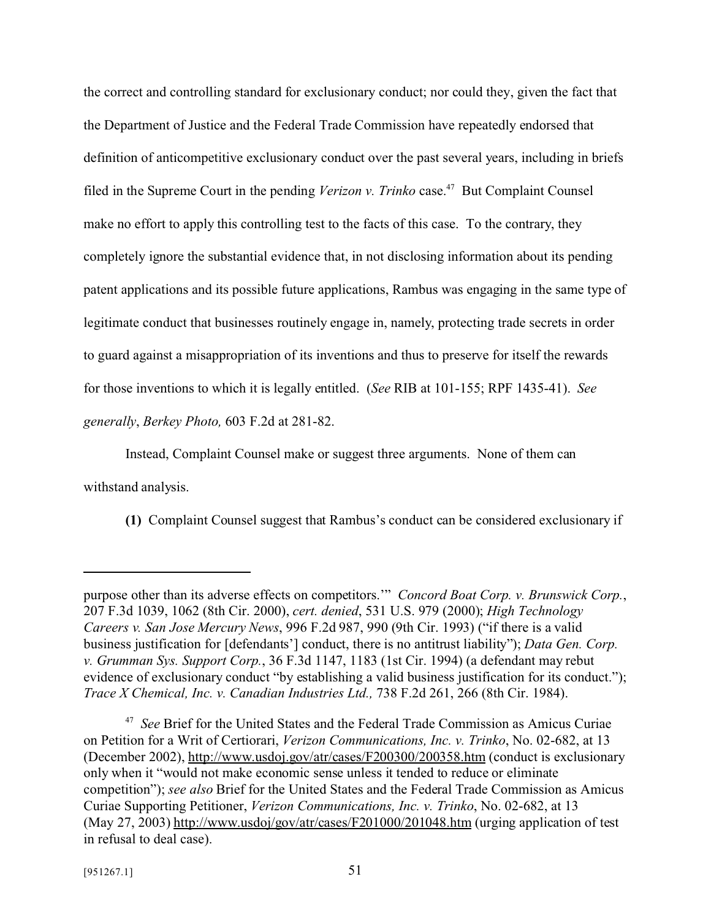the correct and controlling standard for exclusionary conduct; nor could they, given the fact that the Department of Justice and the Federal Trade Commission have repeatedly endorsed that definition of anticompetitive exclusionary conduct over the past several years, including in briefs filed in the Supreme Court in the pending *Verizon v. Trinko* case.<sup>47</sup> But Complaint Counsel make no effort to apply this controlling test to the facts of this case. To the contrary, they completely ignore the substantial evidence that, in not disclosing information about its pending patent applications and its possible future applications, Rambus was engaging in the same type of legitimate conduct that businesses routinely engage in, namely, protecting trade secrets in order to guard against a misappropriation of its inventions and thus to preserve for itself the rewards for those inventions to which it is legally entitled. (*See* RIB at 101-155; RPF 1435-41). *See generally*, *Berkey Photo,* 603 F.2d at 281-82.

Instead, Complaint Counsel make or suggest three arguments. None of them can withstand analysis.

**(1)** Complaint Counsel suggest that Rambus's conduct can be considered exclusionary if

purpose other than its adverse effects on competitors.'" *Concord Boat Corp. v. Brunswick Corp.*, 207 F.3d 1039, 1062 (8th Cir. 2000), *cert. denied*, 531 U.S. 979 (2000); *High Technology Careers v. San Jose Mercury News*, 996 F.2d 987, 990 (9th Cir. 1993) ("if there is a valid business justification for [defendants'] conduct, there is no antitrust liability"); *Data Gen. Corp. v. Grumman Sys. Support Corp.*, 36 F.3d 1147, 1183 (1st Cir. 1994) (a defendant may rebut evidence of exclusionary conduct "by establishing a valid business justification for its conduct."); *Trace X Chemical, Inc. v. Canadian Industries Ltd.,* 738 F.2d 261, 266 (8th Cir. 1984).

<sup>47</sup> *See* Brief for the United States and the Federal Trade Commission as Amicus Curiae on Petition for a Writ of Certiorari, *Verizon Communications, Inc. v. Trinko*, No. 02-682, at 13 (December 2002), http://www.usdoj.gov/atr/cases/F200300/200358.htm (conduct is exclusionary only when it "would not make economic sense unless it tended to reduce or eliminate competition"); *see also* Brief for the United States and the Federal Trade Commission as Amicus Curiae Supporting Petitioner, *Verizon Communications, Inc. v. Trinko*, No. 02-682, at 13 (May 27, 2003) http://www.usdoj/gov/atr/cases/F201000/201048.htm (urging application of test in refusal to deal case).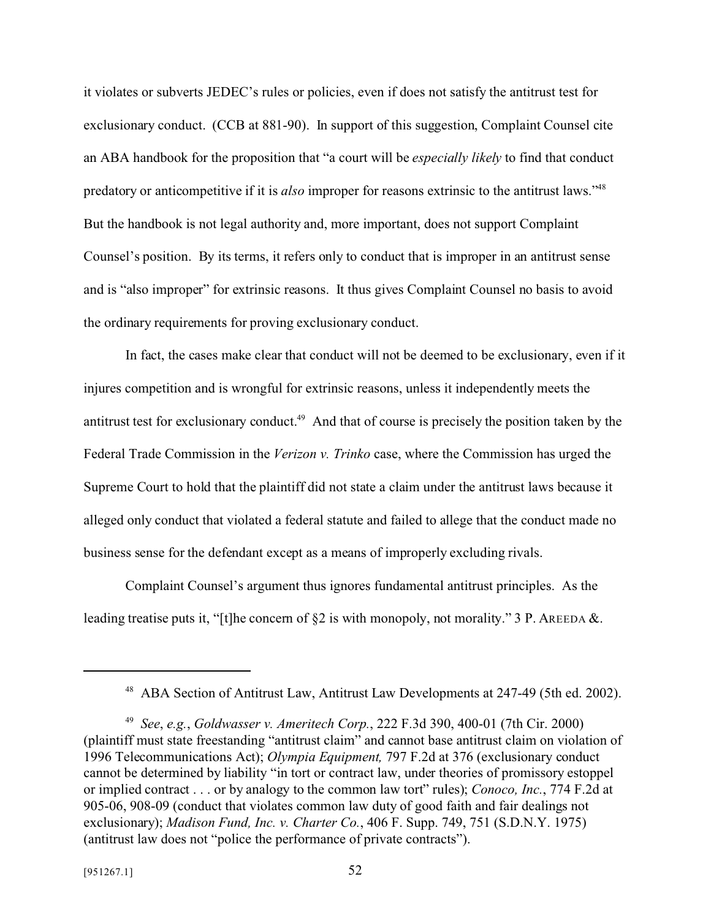it violates or subverts JEDEC's rules or policies, even if does not satisfy the antitrust test for exclusionary conduct. (CCB at 881-90). In support of this suggestion, Complaint Counsel cite an ABA handbook for the proposition that "a court will be *especially likely* to find that conduct predatory or anticompetitive if it is *also* improper for reasons extrinsic to the antitrust laws."<sup>48</sup> But the handbook is not legal authority and, more important, does not support Complaint Counsel's position. By its terms, it refers only to conduct that is improper in an antitrust sense and is "also improper" for extrinsic reasons. It thus gives Complaint Counsel no basis to avoid the ordinary requirements for proving exclusionary conduct.

In fact, the cases make clear that conduct will not be deemed to be exclusionary, even if it injures competition and is wrongful for extrinsic reasons, unless it independently meets the antitrust test for exclusionary conduct.<sup>49</sup> And that of course is precisely the position taken by the Federal Trade Commission in the *Verizon v. Trinko* case, where the Commission has urged the Supreme Court to hold that the plaintiff did not state a claim under the antitrust laws because it alleged only conduct that violated a federal statute and failed to allege that the conduct made no business sense for the defendant except as a means of improperly excluding rivals.

Complaint Counsel's argument thus ignores fundamental antitrust principles. As the leading treatise puts it, "[t]he concern of  $\S2$  is with monopoly, not morality." 3 P. AREEDA &.

<sup>48</sup> ABA Section of Antitrust Law, Antitrust Law Developments at 247-49 (5th ed. 2002).

<sup>49</sup> *See*, *e.g.*, *Goldwasser v. Ameritech Corp.*, 222 F.3d 390, 400-01 (7th Cir. 2000) (plaintiff must state freestanding "antitrust claim" and cannot base antitrust claim on violation of 1996 Telecommunications Act); *Olympia Equipment,* 797 F.2d at 376 (exclusionary conduct cannot be determined by liability "in tort or contract law, under theories of promissory estoppel or implied contract . . . or by analogy to the common law tort" rules); *Conoco, Inc.*, 774 F.2d at 905-06, 908-09 (conduct that violates common law duty of good faith and fair dealings not exclusionary); *Madison Fund, Inc. v. Charter Co.*, 406 F. Supp. 749, 751 (S.D.N.Y. 1975) (antitrust law does not "police the performance of private contracts").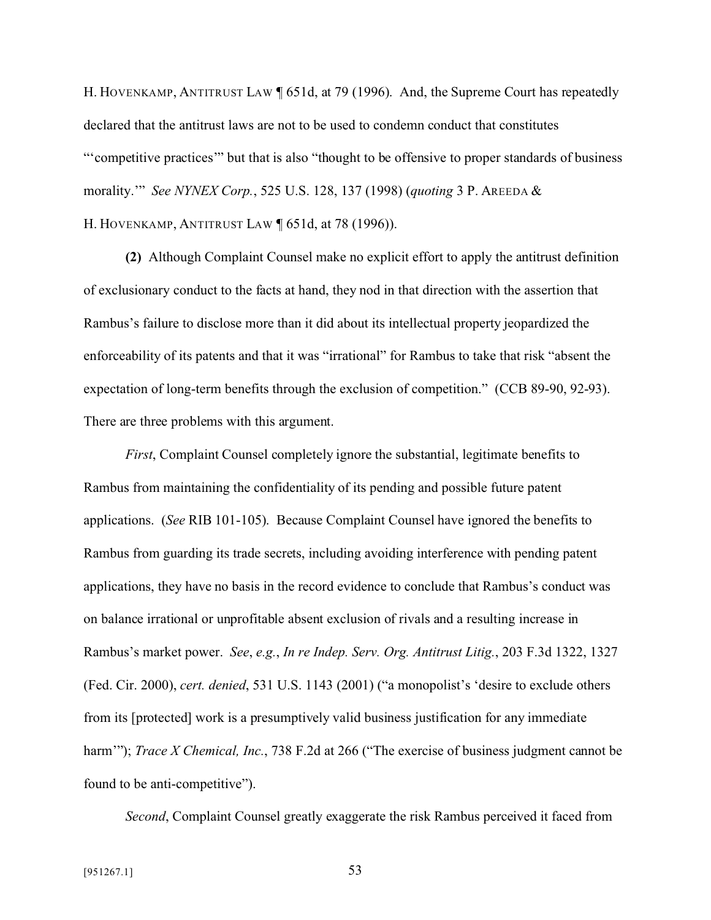H. HOVENKAMP, ANTITRUST LAW ¶ 651d, at 79 (1996). And, the Supreme Court has repeatedly declared that the antitrust laws are not to be used to condemn conduct that constitutes "'competitive practices'" but that is also "thought to be offensive to proper standards of business morality.'" *See NYNEX Corp.*, 525 U.S. 128, 137 (1998) (*quoting* 3 P. AREEDA & H. HOVENKAMP, ANTITRUST LAW ¶ 651d, at 78 (1996)).

**(2)** Although Complaint Counsel make no explicit effort to apply the antitrust definition of exclusionary conduct to the facts at hand, they nod in that direction with the assertion that Rambus's failure to disclose more than it did about its intellectual property jeopardized the enforceability of its patents and that it was "irrational" for Rambus to take that risk "absent the expectation of long-term benefits through the exclusion of competition." (CCB 89-90, 92-93). There are three problems with this argument.

*First*, Complaint Counsel completely ignore the substantial, legitimate benefits to Rambus from maintaining the confidentiality of its pending and possible future patent applications. (*See* RIB 101-105). Because Complaint Counsel have ignored the benefits to Rambus from guarding its trade secrets, including avoiding interference with pending patent applications, they have no basis in the record evidence to conclude that Rambus's conduct was on balance irrational or unprofitable absent exclusion of rivals and a resulting increase in Rambus's market power. *See*, *e.g.*, *In re Indep. Serv. Org. Antitrust Litig.*, 203 F.3d 1322, 1327 (Fed. Cir. 2000), *cert. denied*, 531 U.S. 1143 (2001) ("a monopolist's 'desire to exclude others from its [protected] work is a presumptively valid business justification for any immediate harm'"); *Trace X Chemical, Inc.*, 738 F.2d at 266 ("The exercise of business judgment cannot be found to be anti-competitive").

*Second*, Complaint Counsel greatly exaggerate the risk Rambus perceived it faced from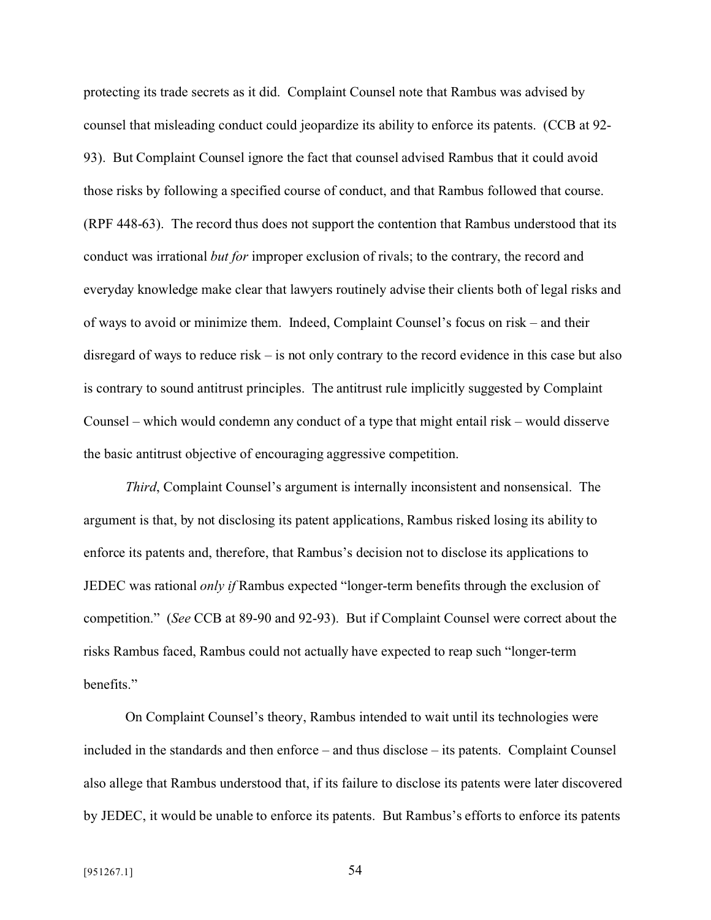protecting its trade secrets as it did. Complaint Counsel note that Rambus was advised by counsel that misleading conduct could jeopardize its ability to enforce its patents. (CCB at 92- 93). But Complaint Counsel ignore the fact that counsel advised Rambus that it could avoid those risks by following a specified course of conduct, and that Rambus followed that course. (RPF 448-63). The record thus does not support the contention that Rambus understood that its conduct was irrational *but for* improper exclusion of rivals; to the contrary, the record and everyday knowledge make clear that lawyers routinely advise their clients both of legal risks and of ways to avoid or minimize them. Indeed, Complaint Counsel's focus on risk – and their disregard of ways to reduce risk – is not only contrary to the record evidence in this case but also is contrary to sound antitrust principles. The antitrust rule implicitly suggested by Complaint Counsel – which would condemn any conduct of a type that might entail risk – would disserve the basic antitrust objective of encouraging aggressive competition.

*Third*, Complaint Counsel's argument is internally inconsistent and nonsensical. The argument is that, by not disclosing its patent applications, Rambus risked losing its ability to enforce its patents and, therefore, that Rambus's decision not to disclose its applications to JEDEC was rational *only if* Rambus expected "longer-term benefits through the exclusion of competition." (*See* CCB at 89-90 and 92-93). But if Complaint Counsel were correct about the risks Rambus faced, Rambus could not actually have expected to reap such "longer-term benefits."

On Complaint Counsel's theory, Rambus intended to wait until its technologies were included in the standards and then enforce – and thus disclose – its patents. Complaint Counsel also allege that Rambus understood that, if its failure to disclose its patents were later discovered by JEDEC, it would be unable to enforce its patents. But Rambus's efforts to enforce its patents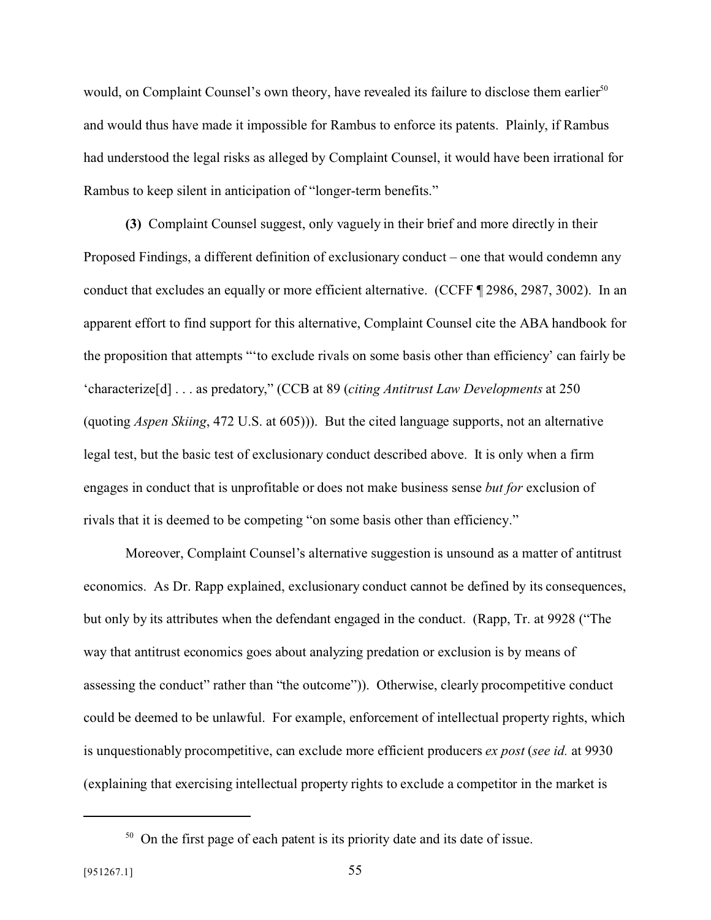would, on Complaint Counsel's own theory, have revealed its failure to disclose them earlier<sup>50</sup> and would thus have made it impossible for Rambus to enforce its patents. Plainly, if Rambus had understood the legal risks as alleged by Complaint Counsel, it would have been irrational for Rambus to keep silent in anticipation of "longer-term benefits."

**(3)** Complaint Counsel suggest, only vaguely in their brief and more directly in their Proposed Findings, a different definition of exclusionary conduct – one that would condemn any conduct that excludes an equally or more efficient alternative. (CCFF ¶ 2986, 2987, 3002). In an apparent effort to find support for this alternative, Complaint Counsel cite the ABA handbook for the proposition that attempts "'to exclude rivals on some basis other than efficiency' can fairly be 'characterize[d] . . . as predatory," (CCB at 89 (*citing Antitrust Law Developments* at 250 (quoting *Aspen Skiing*, 472 U.S. at 605))). But the cited language supports, not an alternative legal test, but the basic test of exclusionary conduct described above. It is only when a firm engages in conduct that is unprofitable or does not make business sense *but for* exclusion of rivals that it is deemed to be competing "on some basis other than efficiency."

Moreover, Complaint Counsel's alternative suggestion is unsound as a matter of antitrust economics. As Dr. Rapp explained, exclusionary conduct cannot be defined by its consequences, but only by its attributes when the defendant engaged in the conduct. (Rapp, Tr. at 9928 ("The way that antitrust economics goes about analyzing predation or exclusion is by means of assessing the conduct" rather than "the outcome")). Otherwise, clearly procompetitive conduct could be deemed to be unlawful. For example, enforcement of intellectual property rights, which is unquestionably procompetitive, can exclude more efficient producers *ex post* (*see id.* at 9930 (explaining that exercising intellectual property rights to exclude a competitor in the market is

 $50$  On the first page of each patent is its priority date and its date of issue.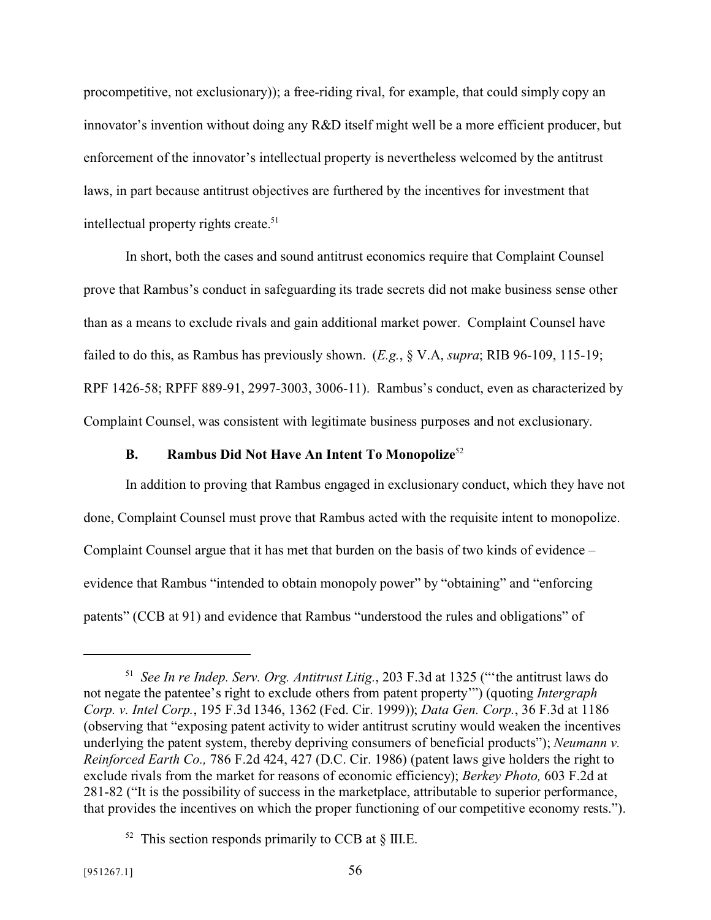procompetitive, not exclusionary)); a free-riding rival, for example, that could simply copy an innovator's invention without doing any R&D itself might well be a more efficient producer, but enforcement of the innovator's intellectual property is nevertheless welcomed by the antitrust laws, in part because antitrust objectives are furthered by the incentives for investment that intellectual property rights create.<sup>51</sup>

In short, both the cases and sound antitrust economics require that Complaint Counsel prove that Rambus's conduct in safeguarding its trade secrets did not make business sense other than as a means to exclude rivals and gain additional market power. Complaint Counsel have failed to do this, as Rambus has previously shown. (*E.g.*, § V.A, *supra*; RIB 96-109, 115-19; RPF 1426-58; RPFF 889-91, 2997-3003, 3006-11). Rambus's conduct, even as characterized by Complaint Counsel, was consistent with legitimate business purposes and not exclusionary.

## **B. Rambus Did Not Have An Intent To Monopolize**<sup>52</sup>

In addition to proving that Rambus engaged in exclusionary conduct, which they have not done, Complaint Counsel must prove that Rambus acted with the requisite intent to monopolize. Complaint Counsel argue that it has met that burden on the basis of two kinds of evidence – evidence that Rambus "intended to obtain monopoly power" by "obtaining" and "enforcing patents" (CCB at 91) and evidence that Rambus "understood the rules and obligations" of

<sup>51</sup> *See In re Indep. Serv. Org. Antitrust Litig.*, 203 F.3d at 1325 ("'the antitrust laws do not negate the patentee's right to exclude others from patent property'") (quoting *Intergraph Corp. v. Intel Corp.*, 195 F.3d 1346, 1362 (Fed. Cir. 1999)); *Data Gen. Corp.*, 36 F.3d at 1186 (observing that "exposing patent activity to wider antitrust scrutiny would weaken the incentives underlying the patent system, thereby depriving consumers of beneficial products"); *Neumann v. Reinforced Earth Co.,* 786 F.2d 424, 427 (D.C. Cir. 1986) (patent laws give holders the right to exclude rivals from the market for reasons of economic efficiency); *Berkey Photo,* 603 F.2d at 281-82 ("It is the possibility of success in the marketplace, attributable to superior performance, that provides the incentives on which the proper functioning of our competitive economy rests.").

 $52$  This section responds primarily to CCB at  $\S$  III.E.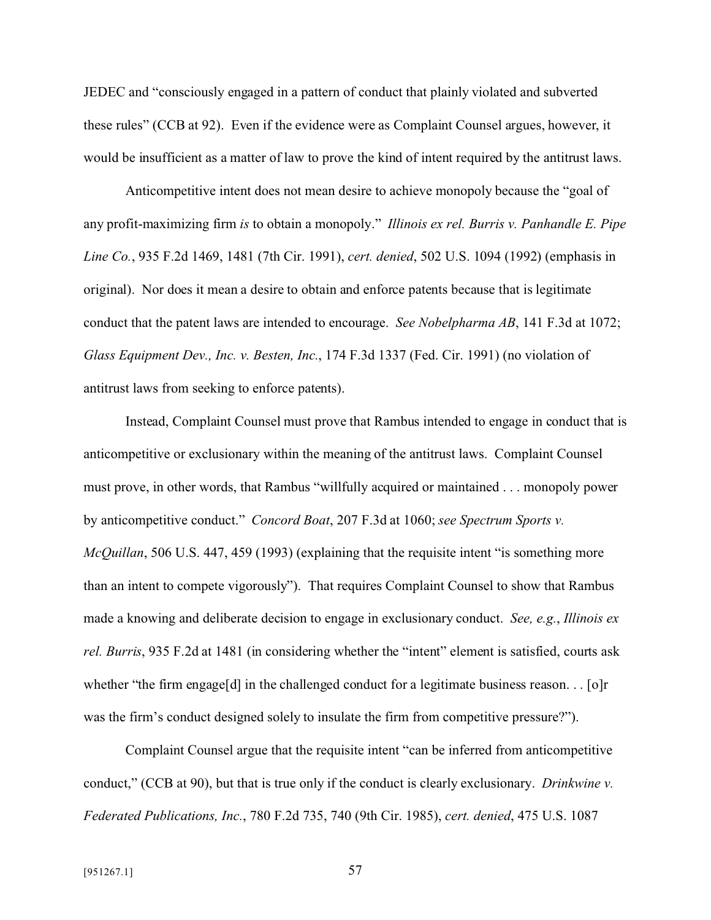JEDEC and "consciously engaged in a pattern of conduct that plainly violated and subverted these rules" (CCB at 92). Even if the evidence were as Complaint Counsel argues, however, it would be insufficient as a matter of law to prove the kind of intent required by the antitrust laws.

Anticompetitive intent does not mean desire to achieve monopoly because the "goal of any profit-maximizing firm *is* to obtain a monopoly." *Illinois ex rel. Burris v. Panhandle E. Pipe Line Co.*, 935 F.2d 1469, 1481 (7th Cir. 1991), *cert. denied*, 502 U.S. 1094 (1992) (emphasis in original). Nor does it mean a desire to obtain and enforce patents because that is legitimate conduct that the patent laws are intended to encourage. *See Nobelpharma AB*, 141 F.3d at 1072; *Glass Equipment Dev., Inc. v. Besten, Inc.*, 174 F.3d 1337 (Fed. Cir. 1991) (no violation of antitrust laws from seeking to enforce patents).

Instead, Complaint Counsel must prove that Rambus intended to engage in conduct that is anticompetitive or exclusionary within the meaning of the antitrust laws. Complaint Counsel must prove, in other words, that Rambus "willfully acquired or maintained . . . monopoly power by anticompetitive conduct." *Concord Boat*, 207 F.3d at 1060; *see Spectrum Sports v. McQuillan*, 506 U.S. 447, 459 (1993) (explaining that the requisite intent "is something more than an intent to compete vigorously"). That requires Complaint Counsel to show that Rambus made a knowing and deliberate decision to engage in exclusionary conduct. *See, e.g.*, *Illinois ex rel. Burris*, 935 F.2d at 1481 (in considering whether the "intent" element is satisfied, courts ask whether "the firm engage[d] in the challenged conduct for a legitimate business reason.  $\ldots$  [o]r was the firm's conduct designed solely to insulate the firm from competitive pressure?").

Complaint Counsel argue that the requisite intent "can be inferred from anticompetitive conduct," (CCB at 90), but that is true only if the conduct is clearly exclusionary. *Drinkwine v. Federated Publications, Inc.*, 780 F.2d 735, 740 (9th Cir. 1985), *cert. denied*, 475 U.S. 1087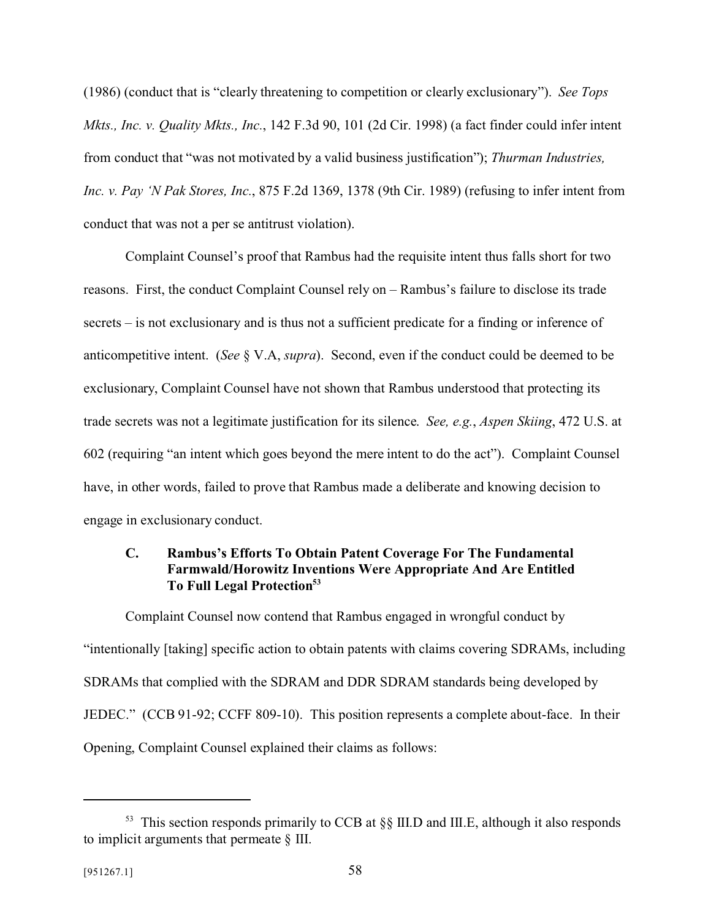(1986) (conduct that is "clearly threatening to competition or clearly exclusionary"). *See Tops Mkts., Inc. v. Quality Mkts., Inc.*, 142 F.3d 90, 101 (2d Cir. 1998) (a fact finder could infer intent from conduct that "was not motivated by a valid business justification"); *Thurman Industries, Inc. v. Pay 'N Pak Stores, Inc.*, 875 F.2d 1369, 1378 (9th Cir. 1989) (refusing to infer intent from conduct that was not a per se antitrust violation).

Complaint Counsel's proof that Rambus had the requisite intent thus falls short for two reasons. First, the conduct Complaint Counsel rely on – Rambus's failure to disclose its trade secrets – is not exclusionary and is thus not a sufficient predicate for a finding or inference of anticompetitive intent. (*See* § V.A, *supra*). Second, even if the conduct could be deemed to be exclusionary, Complaint Counsel have not shown that Rambus understood that protecting its trade secrets was not a legitimate justification for its silence. *See, e.g.*, *Aspen Skiing*, 472 U.S. at 602 (requiring "an intent which goes beyond the mere intent to do the act"). Complaint Counsel have, in other words, failed to prove that Rambus made a deliberate and knowing decision to engage in exclusionary conduct.

## **C. Rambus's Efforts To Obtain Patent Coverage For The Fundamental Farmwald/Horowitz Inventions Were Appropriate And Are Entitled To Full Legal Protection<sup>53</sup>**

Complaint Counsel now contend that Rambus engaged in wrongful conduct by "intentionally [taking] specific action to obtain patents with claims covering SDRAMs, including SDRAMs that complied with the SDRAM and DDR SDRAM standards being developed by JEDEC." (CCB 91-92; CCFF 809-10). This position represents a complete about-face. In their Opening, Complaint Counsel explained their claims as follows:

 $53$  This section responds primarily to CCB at  $\S$ [II.D and III.E, although it also responds to implicit arguments that permeate § III.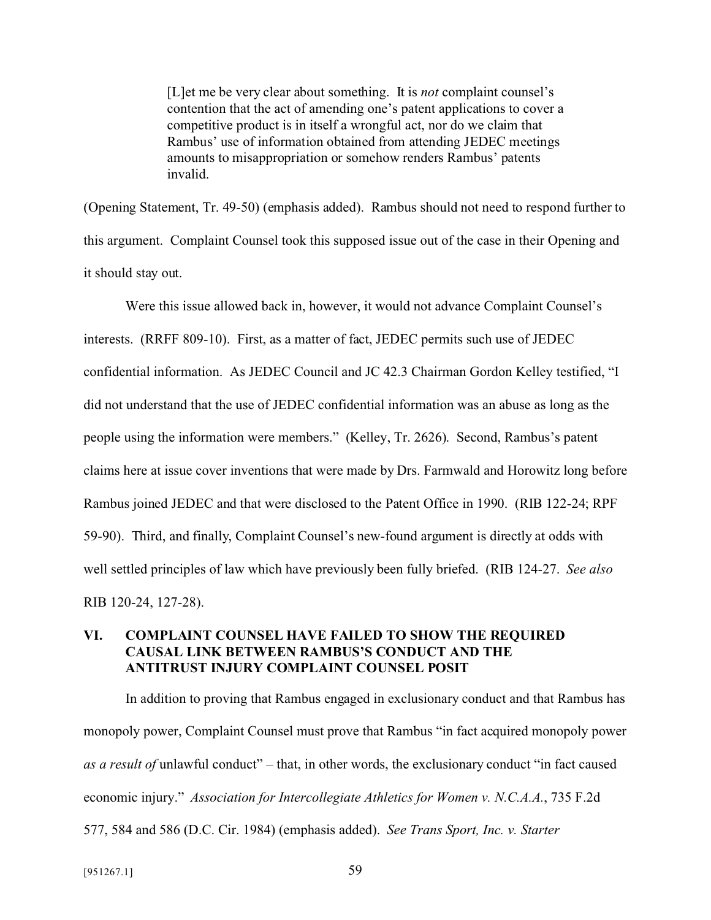[L]et me be very clear about something. It is *not* complaint counsel's contention that the act of amending one's patent applications to cover a competitive product is in itself a wrongful act, nor do we claim that Rambus' use of information obtained from attending JEDEC meetings amounts to misappropriation or somehow renders Rambus' patents invalid.

(Opening Statement, Tr. 49-50) (emphasis added). Rambus should not need to respond further to this argument. Complaint Counsel took this supposed issue out of the case in their Opening and it should stay out.

Were this issue allowed back in, however, it would not advance Complaint Counsel's interests. (RRFF 809-10). First, as a matter of fact, JEDEC permits such use of JEDEC confidential information. As JEDEC Council and JC 42.3 Chairman Gordon Kelley testified, "I did not understand that the use of JEDEC confidential information was an abuse as long as the people using the information were members." (Kelley, Tr. 2626). Second, Rambus's patent claims here at issue cover inventions that were made by Drs. Farmwald and Horowitz long before Rambus joined JEDEC and that were disclosed to the Patent Office in 1990. (RIB 122-24; RPF 59-90). Third, and finally, Complaint Counsel's new-found argument is directly at odds with well settled principles of law which have previously been fully briefed. (RIB 124-27. *See also* RIB 120-24, 127-28).

#### **VI. COMPLAINT COUNSEL HAVE FAILED TO SHOW THE REQUIRED CAUSAL LINK BETWEEN RAMBUS'S CONDUCT AND THE ANTITRUST INJURY COMPLAINT COUNSEL POSIT**

In addition to proving that Rambus engaged in exclusionary conduct and that Rambus has monopoly power, Complaint Counsel must prove that Rambus "in fact acquired monopoly power *as a result of* unlawful conduct" – that, in other words, the exclusionary conduct "in fact caused economic injury." *Association for Intercollegiate Athletics for Women v. N.C.A.A.*, 735 F.2d 577, 584 and 586 (D.C. Cir. 1984) (emphasis added). *See Trans Sport, Inc. v. Starter*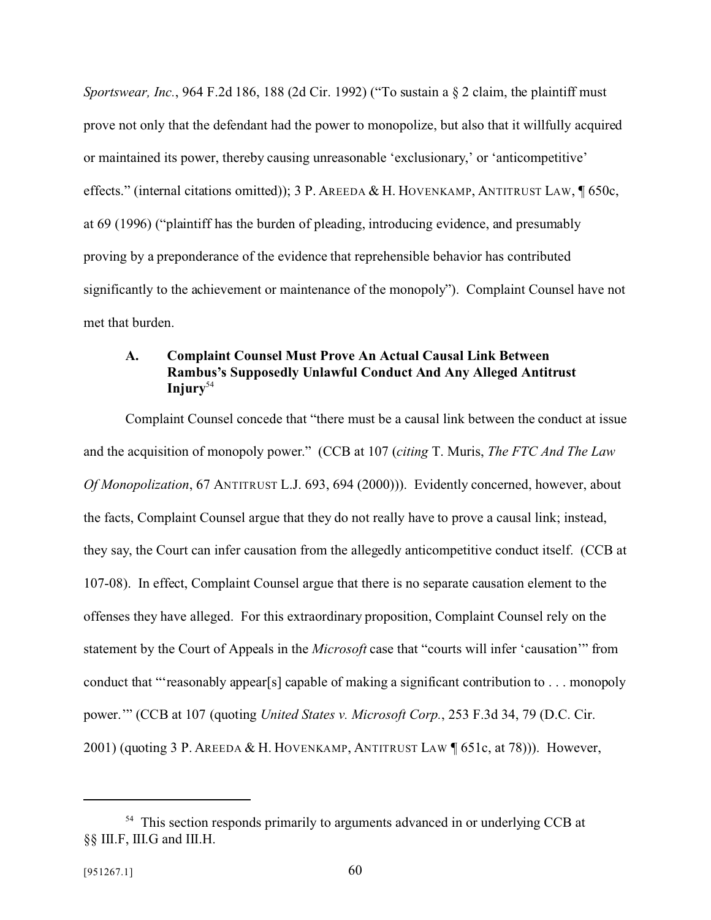*Sportswear, Inc.*, 964 F.2d 186, 188 (2d Cir. 1992) ("To sustain a § 2 claim, the plaintiff must prove not only that the defendant had the power to monopolize, but also that it willfully acquired or maintained its power, thereby causing unreasonable 'exclusionary,' or 'anticompetitive' effects." (internal citations omitted)); 3 P. AREEDA & H. HOVENKAMP, ANTITRUST LAW, ¶ 650c, at 69 (1996) ("plaintiff has the burden of pleading, introducing evidence, and presumably proving by a preponderance of the evidence that reprehensible behavior has contributed significantly to the achievement or maintenance of the monopoly"). Complaint Counsel have not met that burden.

## **A. Complaint Counsel Must Prove An Actual Causal Link Between Rambus's Supposedly Unlawful Conduct And Any Alleged Antitrust Injury**<sup>54</sup>

Complaint Counsel concede that "there must be a causal link between the conduct at issue and the acquisition of monopoly power." (CCB at 107 (*citing* T. Muris, *The FTC And The Law Of Monopolization*, 67 ANTITRUST L.J. 693, 694 (2000))). Evidently concerned, however, about the facts, Complaint Counsel argue that they do not really have to prove a causal link; instead, they say, the Court can infer causation from the allegedly anticompetitive conduct itself. (CCB at 107-08). In effect, Complaint Counsel argue that there is no separate causation element to the offenses they have alleged. For this extraordinary proposition, Complaint Counsel rely on the statement by the Court of Appeals in the *Microsoft* case that "courts will infer 'causation'" from conduct that "'reasonably appear[s] capable of making a significant contribution to . . . monopoly power.'" (CCB at 107 (quoting *United States v. Microsoft Corp.*, 253 F.3d 34, 79 (D.C. Cir. 2001) (quoting 3 P. AREEDA & H. HOVENKAMP, ANTITRUST LAW ¶ 651c, at 78))). However,

<sup>&</sup>lt;sup>54</sup> This section responds primarily to arguments advanced in or underlying CCB at §§ III.F, III.G and III.H.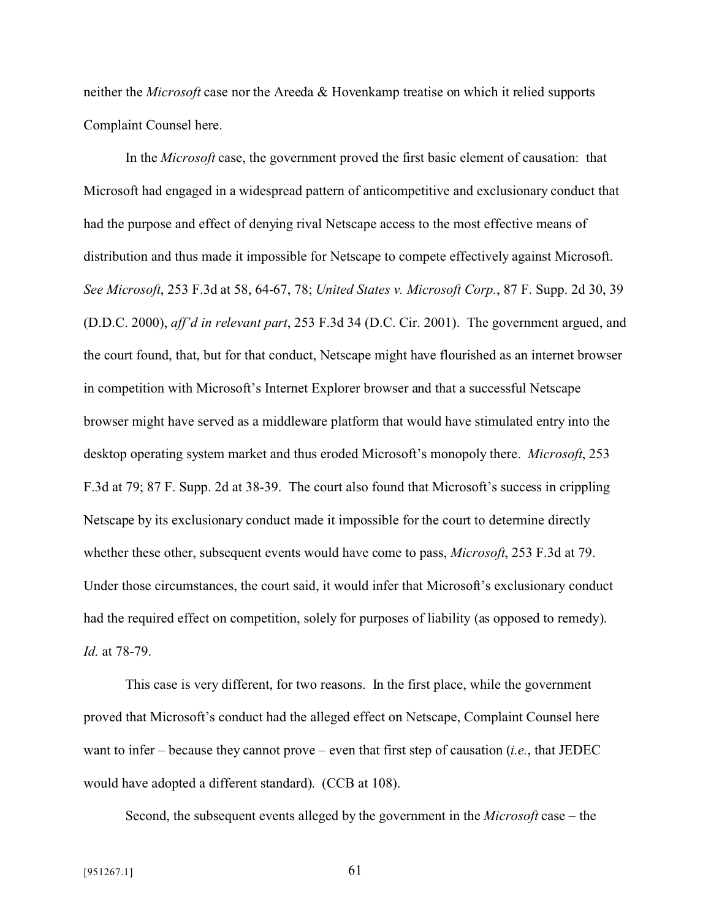neither the *Microsoft* case nor the Areeda & Hovenkamp treatise on which it relied supports Complaint Counsel here.

In the *Microsoft* case, the government proved the first basic element of causation: that Microsoft had engaged in a widespread pattern of anticompetitive and exclusionary conduct that had the purpose and effect of denying rival Netscape access to the most effective means of distribution and thus made it impossible for Netscape to compete effectively against Microsoft. *See Microsoft*, 253 F.3d at 58, 64-67, 78; *United States v. Microsoft Corp.*, 87 F. Supp. 2d 30, 39 (D.D.C. 2000), *aff'd in relevant part*, 253 F.3d 34 (D.C. Cir. 2001). The government argued, and the court found, that, but for that conduct, Netscape might have flourished as an internet browser in competition with Microsoft's Internet Explorer browser and that a successful Netscape browser might have served as a middleware platform that would have stimulated entry into the desktop operating system market and thus eroded Microsoft's monopoly there. *Microsoft*, 253 F.3d at 79; 87 F. Supp. 2d at 38-39. The court also found that Microsoft's success in crippling Netscape by its exclusionary conduct made it impossible for the court to determine directly whether these other, subsequent events would have come to pass, *Microsoft*, 253 F.3d at 79. Under those circumstances, the court said, it would infer that Microsoft's exclusionary conduct had the required effect on competition, solely for purposes of liability (as opposed to remedy). *Id.* at 78-79.

This case is very different, for two reasons. In the first place, while the government proved that Microsoft's conduct had the alleged effect on Netscape, Complaint Counsel here want to infer – because they cannot prove – even that first step of causation (*i.e.*, that JEDEC would have adopted a different standard). (CCB at 108).

Second, the subsequent events alleged by the government in the *Microsoft* case – the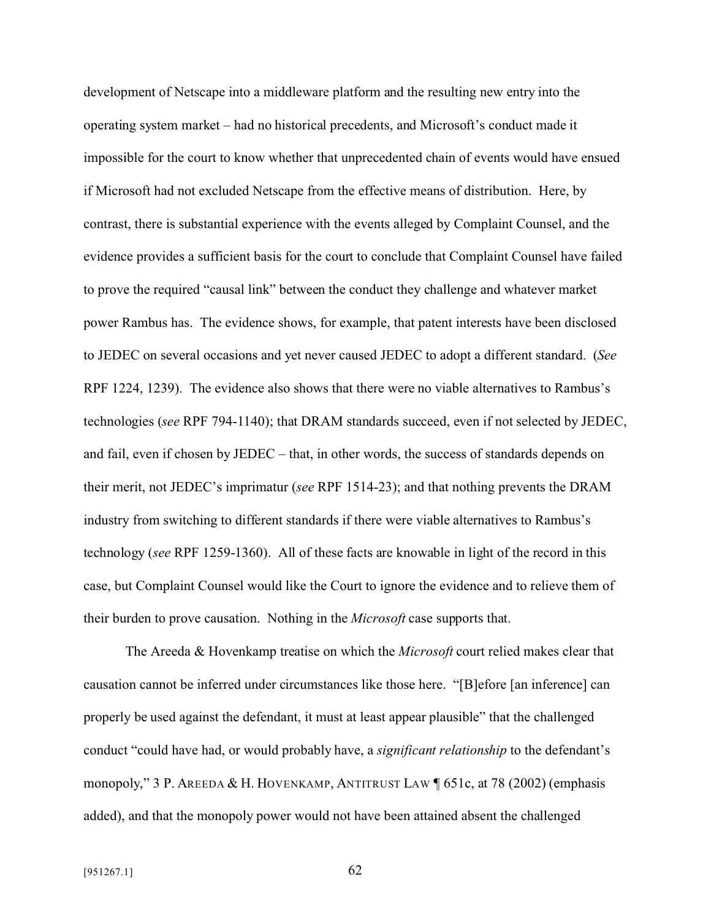development of Netscape into a middleware platform and the resulting new entry into the operating system market – had no historical precedents, and Microsoft's conduct made it impossible for the court to know whether that unprecedented chain of events would have ensued if Microsoft had not excluded Netscape from the effective means of distribution. Here, by contrast, there is substantial experience with the events alleged by Complaint Counsel, and the evidence provides a sufficient basis for the court to conclude that Complaint Counsel have failed to prove the required "causal link" between the conduct they challenge and whatever market power Rambus has. The evidence shows, for example, that patent interests have been disclosed to JEDEC on several occasions and yet never caused JEDEC to adopt a different standard. (*See* RPF 1224, 1239). The evidence also shows that there were no viable alternatives to Rambus's technologies (*see* RPF 794-1140); that DRAM standards succeed, even if not selected by JEDEC, and fail, even if chosen by JEDEC – that, in other words, the success of standards depends on their merit, not JEDEC's imprimatur (*see* RPF 1514-23); and that nothing prevents the DRAM industry from switching to different standards if there were viable alternatives to Rambus's technology (*see* RPF 1259-1360). All of these facts are knowable in light of the record in this case, but Complaint Counsel would like the Court to ignore the evidence and to relieve them of their burden to prove causation. Nothing in the *Microsoft* case supports that.

The Areeda & Hovenkamp treatise on which the *Microsoft* court relied makes clear that causation cannot be inferred under circumstances like those here. "[B]efore [an inference] can properly be used against the defendant, it must at least appear plausible" that the challenged conduct "could have had, or would probably have, a *significant relationship* to the defendant's monopoly," 3 P. AREEDA & H. HOVENKAMP, ANTITRUST LAW ¶ 651c, at 78 (2002) (emphasis added), and that the monopoly power would not have been attained absent the challenged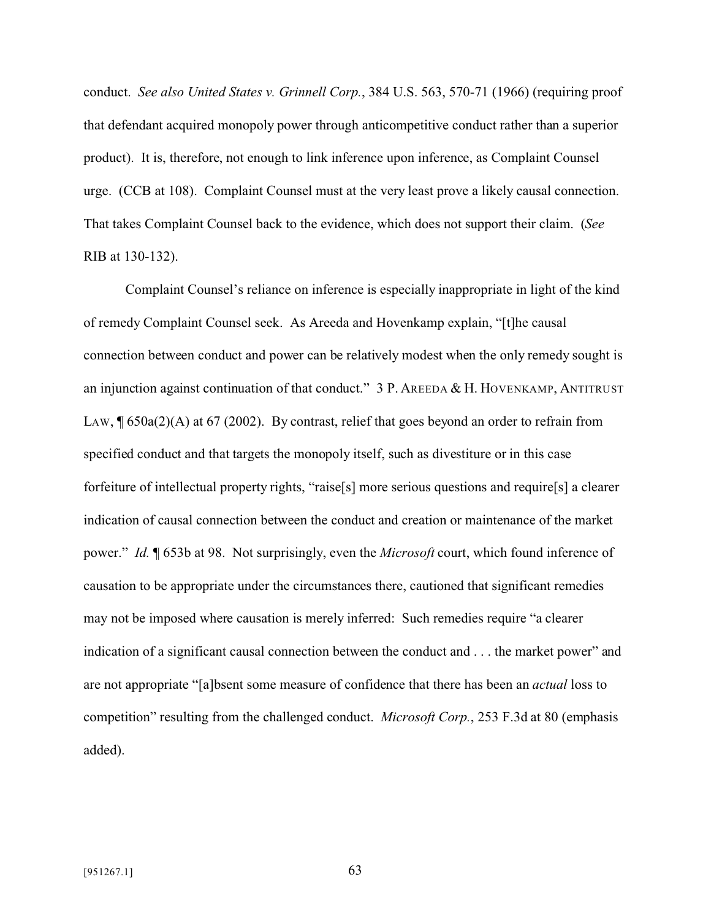conduct. *See also United States v. Grinnell Corp.*, 384 U.S. 563, 570-71 (1966) (requiring proof that defendant acquired monopoly power through anticompetitive conduct rather than a superior product). It is, therefore, not enough to link inference upon inference, as Complaint Counsel urge. (CCB at 108). Complaint Counsel must at the very least prove a likely causal connection. That takes Complaint Counsel back to the evidence, which does not support their claim. (*See* RIB at 130-132).

Complaint Counsel's reliance on inference is especially inappropriate in light of the kind of remedy Complaint Counsel seek. As Areeda and Hovenkamp explain, "[t]he causal connection between conduct and power can be relatively modest when the only remedy sought is an injunction against continuation of that conduct." 3 P. AREEDA & H. HOVENKAMP, ANTITRUST LAW,  $\sqrt{650a(2)}$  (A) at 67 (2002). By contrast, relief that goes beyond an order to refrain from specified conduct and that targets the monopoly itself, such as divestiture or in this case forfeiture of intellectual property rights, "raise[s] more serious questions and require[s] a clearer indication of causal connection between the conduct and creation or maintenance of the market power." *Id.* ¶ 653b at 98. Not surprisingly, even the *Microsoft* court, which found inference of causation to be appropriate under the circumstances there, cautioned that significant remedies may not be imposed where causation is merely inferred: Such remedies require "a clearer indication of a significant causal connection between the conduct and . . . the market power" and are not appropriate "[a]bsent some measure of confidence that there has been an *actual* loss to competition" resulting from the challenged conduct. *Microsoft Corp.*, 253 F.3d at 80 (emphasis added).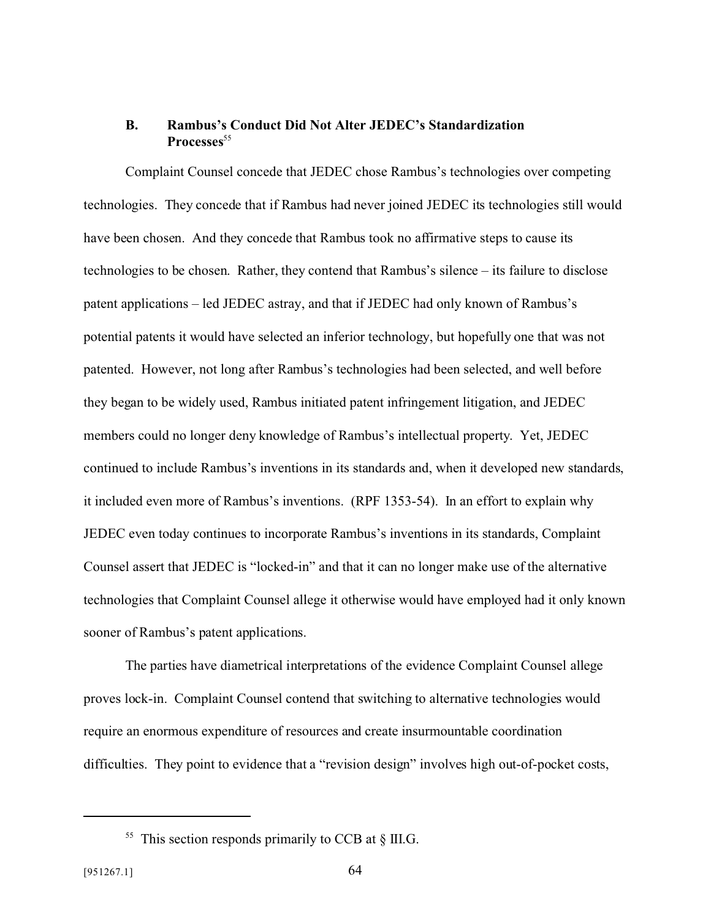### **B. Rambus's Conduct Did Not Alter JEDEC's Standardization** Processes<sup>55</sup>

Complaint Counsel concede that JEDEC chose Rambus's technologies over competing technologies. They concede that if Rambus had never joined JEDEC its technologies still would have been chosen. And they concede that Rambus took no affirmative steps to cause its technologies to be chosen. Rather, they contend that Rambus's silence – its failure to disclose patent applications – led JEDEC astray, and that if JEDEC had only known of Rambus's potential patents it would have selected an inferior technology, but hopefully one that was not patented. However, not long after Rambus's technologies had been selected, and well before they began to be widely used, Rambus initiated patent infringement litigation, and JEDEC members could no longer deny knowledge of Rambus's intellectual property. Yet, JEDEC continued to include Rambus's inventions in its standards and, when it developed new standards, it included even more of Rambus's inventions. (RPF 1353-54). In an effort to explain why JEDEC even today continues to incorporate Rambus's inventions in its standards, Complaint Counsel assert that JEDEC is "locked-in" and that it can no longer make use of the alternative technologies that Complaint Counsel allege it otherwise would have employed had it only known sooner of Rambus's patent applications.

The parties have diametrical interpretations of the evidence Complaint Counsel allege proves lock-in. Complaint Counsel contend that switching to alternative technologies would require an enormous expenditure of resources and create insurmountable coordination difficulties. They point to evidence that a "revision design" involves high out-of-pocket costs,

<sup>&</sup>lt;sup>55</sup> This section responds primarily to CCB at  $\S$  III.G.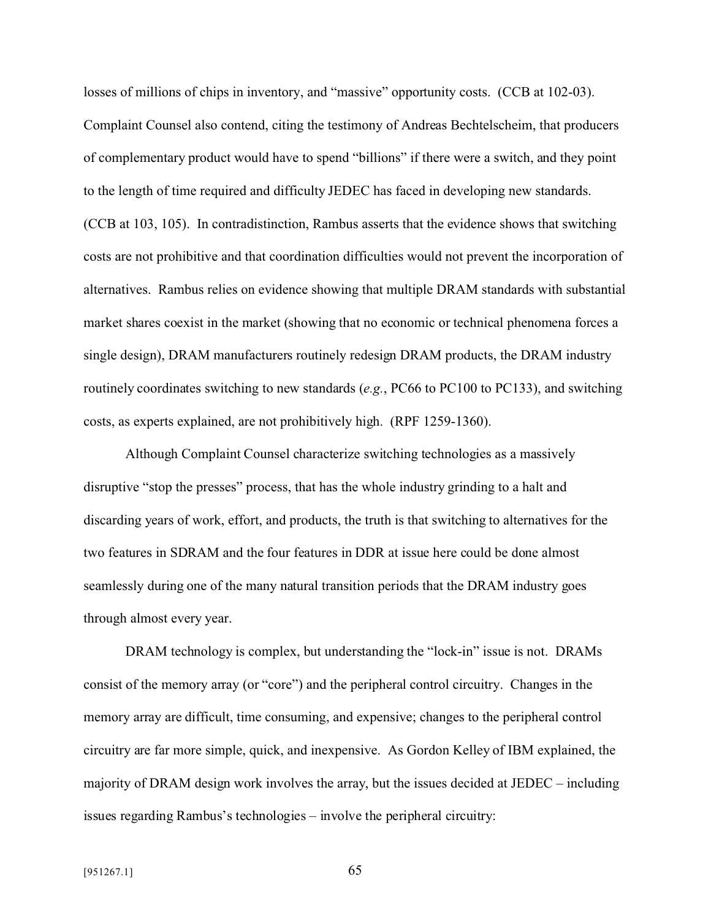losses of millions of chips in inventory, and "massive" opportunity costs. (CCB at 102-03). Complaint Counsel also contend, citing the testimony of Andreas Bechtelscheim, that producers of complementary product would have to spend "billions" if there were a switch, and they point to the length of time required and difficulty JEDEC has faced in developing new standards. (CCB at 103, 105). In contradistinction, Rambus asserts that the evidence shows that switching costs are not prohibitive and that coordination difficulties would not prevent the incorporation of alternatives. Rambus relies on evidence showing that multiple DRAM standards with substantial market shares coexist in the market (showing that no economic or technical phenomena forces a single design), DRAM manufacturers routinely redesign DRAM products, the DRAM industry routinely coordinates switching to new standards (*e.g.*, PC66 to PC100 to PC133), and switching costs, as experts explained, are not prohibitively high. (RPF 1259-1360).

Although Complaint Counsel characterize switching technologies as a massively disruptive "stop the presses" process, that has the whole industry grinding to a halt and discarding years of work, effort, and products, the truth is that switching to alternatives for the two features in SDRAM and the four features in DDR at issue here could be done almost seamlessly during one of the many natural transition periods that the DRAM industry goes through almost every year.

DRAM technology is complex, but understanding the "lock-in" issue is not. DRAMs consist of the memory array (or "core") and the peripheral control circuitry. Changes in the memory array are difficult, time consuming, and expensive; changes to the peripheral control circuitry are far more simple, quick, and inexpensive. As Gordon Kelley of IBM explained, the majority of DRAM design work involves the array, but the issues decided at JEDEC – including issues regarding Rambus's technologies – involve the peripheral circuitry: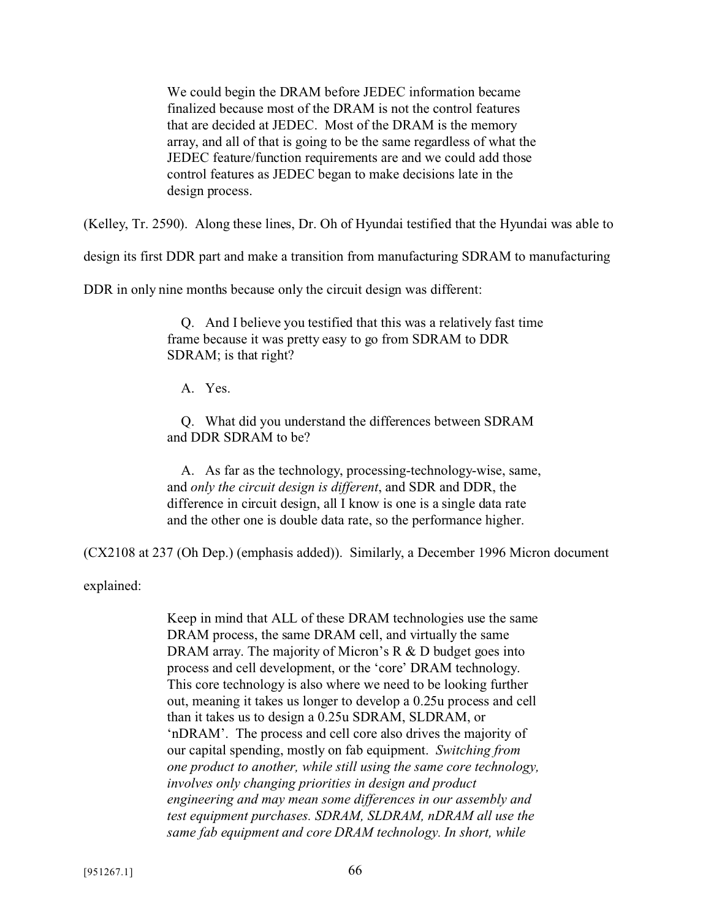We could begin the DRAM before JEDEC information became finalized because most of the DRAM is not the control features that are decided at JEDEC. Most of the DRAM is the memory array, and all of that is going to be the same regardless of what the JEDEC feature/function requirements are and we could add those control features as JEDEC began to make decisions late in the design process.

(Kelley, Tr. 2590). Along these lines, Dr. Oh of Hyundai testified that the Hyundai was able to

design its first DDR part and make a transition from manufacturing SDRAM to manufacturing

DDR in only nine months because only the circuit design was different:

 Q. And I believe you testified that this was a relatively fast time frame because it was pretty easy to go from SDRAM to DDR SDRAM; is that right?

A. Yes.

 Q. What did you understand the differences between SDRAM and DDR SDRAM to be?

 A. As far as the technology, processing-technology-wise, same, and *only the circuit design is different*, and SDR and DDR, the difference in circuit design, all I know is one is a single data rate and the other one is double data rate, so the performance higher.

(CX2108 at 237 (Oh Dep.) (emphasis added)). Similarly, a December 1996 Micron document

explained:

Keep in mind that ALL of these DRAM technologies use the same DRAM process, the same DRAM cell, and virtually the same DRAM array. The majority of Micron's R & D budget goes into process and cell development, or the 'core' DRAM technology. This core technology is also where we need to be looking further out, meaning it takes us longer to develop a 0.25u process and cell than it takes us to design a 0.25u SDRAM, SLDRAM, or 'nDRAM'. The process and cell core also drives the majority of our capital spending, mostly on fab equipment. *Switching from one product to another, while still using the same core technology, involves only changing priorities in design and product engineering and may mean some differences in our assembly and test equipment purchases. SDRAM, SLDRAM, nDRAM all use the same fab equipment and core DRAM technology. In short, while*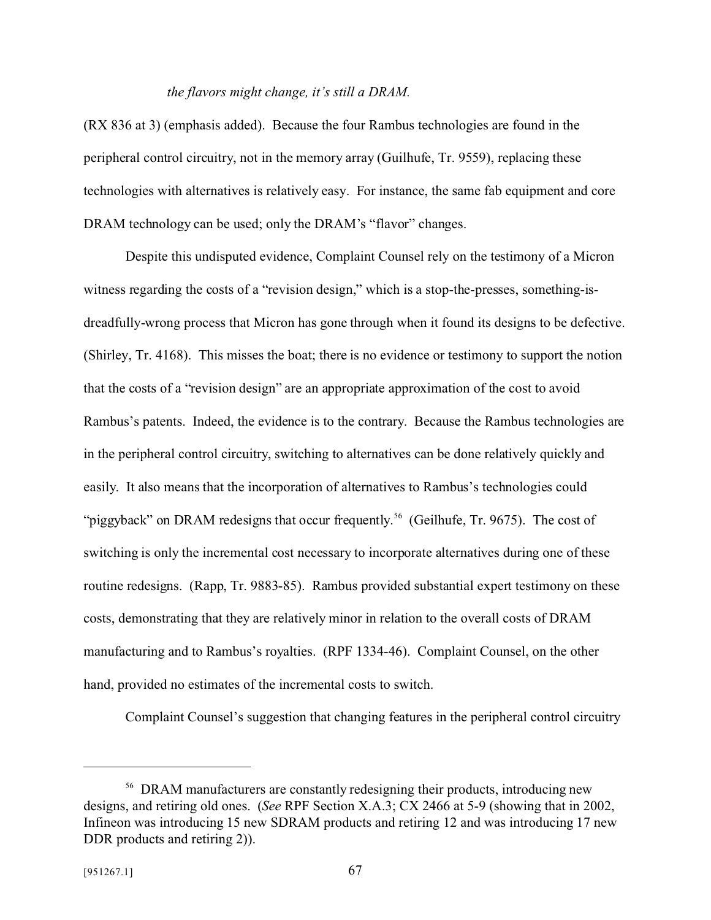#### *the flavors might change, it's still a DRAM.*

(RX 836 at 3) (emphasis added). Because the four Rambus technologies are found in the peripheral control circuitry, not in the memory array (Guilhufe, Tr. 9559), replacing these technologies with alternatives is relatively easy. For instance, the same fab equipment and core DRAM technology can be used; only the DRAM's "flavor" changes.

Despite this undisputed evidence, Complaint Counsel rely on the testimony of a Micron witness regarding the costs of a "revision design," which is a stop-the-presses, something-isdreadfully-wrong process that Micron has gone through when it found its designs to be defective. (Shirley, Tr. 4168). This misses the boat; there is no evidence or testimony to support the notion that the costs of a "revision design" are an appropriate approximation of the cost to avoid Rambus's patents. Indeed, the evidence is to the contrary. Because the Rambus technologies are in the peripheral control circuitry, switching to alternatives can be done relatively quickly and easily. It also means that the incorporation of alternatives to Rambus's technologies could "piggyback" on DRAM redesigns that occur frequently.<sup>56</sup> (Geilhufe, Tr. 9675). The cost of switching is only the incremental cost necessary to incorporate alternatives during one of these routine redesigns. (Rapp, Tr. 9883-85). Rambus provided substantial expert testimony on these costs, demonstrating that they are relatively minor in relation to the overall costs of DRAM manufacturing and to Rambus's royalties. (RPF 1334-46). Complaint Counsel, on the other hand, provided no estimates of the incremental costs to switch.

Complaint Counsel's suggestion that changing features in the peripheral control circuitry

<sup>&</sup>lt;sup>56</sup> DRAM manufacturers are constantly redesigning their products, introducing new designs, and retiring old ones. (*See* RPF Section X.A.3; CX 2466 at 5-9 (showing that in 2002, Infineon was introducing 15 new SDRAM products and retiring 12 and was introducing 17 new DDR products and retiring 2)).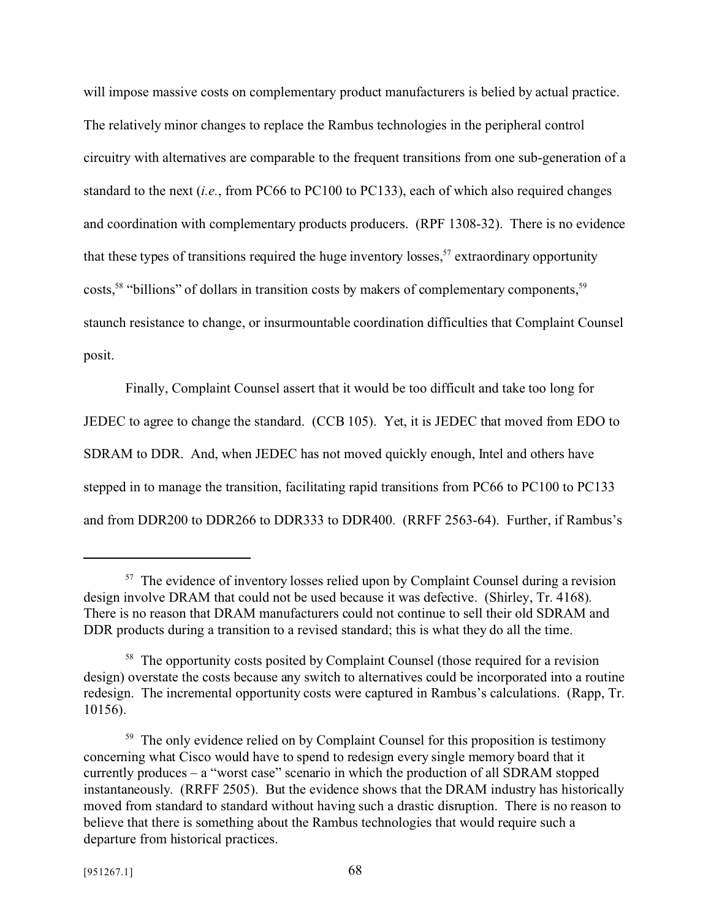will impose massive costs on complementary product manufacturers is belied by actual practice. The relatively minor changes to replace the Rambus technologies in the peripheral control circuitry with alternatives are comparable to the frequent transitions from one sub-generation of a standard to the next (*i.e.*, from PC66 to PC100 to PC133), each of which also required changes and coordination with complementary products producers. (RPF 1308-32). There is no evidence that these types of transitions required the huge inventory losses,  $57$  extraordinary opportunity costs,<sup>58</sup> "billions" of dollars in transition costs by makers of complementary components,<sup>59</sup> staunch resistance to change, or insurmountable coordination difficulties that Complaint Counsel posit.

Finally, Complaint Counsel assert that it would be too difficult and take too long for JEDEC to agree to change the standard. (CCB 105). Yet, it is JEDEC that moved from EDO to SDRAM to DDR. And, when JEDEC has not moved quickly enough, Intel and others have stepped in to manage the transition, facilitating rapid transitions from PC66 to PC100 to PC133 and from DDR200 to DDR266 to DDR333 to DDR400. (RRFF 2563-64). Further, if Rambus's

 $57$  The evidence of inventory losses relied upon by Complaint Counsel during a revision design involve DRAM that could not be used because it was defective. (Shirley, Tr. 4168). There is no reason that DRAM manufacturers could not continue to sell their old SDRAM and DDR products during a transition to a revised standard; this is what they do all the time.

<sup>&</sup>lt;sup>58</sup> The opportunity costs posited by Complaint Counsel (those required for a revision design) overstate the costs because any switch to alternatives could be incorporated into a routine redesign. The incremental opportunity costs were captured in Rambus's calculations. (Rapp, Tr. 10156).

<sup>&</sup>lt;sup>59</sup> The only evidence relied on by Complaint Counsel for this proposition is testimony concerning what Cisco would have to spend to redesign every single memory board that it currently produces – a "worst case" scenario in which the production of all SDRAM stopped instantaneously. (RRFF 2505). But the evidence shows that the DRAM industry has historically moved from standard to standard without having such a drastic disruption. There is no reason to believe that there is something about the Rambus technologies that would require such a departure from historical practices.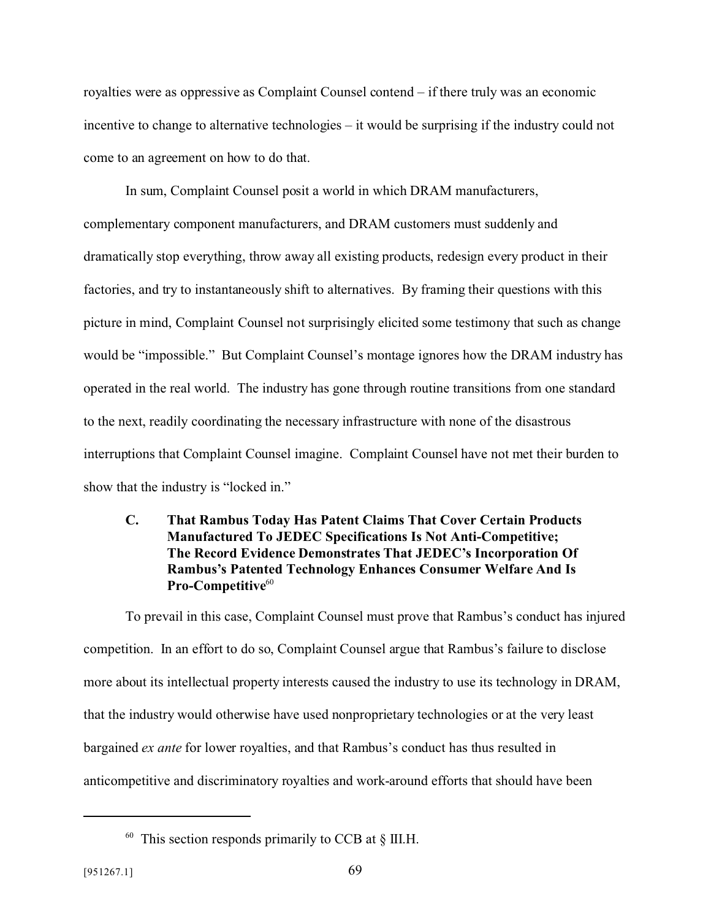royalties were as oppressive as Complaint Counsel contend – if there truly was an economic incentive to change to alternative technologies – it would be surprising if the industry could not come to an agreement on how to do that.

In sum, Complaint Counsel posit a world in which DRAM manufacturers, complementary component manufacturers, and DRAM customers must suddenly and dramatically stop everything, throw away all existing products, redesign every product in their factories, and try to instantaneously shift to alternatives. By framing their questions with this picture in mind, Complaint Counsel not surprisingly elicited some testimony that such as change would be "impossible." But Complaint Counsel's montage ignores how the DRAM industry has operated in the real world. The industry has gone through routine transitions from one standard to the next, readily coordinating the necessary infrastructure with none of the disastrous interruptions that Complaint Counsel imagine. Complaint Counsel have not met their burden to show that the industry is "locked in."

## **C. That Rambus Today Has Patent Claims That Cover Certain Products Manufactured To JEDEC Specifications Is Not Anti-Competitive; The Record Evidence Demonstrates That JEDEC's Incorporation Of Rambus's Patented Technology Enhances Consumer Welfare And Is** Pro-Competitive<sup>60</sup>

To prevail in this case, Complaint Counsel must prove that Rambus's conduct has injured competition. In an effort to do so, Complaint Counsel argue that Rambus's failure to disclose more about its intellectual property interests caused the industry to use its technology in DRAM, that the industry would otherwise have used nonproprietary technologies or at the very least bargained *ex ante* for lower royalties, and that Rambus's conduct has thus resulted in anticompetitive and discriminatory royalties and work-around efforts that should have been

 $60$  This section responds primarily to CCB at  $\S$  III.H.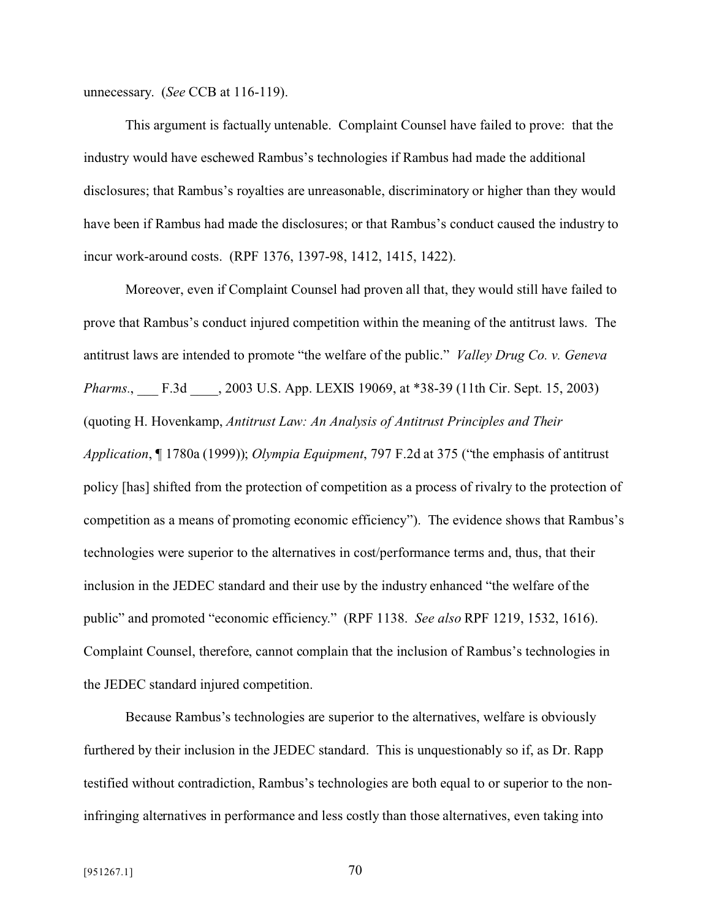unnecessary. (*See* CCB at 116-119).

This argument is factually untenable. Complaint Counsel have failed to prove: that the industry would have eschewed Rambus's technologies if Rambus had made the additional disclosures; that Rambus's royalties are unreasonable, discriminatory or higher than they would have been if Rambus had made the disclosures; or that Rambus's conduct caused the industry to incur work-around costs. (RPF 1376, 1397-98, 1412, 1415, 1422).

Moreover, even if Complaint Counsel had proven all that, they would still have failed to prove that Rambus's conduct injured competition within the meaning of the antitrust laws. The antitrust laws are intended to promote "the welfare of the public." *Valley Drug Co. v. Geneva Pharms.*, F.3d , 2003 U.S. App. LEXIS 19069, at \*38-39 (11th Cir. Sept. 15, 2003) (quoting H. Hovenkamp, *Antitrust Law: An Analysis of Antitrust Principles and Their Application*, ¶ 1780a (1999)); *Olympia Equipment*, 797 F.2d at 375 ("the emphasis of antitrust policy [has] shifted from the protection of competition as a process of rivalry to the protection of competition as a means of promoting economic efficiency"). The evidence shows that Rambus's technologies were superior to the alternatives in cost/performance terms and, thus, that their inclusion in the JEDEC standard and their use by the industry enhanced "the welfare of the public" and promoted "economic efficiency." (RPF 1138. *See also* RPF 1219, 1532, 1616). Complaint Counsel, therefore, cannot complain that the inclusion of Rambus's technologies in the JEDEC standard injured competition.

Because Rambus's technologies are superior to the alternatives, welfare is obviously furthered by their inclusion in the JEDEC standard. This is unquestionably so if, as Dr. Rapp testified without contradiction, Rambus's technologies are both equal to or superior to the noninfringing alternatives in performance and less costly than those alternatives, even taking into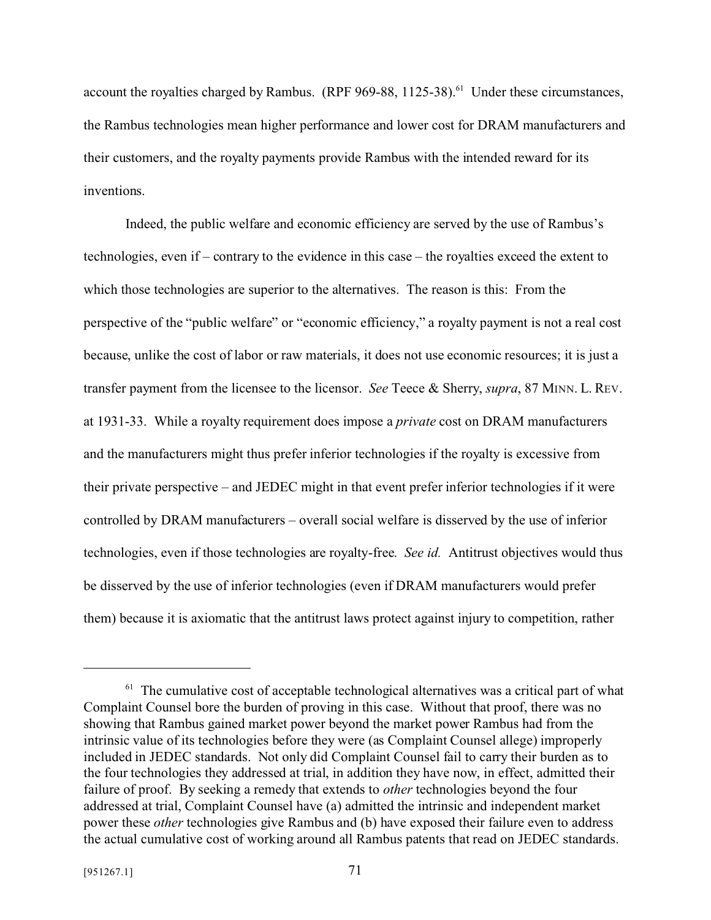account the royalties charged by Rambus. (RPF 969-88, 1125-38).<sup>61</sup> Under these circumstances, the Rambus technologies mean higher performance and lower cost for DRAM manufacturers and their customers, and the royalty payments provide Rambus with the intended reward for its inventions.

Indeed, the public welfare and economic efficiency are served by the use of Rambus's technologies, even if – contrary to the evidence in this case – the royalties exceed the extent to which those technologies are superior to the alternatives. The reason is this: From the perspective of the "public welfare" or "economic efficiency," a royalty payment is not a real cost because, unlike the cost of labor or raw materials, it does not use economic resources; it is just a transfer payment from the licensee to the licensor. *See* Teece & Sherry, *supra*, 87 MINN. L. REV. at 1931-33. While a royalty requirement does impose a *private* cost on DRAM manufacturers and the manufacturers might thus prefer inferior technologies if the royalty is excessive from their private perspective – and JEDEC might in that event prefer inferior technologies if it were controlled by DRAM manufacturers – overall social welfare is disserved by the use of inferior technologies, even if those technologies are royalty-free. *See id.* Antitrust objectives would thus be disserved by the use of inferior technologies (even if DRAM manufacturers would prefer them) because it is axiomatic that the antitrust laws protect against injury to competition, rather

 $61$  The cumulative cost of acceptable technological alternatives was a critical part of what Complaint Counsel bore the burden of proving in this case. Without that proof, there was no showing that Rambus gained market power beyond the market power Rambus had from the intrinsic value of its technologies before they were (as Complaint Counsel allege) improperly included in JEDEC standards. Not only did Complaint Counsel fail to carry their burden as to the four technologies they addressed at trial, in addition they have now, in effect, admitted their failure of proof. By seeking a remedy that extends to *other* technologies beyond the four addressed at trial, Complaint Counsel have (a) admitted the intrinsic and independent market power these *other* technologies give Rambus and (b) have exposed their failure even to address the actual cumulative cost of working around all Rambus patents that read on JEDEC standards.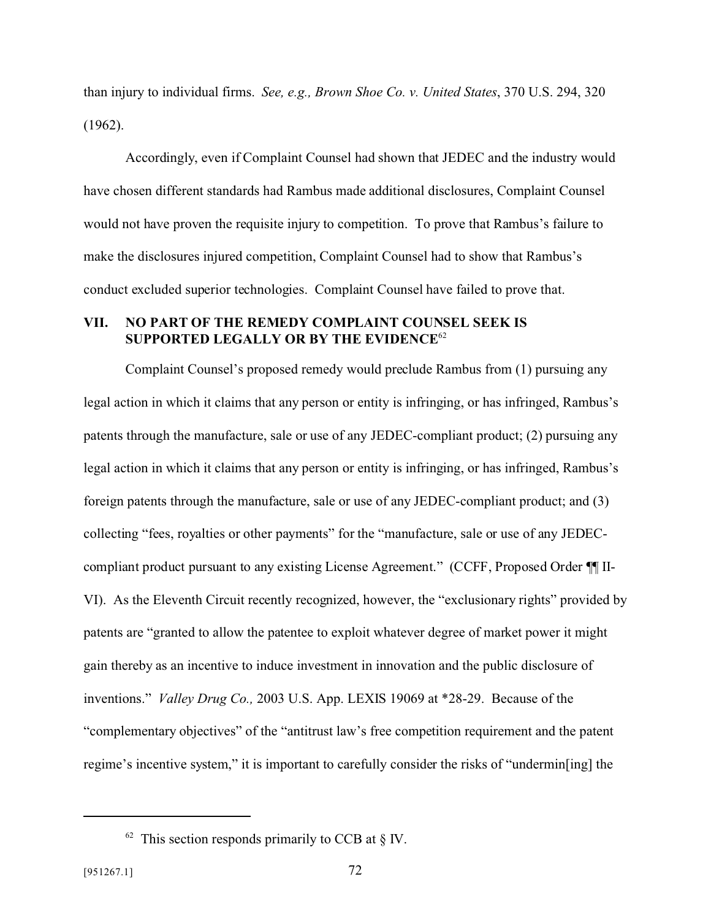than injury to individual firms. *See, e.g., Brown Shoe Co. v. United States*, 370 U.S. 294, 320 (1962).

Accordingly, even if Complaint Counsel had shown that JEDEC and the industry would have chosen different standards had Rambus made additional disclosures, Complaint Counsel would not have proven the requisite injury to competition. To prove that Rambus's failure to make the disclosures injured competition, Complaint Counsel had to show that Rambus's conduct excluded superior technologies. Complaint Counsel have failed to prove that.

## **VII. NO PART OF THE REMEDY COMPLAINT COUNSEL SEEK IS SUPPORTED LEGALLY OR BY THE EVIDENCE**<sup>62</sup>

Complaint Counsel's proposed remedy would preclude Rambus from (1) pursuing any legal action in which it claims that any person or entity is infringing, or has infringed, Rambus's patents through the manufacture, sale or use of any JEDEC-compliant product; (2) pursuing any legal action in which it claims that any person or entity is infringing, or has infringed, Rambus's foreign patents through the manufacture, sale or use of any JEDEC-compliant product; and (3) collecting "fees, royalties or other payments" for the "manufacture, sale or use of any JEDECcompliant product pursuant to any existing License Agreement." (CCFF, Proposed Order ¶¶ II-VI). As the Eleventh Circuit recently recognized, however, the "exclusionary rights" provided by patents are "granted to allow the patentee to exploit whatever degree of market power it might gain thereby as an incentive to induce investment in innovation and the public disclosure of inventions." *Valley Drug Co.,* 2003 U.S. App. LEXIS 19069 at \*28-29. Because of the "complementary objectives" of the "antitrust law's free competition requirement and the patent regime's incentive system," it is important to carefully consider the risks of "undermin[ing] the

 $62$  This section responds primarily to CCB at § IV.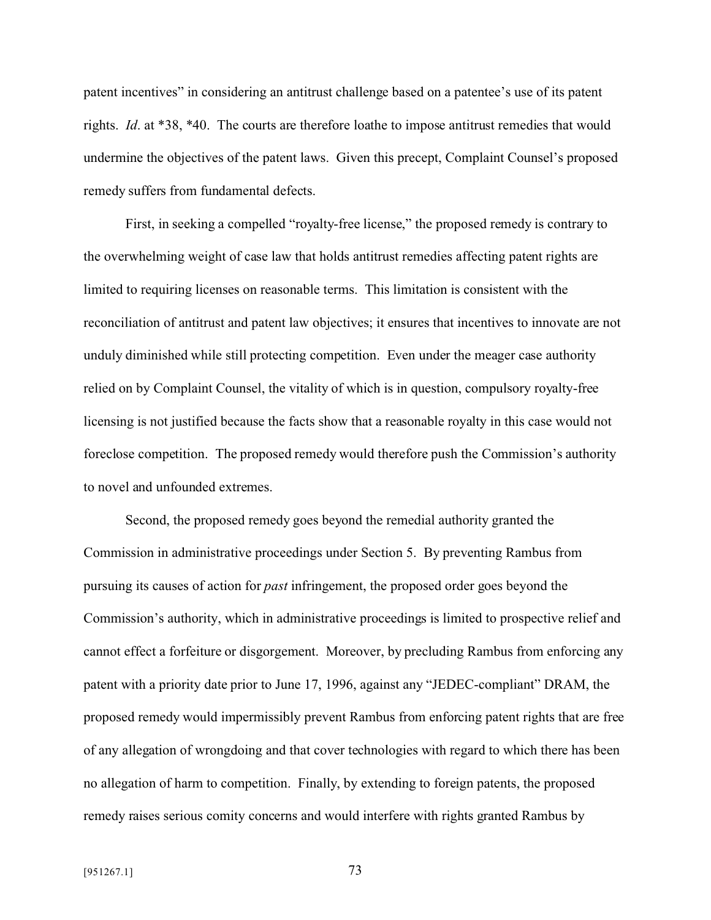patent incentives" in considering an antitrust challenge based on a patentee's use of its patent rights. *Id*. at \*38, \*40. The courts are therefore loathe to impose antitrust remedies that would undermine the objectives of the patent laws. Given this precept, Complaint Counsel's proposed remedy suffers from fundamental defects.

First, in seeking a compelled "royalty-free license," the proposed remedy is contrary to the overwhelming weight of case law that holds antitrust remedies affecting patent rights are limited to requiring licenses on reasonable terms. This limitation is consistent with the reconciliation of antitrust and patent law objectives; it ensures that incentives to innovate are not unduly diminished while still protecting competition. Even under the meager case authority relied on by Complaint Counsel, the vitality of which is in question, compulsory royalty-free licensing is not justified because the facts show that a reasonable royalty in this case would not foreclose competition. The proposed remedy would therefore push the Commission's authority to novel and unfounded extremes.

Second, the proposed remedy goes beyond the remedial authority granted the Commission in administrative proceedings under Section 5. By preventing Rambus from pursuing its causes of action for *past* infringement, the proposed order goes beyond the Commission's authority, which in administrative proceedings is limited to prospective relief and cannot effect a forfeiture or disgorgement. Moreover, by precluding Rambus from enforcing any patent with a priority date prior to June 17, 1996, against any "JEDEC-compliant" DRAM, the proposed remedy would impermissibly prevent Rambus from enforcing patent rights that are free of any allegation of wrongdoing and that cover technologies with regard to which there has been no allegation of harm to competition. Finally, by extending to foreign patents, the proposed remedy raises serious comity concerns and would interfere with rights granted Rambus by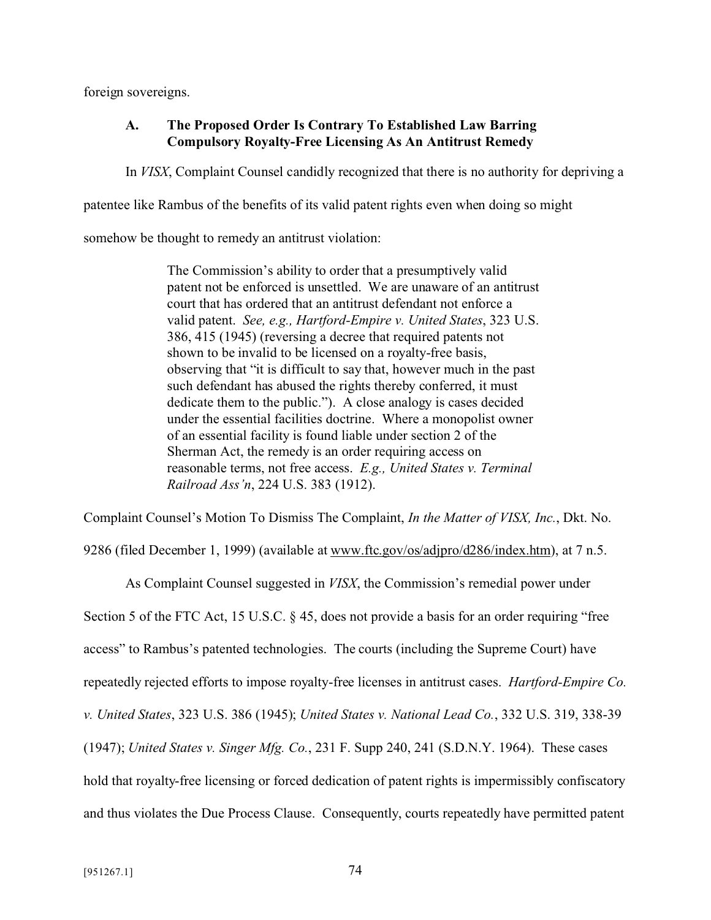foreign sovereigns.

## **A. The Proposed Order Is Contrary To Established Law Barring Compulsory Royalty-Free Licensing As An Antitrust Remedy**

In *VISX*, Complaint Counsel candidly recognized that there is no authority for depriving a

patentee like Rambus of the benefits of its valid patent rights even when doing so might

somehow be thought to remedy an antitrust violation:

The Commission's ability to order that a presumptively valid patent not be enforced is unsettled. We are unaware of an antitrust court that has ordered that an antitrust defendant not enforce a valid patent. *See, e.g., Hartford-Empire v. United States*, 323 U.S. 386, 415 (1945) (reversing a decree that required patents not shown to be invalid to be licensed on a royalty-free basis, observing that "it is difficult to say that, however much in the past such defendant has abused the rights thereby conferred, it must dedicate them to the public."). A close analogy is cases decided under the essential facilities doctrine. Where a monopolist owner of an essential facility is found liable under section 2 of the Sherman Act, the remedy is an order requiring access on reasonable terms, not free access. *E.g., United States v. Terminal Railroad Ass'n*, 224 U.S. 383 (1912).

Complaint Counsel's Motion To Dismiss The Complaint, *In the Matter of VISX, Inc.*, Dkt. No.

9286 (filed December 1, 1999) (available at www.ftc.gov/os/adjpro/d286/index.htm), at 7 n.5.

As Complaint Counsel suggested in *VISX*, the Commission's remedial power under Section 5 of the FTC Act, 15 U.S.C. § 45, does not provide a basis for an order requiring "free access" to Rambus's patented technologies. The courts (including the Supreme Court) have repeatedly rejected efforts to impose royalty-free licenses in antitrust cases. *Hartford-Empire Co. v. United States*, 323 U.S. 386 (1945); *United States v. National Lead Co.*, 332 U.S. 319, 338-39 (1947); *United States v. Singer Mfg. Co.*, 231 F. Supp 240, 241 (S.D.N.Y. 1964). These cases hold that royalty-free licensing or forced dedication of patent rights is impermissibly confiscatory and thus violates the Due Process Clause. Consequently, courts repeatedly have permitted patent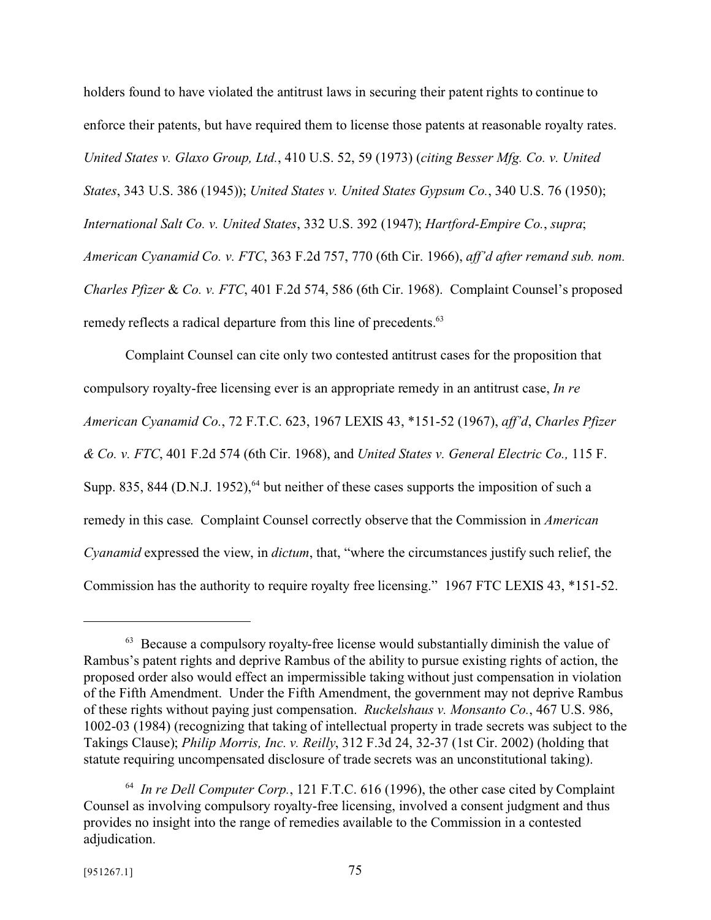holders found to have violated the antitrust laws in securing their patent rights to continue to enforce their patents, but have required them to license those patents at reasonable royalty rates. *United States v. Glaxo Group, Ltd.*, 410 U.S. 52, 59 (1973) (*citing Besser Mfg. Co. v. United States*, 343 U.S. 386 (1945)); *United States v. United States Gypsum Co.*, 340 U.S. 76 (1950); *International Salt Co. v. United States*, 332 U.S. 392 (1947); *Hartford-Empire Co.*, *supra*; *American Cyanamid Co. v. FTC*, 363 F.2d 757, 770 (6th Cir. 1966), *aff'd after remand sub. nom. Charles Pfizer* & *Co. v. FTC*, 401 F.2d 574, 586 (6th Cir. 1968). Complaint Counsel's proposed remedy reflects a radical departure from this line of precedents.<sup>63</sup>

Complaint Counsel can cite only two contested antitrust cases for the proposition that compulsory royalty-free licensing ever is an appropriate remedy in an antitrust case, *In re American Cyanamid Co.*, 72 F.T.C. 623, 1967 LEXIS 43, \*151-52 (1967), *aff'd*, *Charles Pfizer & Co. v. FTC*, 401 F.2d 574 (6th Cir. 1968), and *United States v. General Electric Co.,* 115 F. Supp. 835, 844 (D.N.J. 1952),  $64$  but neither of these cases supports the imposition of such a remedy in this case. Complaint Counsel correctly observe that the Commission in *American Cyanamid* expressed the view, in *dictum*, that, "where the circumstances justify such relief, the Commission has the authority to require royalty free licensing." 1967 FTC LEXIS 43, \*151-52.

 $63$  Because a compulsory royalty-free license would substantially diminish the value of Rambus's patent rights and deprive Rambus of the ability to pursue existing rights of action, the proposed order also would effect an impermissible taking without just compensation in violation of the Fifth Amendment. Under the Fifth Amendment, the government may not deprive Rambus of these rights without paying just compensation. *Ruckelshaus v. Monsanto Co.*, 467 U.S. 986, 1002-03 (1984) (recognizing that taking of intellectual property in trade secrets was subject to the Takings Clause); *Philip Morris, Inc. v. Reilly*, 312 F.3d 24, 32-37 (1st Cir. 2002) (holding that statute requiring uncompensated disclosure of trade secrets was an unconstitutional taking).

<sup>64</sup> *In re Dell Computer Corp.*, 121 F.T.C. 616 (1996), the other case cited by Complaint Counsel as involving compulsory royalty-free licensing, involved a consent judgment and thus provides no insight into the range of remedies available to the Commission in a contested adjudication.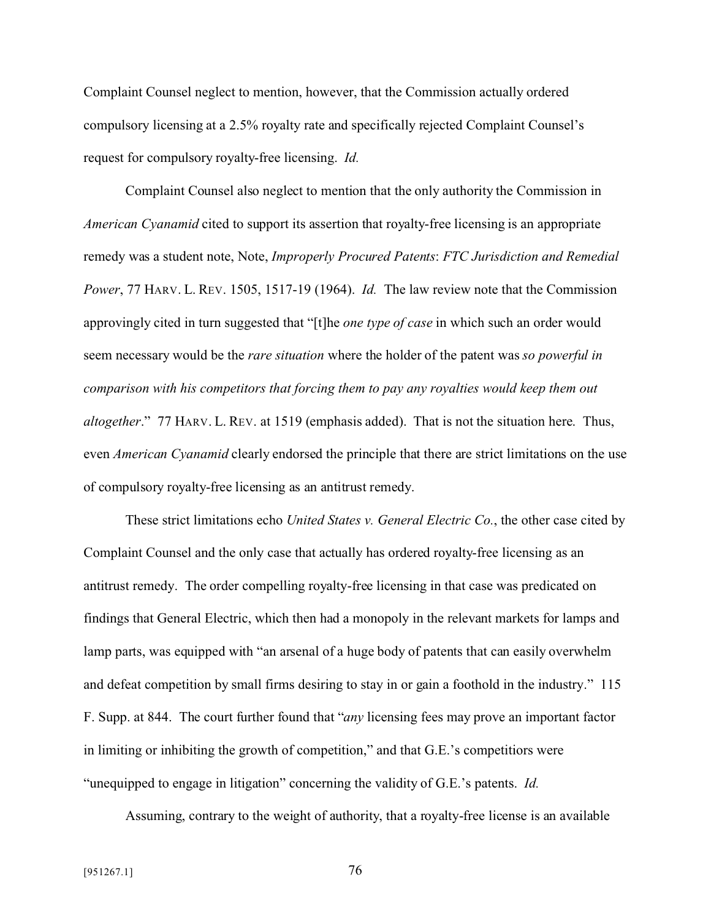Complaint Counsel neglect to mention, however, that the Commission actually ordered compulsory licensing at a 2.5% royalty rate and specifically rejected Complaint Counsel's request for compulsory royalty-free licensing. *Id.*

Complaint Counsel also neglect to mention that the only authority the Commission in *American Cyanamid* cited to support its assertion that royalty-free licensing is an appropriate remedy was a student note, Note, *Improperly Procured Patents*: *FTC Jurisdiction and Remedial Power*, 77 HARV. L. REV. 1505, 1517-19 (1964). *Id.* The law review note that the Commission approvingly cited in turn suggested that "[t]he *one type of case* in which such an order would seem necessary would be the *rare situation* where the holder of the patent was *so powerful in comparison with his competitors that forcing them to pay any royalties would keep them out altogether*." 77 HARV. L. REV. at 1519 (emphasis added). That is not the situation here. Thus, even *American Cyanamid* clearly endorsed the principle that there are strict limitations on the use of compulsory royalty-free licensing as an antitrust remedy.

These strict limitations echo *United States v. General Electric Co.*, the other case cited by Complaint Counsel and the only case that actually has ordered royalty-free licensing as an antitrust remedy. The order compelling royalty-free licensing in that case was predicated on findings that General Electric, which then had a monopoly in the relevant markets for lamps and lamp parts, was equipped with "an arsenal of a huge body of patents that can easily overwhelm and defeat competition by small firms desiring to stay in or gain a foothold in the industry." 115 F. Supp. at 844. The court further found that "*any* licensing fees may prove an important factor in limiting or inhibiting the growth of competition," and that G.E.'s competitiors were "unequipped to engage in litigation" concerning the validity of G.E.'s patents. *Id.*

Assuming, contrary to the weight of authority, that a royalty-free license is an available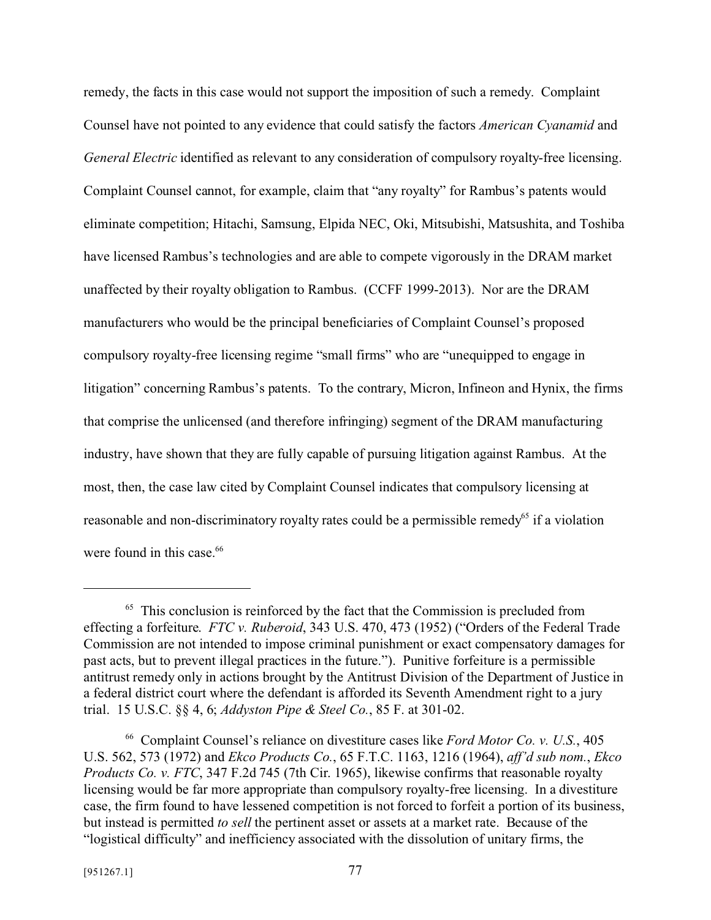remedy, the facts in this case would not support the imposition of such a remedy. Complaint Counsel have not pointed to any evidence that could satisfy the factors *American Cyanamid* and *General Electric* identified as relevant to any consideration of compulsory royalty-free licensing. Complaint Counsel cannot, for example, claim that "any royalty" for Rambus's patents would eliminate competition; Hitachi, Samsung, Elpida NEC, Oki, Mitsubishi, Matsushita, and Toshiba have licensed Rambus's technologies and are able to compete vigorously in the DRAM market unaffected by their royalty obligation to Rambus. (CCFF 1999-2013). Nor are the DRAM manufacturers who would be the principal beneficiaries of Complaint Counsel's proposed compulsory royalty-free licensing regime "small firms" who are "unequipped to engage in litigation" concerning Rambus's patents. To the contrary, Micron, Infineon and Hynix, the firms that comprise the unlicensed (and therefore infringing) segment of the DRAM manufacturing industry, have shown that they are fully capable of pursuing litigation against Rambus. At the most, then, the case law cited by Complaint Counsel indicates that compulsory licensing at reasonable and non-discriminatory royalty rates could be a permissible remedy<sup>65</sup> if a violation were found in this case.<sup>66</sup>

<sup>&</sup>lt;sup>65</sup> This conclusion is reinforced by the fact that the Commission is precluded from effecting a forfeiture. *FTC v. Ruberoid*, 343 U.S. 470, 473 (1952) ("Orders of the Federal Trade Commission are not intended to impose criminal punishment or exact compensatory damages for past acts, but to prevent illegal practices in the future."). Punitive forfeiture is a permissible antitrust remedy only in actions brought by the Antitrust Division of the Department of Justice in a federal district court where the defendant is afforded its Seventh Amendment right to a jury trial. 15 U.S.C. §§ 4, 6; *Addyston Pipe & Steel Co.*, 85 F. at 301-02.

<sup>66</sup> Complaint Counsel's reliance on divestiture cases like *Ford Motor Co. v. U.S.*, 405 U.S. 562, 573 (1972) and *Ekco Products Co.*, 65 F.T.C. 1163, 1216 (1964), *aff'd sub nom.*, *Ekco Products Co. v. FTC*, 347 F.2d 745 (7th Cir. 1965), likewise confirms that reasonable royalty licensing would be far more appropriate than compulsory royalty-free licensing. In a divestiture case, the firm found to have lessened competition is not forced to forfeit a portion of its business, but instead is permitted *to sell* the pertinent asset or assets at a market rate. Because of the "logistical difficulty" and inefficiency associated with the dissolution of unitary firms, the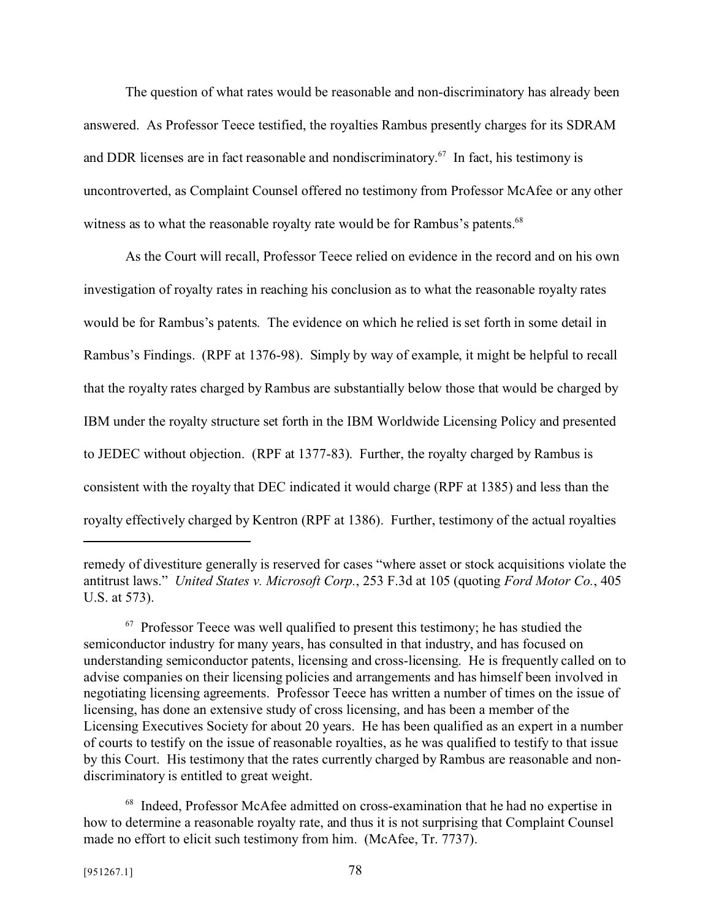The question of what rates would be reasonable and non-discriminatory has already been answered. As Professor Teece testified, the royalties Rambus presently charges for its SDRAM and DDR licenses are in fact reasonable and nondiscriminatory.<sup>67</sup> In fact, his testimony is uncontroverted, as Complaint Counsel offered no testimony from Professor McAfee or any other witness as to what the reasonable royalty rate would be for Rambus's patents.<sup>68</sup>

As the Court will recall, Professor Teece relied on evidence in the record and on his own investigation of royalty rates in reaching his conclusion as to what the reasonable royalty rates would be for Rambus's patents. The evidence on which he relied is set forth in some detail in Rambus's Findings. (RPF at 1376-98). Simply by way of example, it might be helpful to recall that the royalty rates charged by Rambus are substantially below those that would be charged by IBM under the royalty structure set forth in the IBM Worldwide Licensing Policy and presented to JEDEC without objection. (RPF at 1377-83). Further, the royalty charged by Rambus is consistent with the royalty that DEC indicated it would charge (RPF at 1385) and less than the royalty effectively charged by Kentron (RPF at 1386). Further, testimony of the actual royalties

remedy of divestiture generally is reserved for cases "where asset or stock acquisitions violate the antitrust laws." *United States v. Microsoft Corp.*, 253 F.3d at 105 (quoting *Ford Motor Co.*, 405 U.S. at 573).

 $67$  Professor Teece was well qualified to present this testimony; he has studied the semiconductor industry for many years, has consulted in that industry, and has focused on understanding semiconductor patents, licensing and cross-licensing. He is frequently called on to advise companies on their licensing policies and arrangements and has himself been involved in negotiating licensing agreements. Professor Teece has written a number of times on the issue of licensing, has done an extensive study of cross licensing, and has been a member of the Licensing Executives Society for about 20 years. He has been qualified as an expert in a number of courts to testify on the issue of reasonable royalties, as he was qualified to testify to that issue by this Court. His testimony that the rates currently charged by Rambus are reasonable and nondiscriminatory is entitled to great weight.

<sup>68</sup> Indeed, Professor McAfee admitted on cross-examination that he had no expertise in how to determine a reasonable royalty rate, and thus it is not surprising that Complaint Counsel made no effort to elicit such testimony from him. (McAfee, Tr. 7737).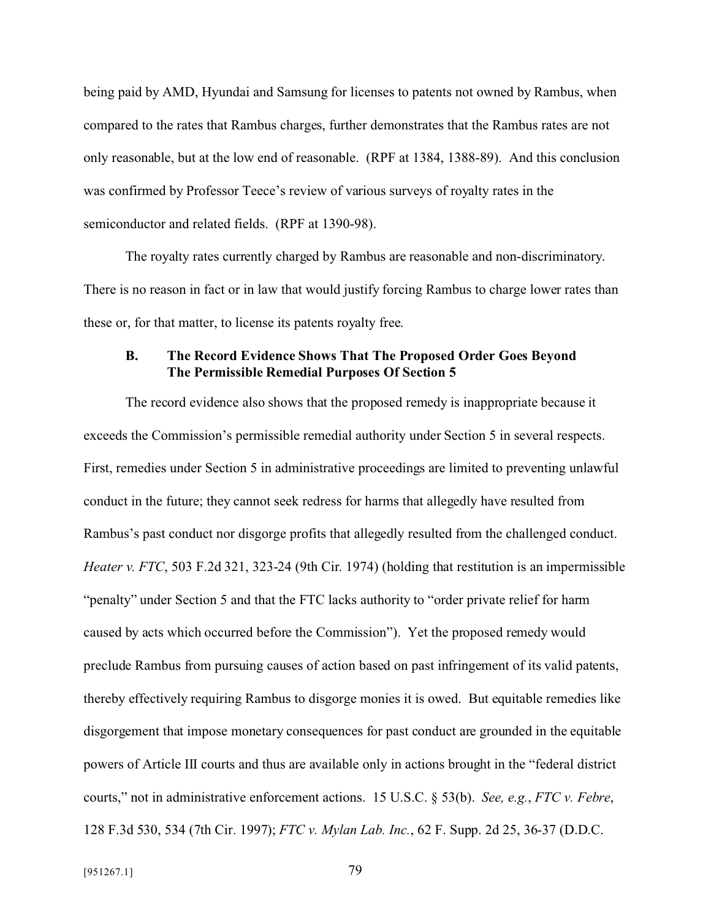being paid by AMD, Hyundai and Samsung for licenses to patents not owned by Rambus, when compared to the rates that Rambus charges, further demonstrates that the Rambus rates are not only reasonable, but at the low end of reasonable. (RPF at 1384, 1388-89). And this conclusion was confirmed by Professor Teece's review of various surveys of royalty rates in the semiconductor and related fields. (RPF at 1390-98).

The royalty rates currently charged by Rambus are reasonable and non-discriminatory. There is no reason in fact or in law that would justify forcing Rambus to charge lower rates than these or, for that matter, to license its patents royalty free.

#### **B. The Record Evidence Shows That The Proposed Order Goes Beyond The Permissible Remedial Purposes Of Section 5**

The record evidence also shows that the proposed remedy is inappropriate because it exceeds the Commission's permissible remedial authority under Section 5 in several respects. First, remedies under Section 5 in administrative proceedings are limited to preventing unlawful conduct in the future; they cannot seek redress for harms that allegedly have resulted from Rambus's past conduct nor disgorge profits that allegedly resulted from the challenged conduct. *Heater v. FTC*, 503 F.2d 321, 323-24 (9th Cir. 1974) (holding that restitution is an impermissible "penalty" under Section 5 and that the FTC lacks authority to "order private relief for harm caused by acts which occurred before the Commission"). Yet the proposed remedy would preclude Rambus from pursuing causes of action based on past infringement of its valid patents, thereby effectively requiring Rambus to disgorge monies it is owed. But equitable remedies like disgorgement that impose monetary consequences for past conduct are grounded in the equitable powers of Article III courts and thus are available only in actions brought in the "federal district courts," not in administrative enforcement actions. 15 U.S.C. § 53(b). *See, e.g.*, *FTC v. Febre*, 128 F.3d 530, 534 (7th Cir. 1997); *FTC v. Mylan Lab. Inc.*, 62 F. Supp. 2d 25, 36-37 (D.D.C.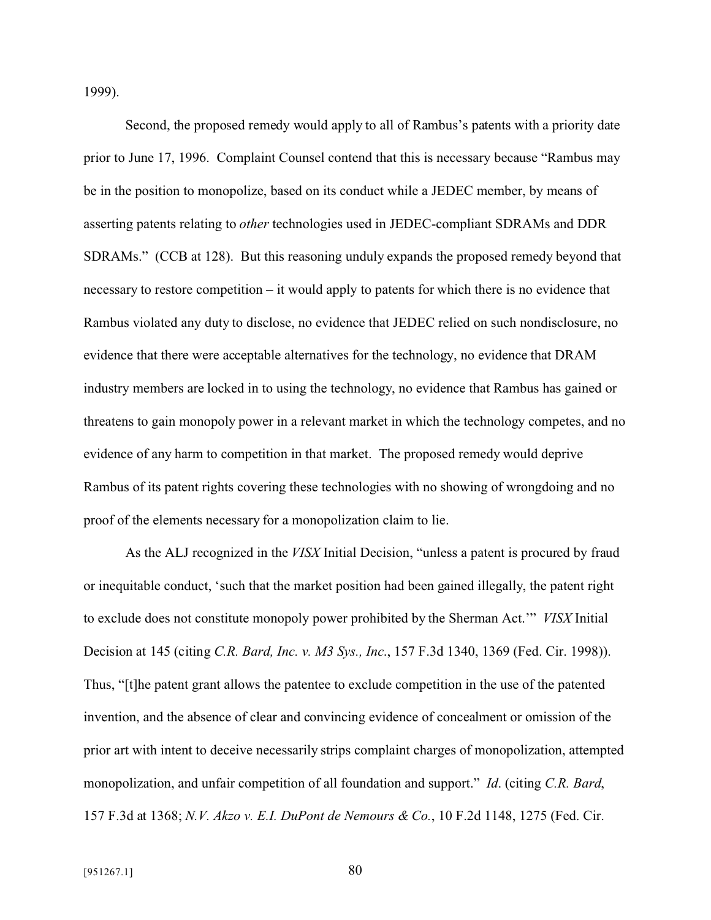1999).

Second, the proposed remedy would apply to all of Rambus's patents with a priority date prior to June 17, 1996. Complaint Counsel contend that this is necessary because "Rambus may be in the position to monopolize, based on its conduct while a JEDEC member, by means of asserting patents relating to *other* technologies used in JEDEC-compliant SDRAMs and DDR SDRAMs." (CCB at 128). But this reasoning unduly expands the proposed remedy beyond that necessary to restore competition – it would apply to patents for which there is no evidence that Rambus violated any duty to disclose, no evidence that JEDEC relied on such nondisclosure, no evidence that there were acceptable alternatives for the technology, no evidence that DRAM industry members are locked in to using the technology, no evidence that Rambus has gained or threatens to gain monopoly power in a relevant market in which the technology competes, and no evidence of any harm to competition in that market. The proposed remedy would deprive Rambus of its patent rights covering these technologies with no showing of wrongdoing and no proof of the elements necessary for a monopolization claim to lie.

As the ALJ recognized in the *VISX* Initial Decision, "unless a patent is procured by fraud or inequitable conduct, 'such that the market position had been gained illegally, the patent right to exclude does not constitute monopoly power prohibited by the Sherman Act.'" *VISX* Initial Decision at 145 (citing *C.R. Bard, Inc. v. M3 Sys., Inc*., 157 F.3d 1340, 1369 (Fed. Cir. 1998)). Thus, "[t]he patent grant allows the patentee to exclude competition in the use of the patented invention, and the absence of clear and convincing evidence of concealment or omission of the prior art with intent to deceive necessarily strips complaint charges of monopolization, attempted monopolization, and unfair competition of all foundation and support." *Id*. (citing *C.R. Bard*, 157 F.3d at 1368; *N.V. Akzo v. E.I. DuPont de Nemours & Co.*, 10 F.2d 1148, 1275 (Fed. Cir.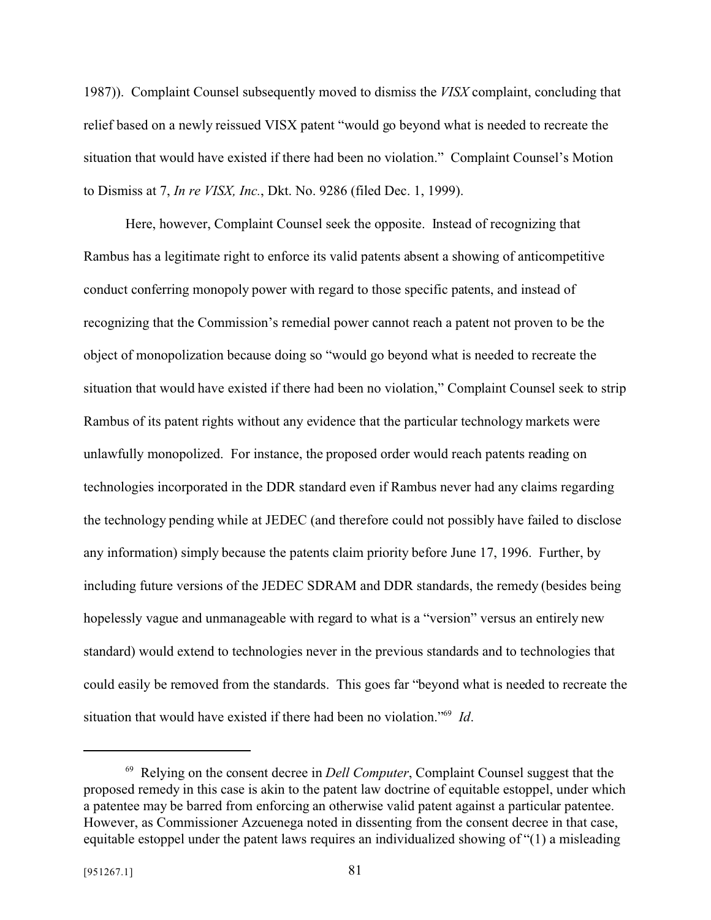1987)). Complaint Counsel subsequently moved to dismiss the *VISX* complaint, concluding that relief based on a newly reissued VISX patent "would go beyond what is needed to recreate the situation that would have existed if there had been no violation." Complaint Counsel's Motion to Dismiss at 7, *In re VISX, Inc.*, Dkt. No. 9286 (filed Dec. 1, 1999).

Here, however, Complaint Counsel seek the opposite. Instead of recognizing that Rambus has a legitimate right to enforce its valid patents absent a showing of anticompetitive conduct conferring monopoly power with regard to those specific patents, and instead of recognizing that the Commission's remedial power cannot reach a patent not proven to be the object of monopolization because doing so "would go beyond what is needed to recreate the situation that would have existed if there had been no violation," Complaint Counsel seek to strip Rambus of its patent rights without any evidence that the particular technology markets were unlawfully monopolized. For instance, the proposed order would reach patents reading on technologies incorporated in the DDR standard even if Rambus never had any claims regarding the technology pending while at JEDEC (and therefore could not possibly have failed to disclose any information) simply because the patents claim priority before June 17, 1996. Further, by including future versions of the JEDEC SDRAM and DDR standards, the remedy (besides being hopelessly vague and unmanageable with regard to what is a "version" versus an entirely new standard) would extend to technologies never in the previous standards and to technologies that could easily be removed from the standards. This goes far "beyond what is needed to recreate the situation that would have existed if there had been no violation."<sup>69</sup> *Id*.

<sup>69</sup> Relying on the consent decree in *Dell Computer*, Complaint Counsel suggest that the proposed remedy in this case is akin to the patent law doctrine of equitable estoppel, under which a patentee may be barred from enforcing an otherwise valid patent against a particular patentee. However, as Commissioner Azcuenega noted in dissenting from the consent decree in that case, equitable estoppel under the patent laws requires an individualized showing of "(1) a misleading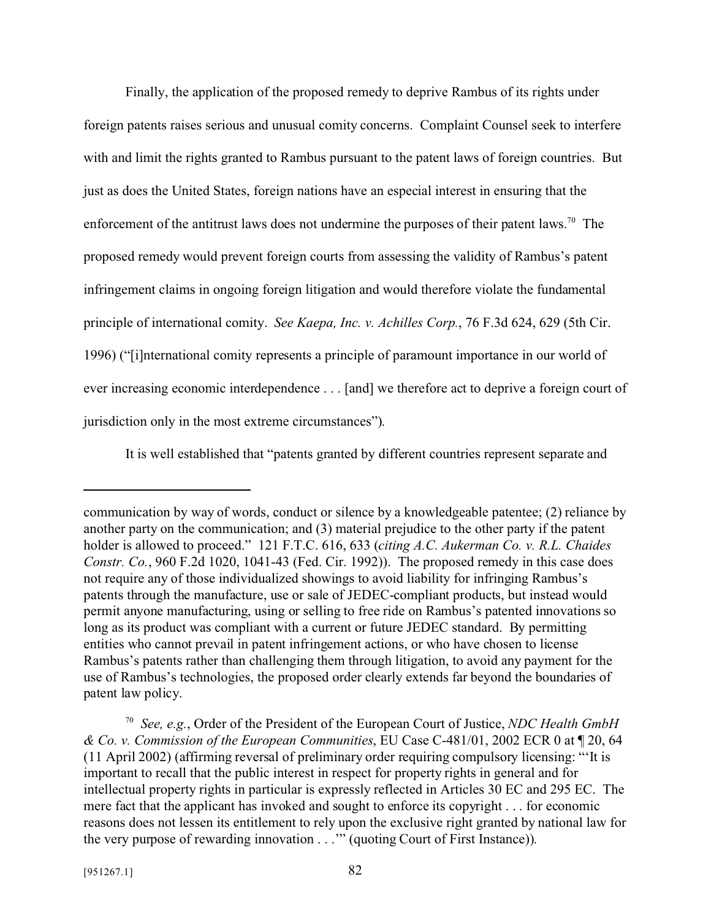Finally, the application of the proposed remedy to deprive Rambus of its rights under foreign patents raises serious and unusual comity concerns. Complaint Counsel seek to interfere with and limit the rights granted to Rambus pursuant to the patent laws of foreign countries. But just as does the United States, foreign nations have an especial interest in ensuring that the enforcement of the antitrust laws does not undermine the purposes of their patent laws.<sup>70</sup> The proposed remedy would prevent foreign courts from assessing the validity of Rambus's patent infringement claims in ongoing foreign litigation and would therefore violate the fundamental principle of international comity. *See Kaepa, Inc. v. Achilles Corp.*, 76 F.3d 624, 629 (5th Cir. 1996) ("[i]nternational comity represents a principle of paramount importance in our world of ever increasing economic interdependence . . . [and] we therefore act to deprive a foreign court of jurisdiction only in the most extreme circumstances").

It is well established that "patents granted by different countries represent separate and

communication by way of words, conduct or silence by a knowledgeable patentee; (2) reliance by another party on the communication; and (3) material prejudice to the other party if the patent holder is allowed to proceed." 121 F.T.C. 616, 633 (*citing A.C. Aukerman Co. v. R.L. Chaides Constr. Co.*, 960 F.2d 1020, 1041-43 (Fed. Cir. 1992)). The proposed remedy in this case does not require any of those individualized showings to avoid liability for infringing Rambus's patents through the manufacture, use or sale of JEDEC-compliant products, but instead would permit anyone manufacturing, using or selling to free ride on Rambus's patented innovations so long as its product was compliant with a current or future JEDEC standard. By permitting entities who cannot prevail in patent infringement actions, or who have chosen to license Rambus's patents rather than challenging them through litigation, to avoid any payment for the use of Rambus's technologies, the proposed order clearly extends far beyond the boundaries of patent law policy.

<sup>70</sup> *See, e.g.*, Order of the President of the European Court of Justice, *NDC Health GmbH & Co. v. Commission of the European Communities*, EU Case C-481/01, 2002 ECR 0 at ¶ 20, 64 (11 April 2002) (affirming reversal of preliminary order requiring compulsory licensing: "'It is important to recall that the public interest in respect for property rights in general and for intellectual property rights in particular is expressly reflected in Articles 30 EC and 295 EC. The mere fact that the applicant has invoked and sought to enforce its copyright . . . for economic reasons does not lessen its entitlement to rely upon the exclusive right granted by national law for the very purpose of rewarding innovation . . .'" (quoting Court of First Instance)).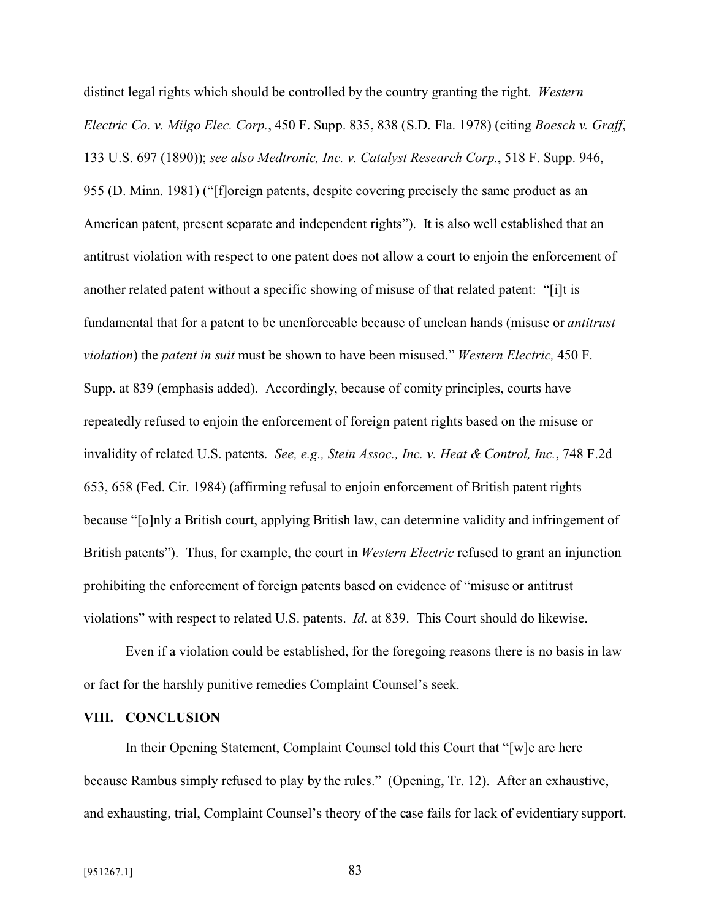distinct legal rights which should be controlled by the country granting the right. *Western Electric Co. v. Milgo Elec. Corp.*, 450 F. Supp. 835, 838 (S.D. Fla. 1978) (citing *Boesch v. Graff*, 133 U.S. 697 (1890)); *see also Medtronic, Inc. v. Catalyst Research Corp.*, 518 F. Supp. 946, 955 (D. Minn. 1981) ("[f]oreign patents, despite covering precisely the same product as an American patent, present separate and independent rights"). It is also well established that an antitrust violation with respect to one patent does not allow a court to enjoin the enforcement of another related patent without a specific showing of misuse of that related patent: "[i]t is fundamental that for a patent to be unenforceable because of unclean hands (misuse or *antitrust violation*) the *patent in suit* must be shown to have been misused." *Western Electric,* 450 F. Supp. at 839 (emphasis added). Accordingly, because of comity principles, courts have repeatedly refused to enjoin the enforcement of foreign patent rights based on the misuse or invalidity of related U.S. patents. *See, e.g., Stein Assoc., Inc. v. Heat & Control, Inc.*, 748 F.2d 653, 658 (Fed. Cir. 1984) (affirming refusal to enjoin enforcement of British patent rights because "[o]nly a British court, applying British law, can determine validity and infringement of British patents"). Thus, for example, the court in *Western Electric* refused to grant an injunction prohibiting the enforcement of foreign patents based on evidence of "misuse or antitrust violations" with respect to related U.S. patents. *Id.* at 839. This Court should do likewise.

Even if a violation could be established, for the foregoing reasons there is no basis in law or fact for the harshly punitive remedies Complaint Counsel's seek.

#### **VIII. CONCLUSION**

In their Opening Statement, Complaint Counsel told this Court that "[w]e are here because Rambus simply refused to play by the rules." (Opening, Tr. 12). After an exhaustive, and exhausting, trial, Complaint Counsel's theory of the case fails for lack of evidentiary support.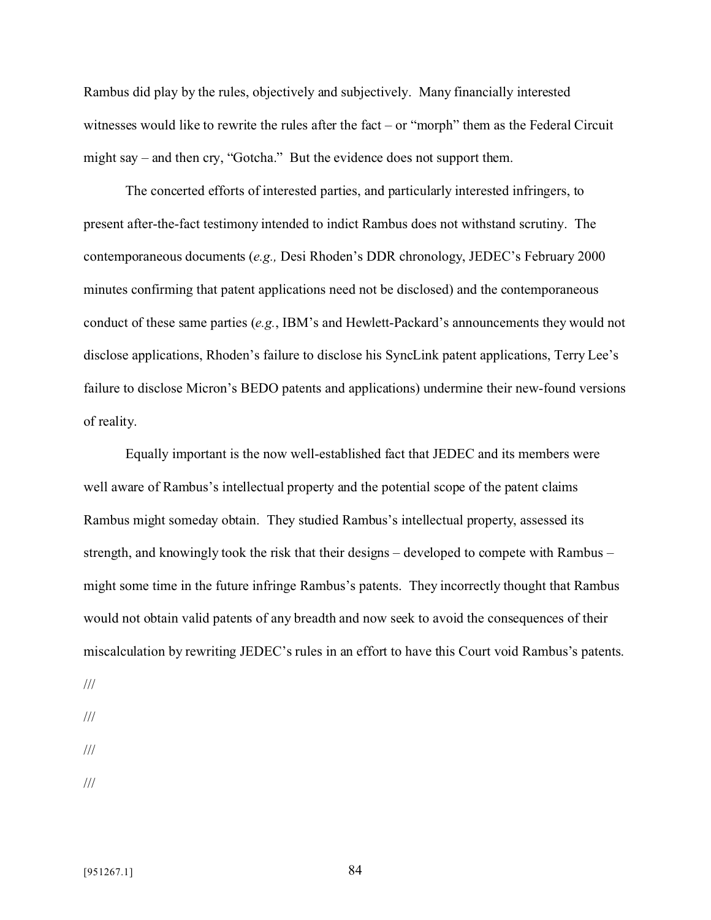Rambus did play by the rules, objectively and subjectively. Many financially interested witnesses would like to rewrite the rules after the fact – or "morph" them as the Federal Circuit might say – and then cry, "Gotcha." But the evidence does not support them.

The concerted efforts of interested parties, and particularly interested infringers, to present after-the-fact testimony intended to indict Rambus does not withstand scrutiny. The contemporaneous documents (*e.g.,* Desi Rhoden's DDR chronology, JEDEC's February 2000 minutes confirming that patent applications need not be disclosed) and the contemporaneous conduct of these same parties (*e.g.*, IBM's and Hewlett-Packard's announcements they would not disclose applications, Rhoden's failure to disclose his SyncLink patent applications, Terry Lee's failure to disclose Micron's BEDO patents and applications) undermine their new-found versions of reality.

Equally important is the now well-established fact that JEDEC and its members were well aware of Rambus's intellectual property and the potential scope of the patent claims Rambus might someday obtain. They studied Rambus's intellectual property, assessed its strength, and knowingly took the risk that their designs – developed to compete with Rambus – might some time in the future infringe Rambus's patents. They incorrectly thought that Rambus would not obtain valid patents of any breadth and now seek to avoid the consequences of their miscalculation by rewriting JEDEC's rules in an effort to have this Court void Rambus's patents.

///

///

///

///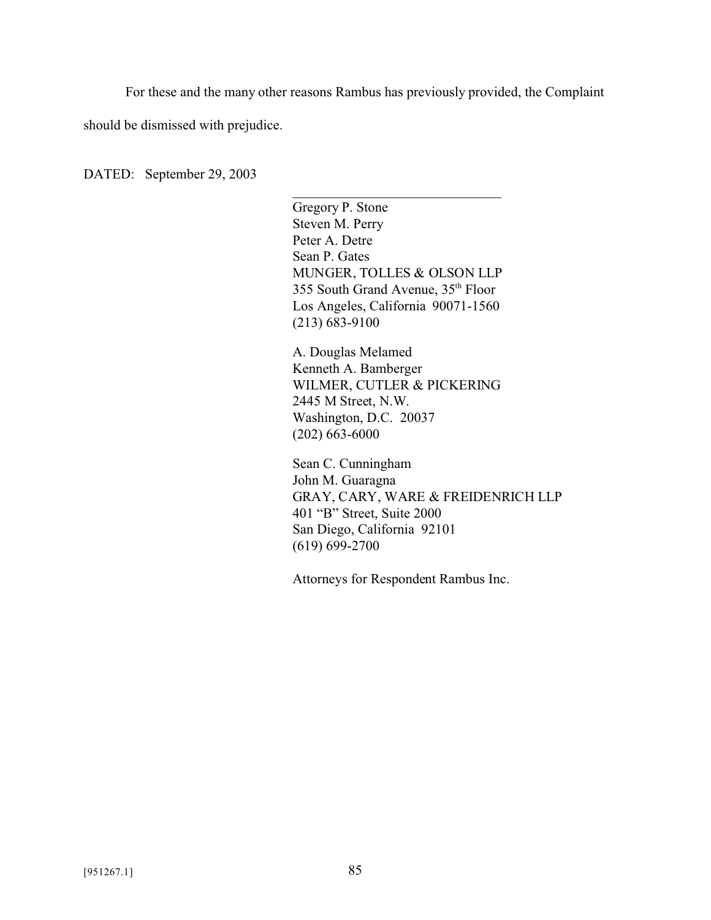For these and the many other reasons Rambus has previously provided, the Complaint

should be dismissed with prejudice.

DATED: September 29, 2003

Gregory P. Stone Steven M. Perry Peter A. Detre Sean P. Gates MUNGER, TOLLES & OLSON LLP 355 South Grand Avenue, 35th Floor Los Angeles, California 90071-1560 (213) 683-9100

\_\_\_\_\_\_\_\_\_\_\_\_\_\_\_\_\_\_\_\_\_\_\_\_\_\_\_\_\_\_

A. Douglas Melamed Kenneth A. Bamberger WILMER, CUTLER & PICKERING 2445 M Street, N.W. Washington, D.C. 20037 (202) 663-6000

Sean C. Cunningham John M. Guaragna GRAY, CARY, WARE & FREIDENRICH LLP 401 "B" Street, Suite 2000 San Diego, California 92101 (619) 699-2700

Attorneys for Respondent Rambus Inc.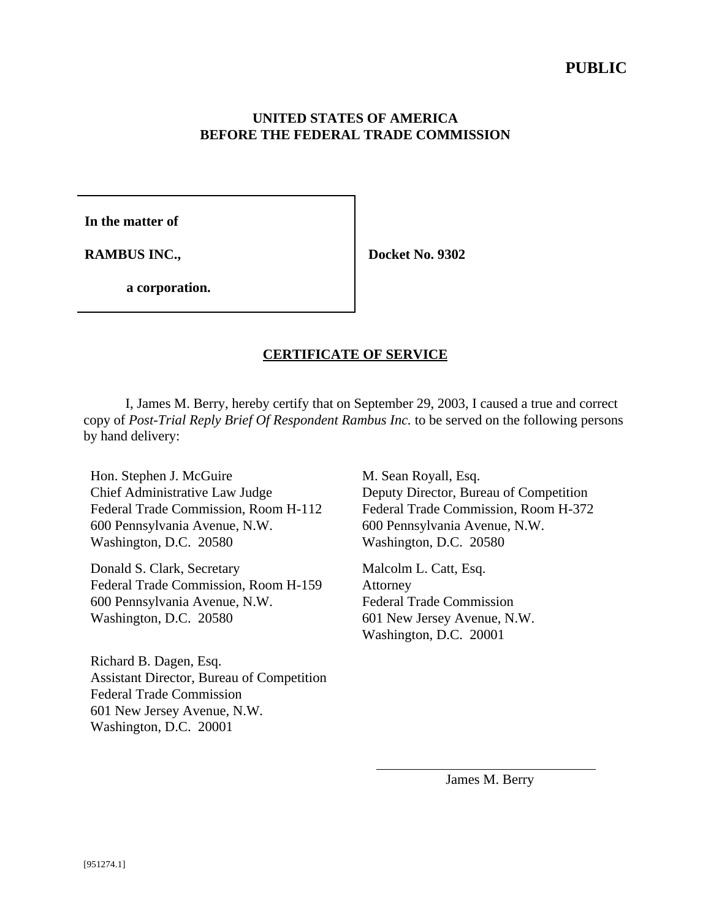## **UNITED STATES OF AMERICA BEFORE THE FEDERAL TRADE COMMISSION**

**In the matter of**

**RAMBUS INC.,** 

 **Docket No. 9302**

**a corporation.**

## **CERTIFICATE OF SERVICE**

I, James M. Berry, hereby certify that on September 29, 2003, I caused a true and correct copy of *Post-Trial Reply Brief Of Respondent Rambus Inc.* to be served on the following persons by hand delivery:

 $\overline{a}$ 

Hon. Stephen J. McGuire Chief Administrative Law Judge Federal Trade Commission, Room H-112 600 Pennsylvania Avenue, N.W. Washington, D.C. 20580

Donald S. Clark, Secretary Federal Trade Commission, Room H-159 600 Pennsylvania Avenue, N.W. Washington, D.C. 20580

Richard B. Dagen, Esq. Assistant Director, Bureau of Competition Federal Trade Commission 601 New Jersey Avenue, N.W. Washington, D.C. 20001

M. Sean Royall, Esq. Deputy Director, Bureau of Competition Federal Trade Commission, Room H-372 600 Pennsylvania Avenue, N.W. Washington, D.C. 20580

Malcolm L. Catt, Esq. Attorney Federal Trade Commission 601 New Jersey Avenue, N.W. Washington, D.C. 20001

James M. Berry